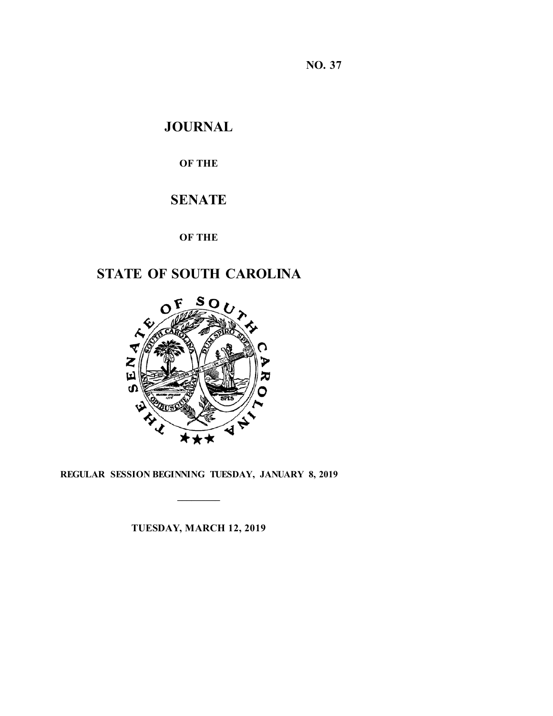**NO. 37**

# **JOURNAL**

# **OF THE**

# **SENATE**

**OF THE**

# **STATE OF SOUTH CAROLINA**



**REGULAR SESSION BEGINNING TUESDAY, JANUARY 8, 2019**

**\_\_\_\_\_\_\_\_\_**

**TUESDAY, MARCH 12, 2019**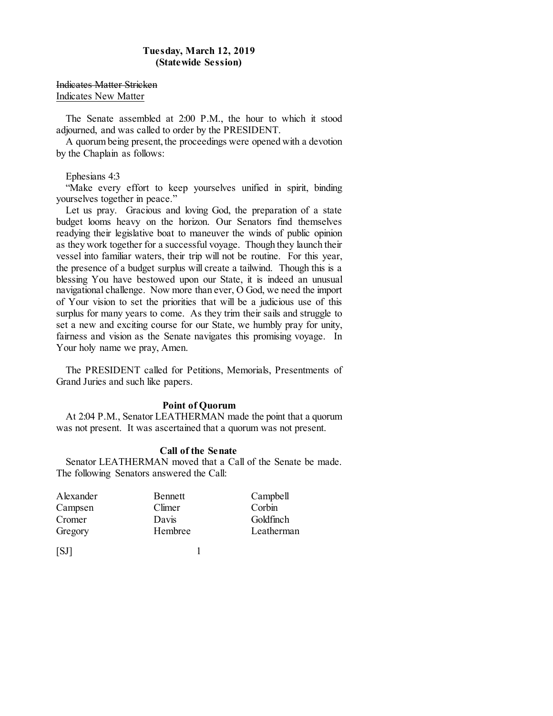### **Tuesday, March 12, 2019 (Statewide Session)**

Indicates Matter Stricken Indicates New Matter

The Senate assembled at 2:00 P.M., the hour to which it stood adjourned, and was called to order by the PRESIDENT.

A quorum being present, the proceedings were opened with a devotion by the Chaplain as follows:

#### Ephesians 4:3

"Make every effort to keep yourselves unified in spirit, binding yourselves together in peace."

Let us pray. Gracious and loving God, the preparation of a state budget looms heavy on the horizon. Our Senators find themselves readying their legislative boat to maneuver the winds of public opinion as they work together for a successful voyage. Though they launch their vessel into familiar waters, their trip will not be routine. For this year, the presence of a budget surplus will create a tailwind. Though this is a blessing You have bestowed upon our State, it is indeed an unusual navigational challenge. Now more than ever, O God, we need the import of Your vision to set the priorities that will be a judicious use of this surplus for many years to come. As they trim their sails and struggle to set a new and exciting course for our State, we humbly pray for unity, fairness and vision as the Senate navigates this promising voyage. In Your holy name we pray, Amen.

The PRESIDENT called for Petitions, Memorials, Presentments of Grand Juries and such like papers.

#### **Point of Quorum**

At 2:04 P.M., Senator LEATHERMAN made the point that a quorum was not present. It was ascertained that a quorum was not present.

#### **Call of the Senate**

Senator LEATHERMAN moved that a Call of the Senate be made. The following Senators answered the Call:

| Alexander | <b>Bennett</b> | Campbell   |
|-----------|----------------|------------|
| Campsen   | Climer         | Corbin     |
| Cromer    | Davis          | Goldfinch  |
| Gregory   | Hembree        | Leatherman |
|           |                |            |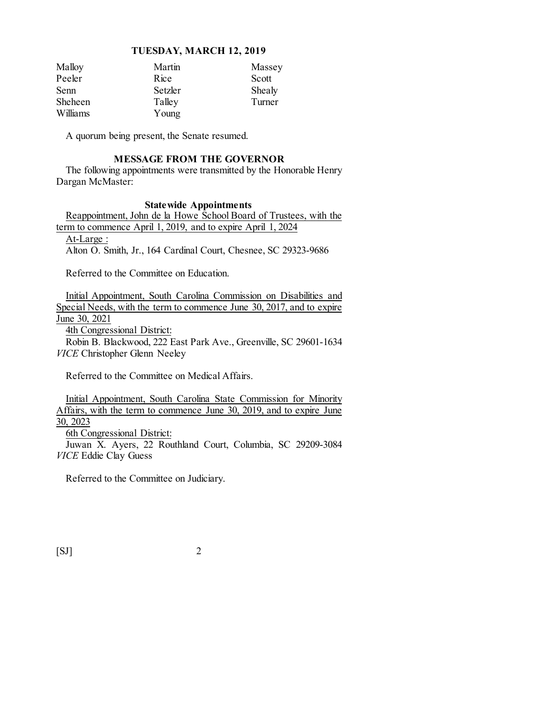| Malloy         | Martin  | Massey |
|----------------|---------|--------|
| Peeler         | Rice    | Scott  |
| Senn           | Setzler | Shealy |
| <b>Sheheen</b> | Talley  | Turner |
| Williams       | Young   |        |

A quorum being present, the Senate resumed.

# **MESSAGE FROM THE GOVERNOR**

The following appointments were transmitted by the Honorable Henry Dargan McMaster:

#### **Statewide Appointments**

Reappointment, John de la Howe School Board of Trustees, with the term to commence April 1, 2019, and to expire April 1, 2024

At-Large :

Alton O. Smith, Jr., 164 Cardinal Court, Chesnee, SC 29323-9686

Referred to the Committee on Education.

Initial Appointment, South Carolina Commission on Disabilities and Special Needs, with the term to commence June 30, 2017, and to expire June 30, 2021

4th Congressional District:

Robin B. Blackwood, 222 East Park Ave., Greenville, SC 29601-1634 *VICE* Christopher Glenn Neeley

Referred to the Committee on Medical Affairs.

Initial Appointment, South Carolina State Commission for Minority Affairs, with the term to commence June  $30, 2019$ , and to expire June 30, 2023

6th Congressional District:

Juwan X. Ayers, 22 Routhland Court, Columbia, SC 29209-3084 *VICE* Eddie Clay Guess

Referred to the Committee on Judiciary.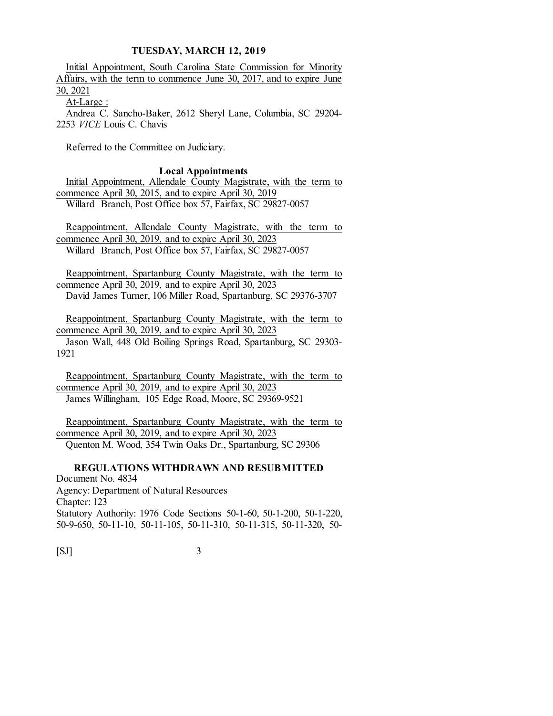Initial Appointment, South Carolina State Commission for Minority Affairs, with the term to commence June 30, 2017, and to expire June 30, 2021 At-Large :

Andrea C. Sancho-Baker, 2612 Sheryl Lane, Columbia, SC 29204- 2253 *VICE* Louis C. Chavis

Referred to the Committee on Judiciary.

**Local Appointments**

Initial Appointment, Allendale County Magistrate, with the term to commence April 30, 2015, and to expire April 30, 2019 Willard Branch, Post Office box 57, Fairfax, SC 29827-0057

Reappointment, Allendale County Magistrate, with the term to commence April 30, 2019, and to expire April 30, 2023 Willard Branch, Post Office box 57, Fairfax, SC 29827-0057

Reappointment, Spartanburg County Magistrate, with the term to commence April 30, 2019, and to expire April 30, 2023 David James Turner, 106 Miller Road, Spartanburg, SC 29376-3707

Reappointment, Spartanburg County Magistrate, with the term to commence April 30, 2019, and to expire April 30, 2023 Jason Wall, 448 Old Boiling Springs Road, Spartanburg, SC 29303- 1921

Reappointment, Spartanburg County Magistrate, with the term to commence April 30, 2019, and to expire April 30, 2023 James Willingham, 105 Edge Road, Moore, SC 29369-9521

Reappointment, Spartanburg County Magistrate, with the term to commence April 30, 2019, and to expire April 30, 2023 Quenton M. Wood, 354 Twin Oaks Dr., Spartanburg, SC 29306

**REGULATIONS WITHDRAWN AND RESUBMITTED** Document No. 4834 Agency: Department of Natural Resources Chapter: 123 Statutory Authority: 1976 Code Sections 50-1-60, 50-1-200, 50-1-220, 50-9-650, 50-11-10, 50-11-105, 50-11-310, 50-11-315, 50-11-320, 50-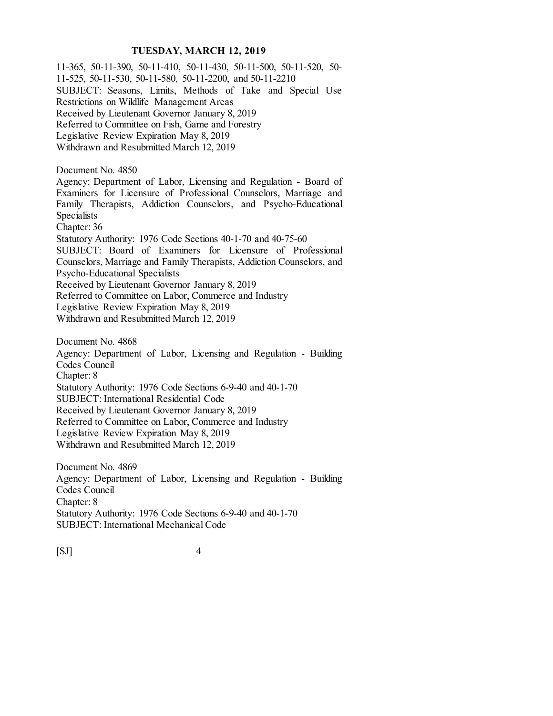11-365, 50-11-390, 50-11-410, 50-11-430, 50-11-500, 50-11-520, 50- 11-525, 50-11-530, 50-11-580, 50-11-2200, and 50-11-2210 SUBJECT: Seasons, Limits, Methods of Take and Special Use Restrictions on Wildlife Management Areas Received by Lieutenant Governor January 8, 2019 Referred to Committee on Fish, Game and Forestry Legislative Review Expiration May 8, 2019 Withdrawn and Resubmitted March 12, 2019 Document No. 4850 Agency: Department of Labor, Licensing and Regulation - Board of Examiners for Licensure of Professional Counselors, Marriage and Family Therapists, Addiction Counselors, and Psycho-Educational Specialists Chapter: 36 Statutory Authority: 1976 Code Sections 40-1-70 and 40-75-60 SUBJECT: Board of Examiners for Licensure of Professional Counselors, Marriage and Family Therapists, Addiction Counselors, and Psycho-Educational Specialists Received by Lieutenant Governor January 8, 2019 Referred to Committee on Labor, Commerce and Industry Legislative Review Expiration May 8, 2019 Withdrawn and Resubmitted March 12, 2019 Document No. 4868 Agency: Department of Labor, Licensing and Regulation - Building Codes Council Chapter: 8 Statutory Authority: 1976 Code Sections 6-9-40 and 40-1-70 SUBJECT: International Residential Code Received by Lieutenant Governor January 8, 2019 Referred to Committee on Labor, Commerce and Industry Legislative Review Expiration May 8, 2019 Withdrawn and Resubmitted March 12, 2019

Document No. 4869 Agency: Department of Labor, Licensing and Regulation - Building Codes Council Chapter: 8 Statutory Authority: 1976 Code Sections 6-9-40 and 40-1-70 SUBJECT: International Mechanical Code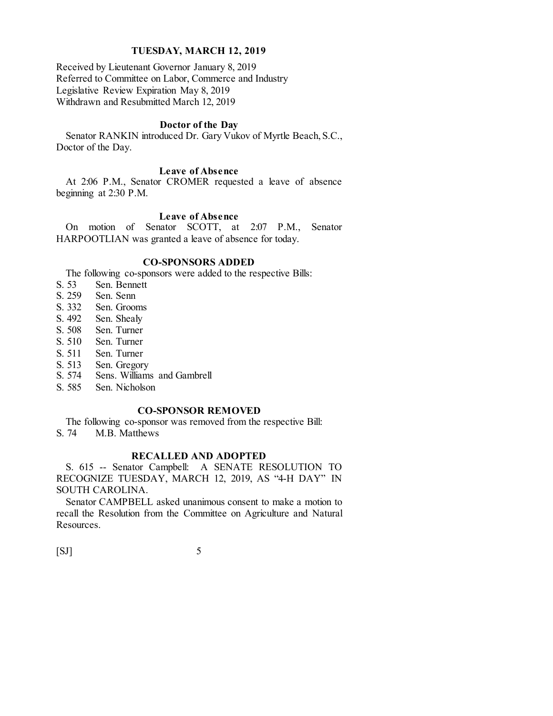Received by Lieutenant Governor January 8, 2019 Referred to Committee on Labor, Commerce and Industry Legislative Review Expiration May 8, 2019 Withdrawn and Resubmitted March 12, 2019

# **Doctor of the Day**

Senator RANKIN introduced Dr. Gary Vukov of Myrtle Beach, S.C., Doctor of the Day.

# **Leave of Absence**

At 2:06 P.M., Senator CROMER requested a leave of absence beginning at 2:30 P.M.

#### **Leave of Absence**

On motion of Senator SCOTT, at 2:07 P.M., Senator HARPOOTLIAN was granted a leave of absence for today.

#### **CO-SPONSORS ADDED**

The following co-sponsors were added to the respective Bills:

- S. 53 Sen. Bennett<br>S. 259 Sen. Senn
- S. 259 Sen. Senn<br>S. 332 Sen. Groor
- S. 332 Sen. Grooms<br>S. 492 Sen. Shealy
- Sen. Shealy
- S. 508 Sen. Turner
- S. 510 Sen. Turner
- S. 511 Sen. Turner
- S. 513 Sen. Gregory<br>S. 574 Sens. Williams
- Sens. Williams and Gambrell
- S. 585 Sen. Nicholson

#### **CO-SPONSOR REMOVED**

The following co-sponsor was removed from the respective Bill:

S. 74 M.B. Matthews

#### **RECALLED AND ADOPTED**

S. 615 -- Senator Campbell: A SENATE RESOLUTION TO RECOGNIZE TUESDAY, MARCH 12, 2019, AS "4-H DAY" IN SOUTH CAROLINA.

Senator CAMPBELL asked unanimous consent to make a motion to recall the Resolution from the Committee on Agriculture and Natural Resources.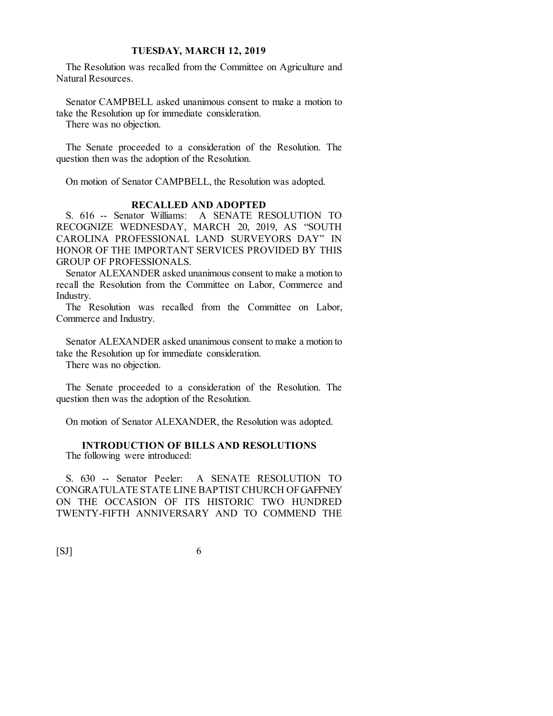The Resolution was recalled from the Committee on Agriculture and Natural Resources.

Senator CAMPBELL asked unanimous consent to make a motion to take the Resolution up for immediate consideration.

There was no objection.

The Senate proceeded to a consideration of the Resolution. The question then was the adoption of the Resolution.

On motion of Senator CAMPBELL, the Resolution was adopted.

#### **RECALLED AND ADOPTED**

S. 616 -- Senator Williams: A SENATE RESOLUTION TO RECOGNIZE WEDNESDAY, MARCH 20, 2019, AS "SOUTH CAROLINA PROFESSIONAL LAND SURVEYORS DAY" IN HONOR OF THE IMPORTANT SERVICES PROVIDED BY THIS GROUP OF PROFESSIONALS.

Senator ALEXANDER asked unanimous consent to make a motion to recall the Resolution from the Committee on Labor, Commerce and Industry.

The Resolution was recalled from the Committee on Labor, Commerce and Industry.

Senator ALEXANDER asked unanimous consent to make a motion to take the Resolution up for immediate consideration.

There was no objection.

The Senate proceeded to a consideration of the Resolution. The question then was the adoption of the Resolution.

On motion of Senator ALEXANDER, the Resolution was adopted.

# **INTRODUCTION OF BILLS AND RESOLUTIONS**

The following were introduced:

S. 630 -- Senator Peeler: A SENATE RESOLUTION TO CONGRATULATE STATE LINE BAPTIST CHURCH OF GAFFNEY ON THE OCCASION OF ITS HISTORIC TWO HUNDRED TWENTY-FIFTH ANNIVERSARY AND TO COMMEND THE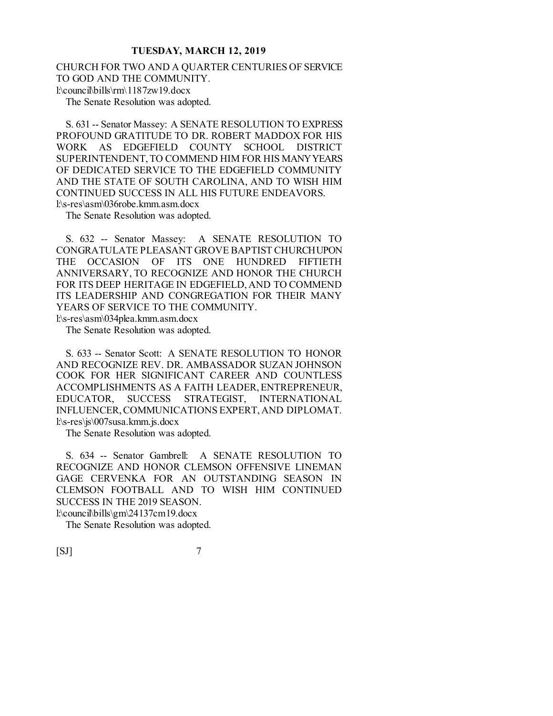CHURCH FOR TWO AND A QUARTER CENTURIES OF SERVICE TO GOD AND THE COMMUNITY. l:\council\bills\rm\1187zw19.docx The Senate Resolution was adopted.

S. 631 -- Senator Massey: A SENATE RESOLUTION TO EXPRESS PROFOUND GRATITUDE TO DR. ROBERT MADDOX FOR HIS WORK AS EDGEFIELD COUNTY SCHOOL DISTRICT SUPERINTENDENT, TO COMMEND HIM FOR HIS MANY YEARS OF DEDICATED SERVICE TO THE EDGEFIELD COMMUNITY AND THE STATE OF SOUTH CAROLINA, AND TO WISH HIM CONTINUED SUCCESS IN ALL HIS FUTURE ENDEAVORS. l:\s-res\asm\036robe.kmm.asm.docx

The Senate Resolution was adopted.

S. 632 -- Senator Massey: A SENATE RESOLUTION TO CONGRATULATE PLEASANT GROVE BAPTIST CHURCH UPON THE OCCASION OF ITS ONE HUNDRED FIFTIETH ANNIVERSARY, TO RECOGNIZE AND HONOR THE CHURCH FOR ITS DEEP HERITAGE IN EDGEFIELD, AND TO COMMEND ITS LEADERSHIP AND CONGREGATION FOR THEIR MANY YEARS OF SERVICE TO THE COMMUNITY.

l:\s-res\asm\034plea.kmm.asm.docx

The Senate Resolution was adopted.

S. 633 -- Senator Scott: A SENATE RESOLUTION TO HONOR AND RECOGNIZE REV. DR. AMBASSADOR SUZAN JOHNSON COOK FOR HER SIGNIFICANT CAREER AND COUNTLESS ACCOMPLISHMENTS AS A FAITH LEADER, ENTREPRENEUR, EDUCATOR, SUCCESS STRATEGIST, INTERNATIONAL INFLUENCER, COMMUNICATIONS EXPERT, AND DIPLOMAT. l:\s-res\js\007susa.kmm.js.docx

The Senate Resolution was adopted.

S. 634 -- Senator Gambrell: A SENATE RESOLUTION TO RECOGNIZE AND HONOR CLEMSON OFFENSIVE LINEMAN GAGE CERVENKA FOR AN OUTSTANDING SEASON IN CLEMSON FOOTBALL AND TO WISH HIM CONTINUED SUCCESS IN THE 2019 SEASON. l:\council\bills\gm\24137cm19.docx

The Senate Resolution was adopted.

 $[SI]$  7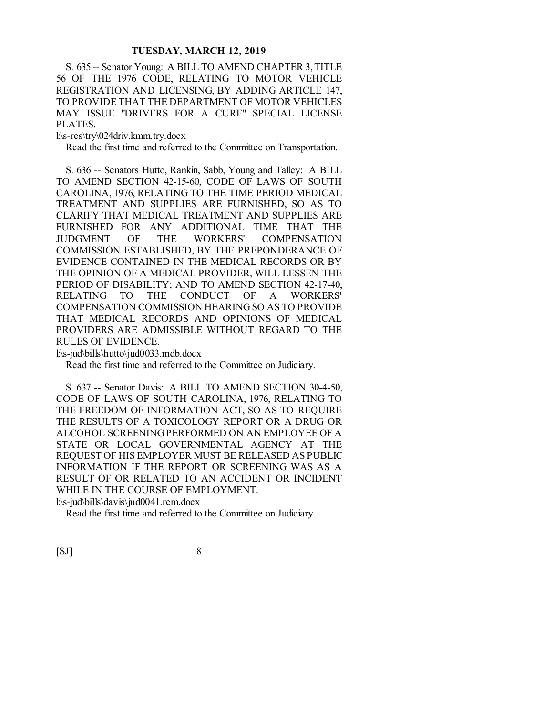S. 635 -- Senator Young: A BILL TO AMEND CHAPTER 3, TITLE 56 OF THE 1976 CODE, RELATING TO MOTOR VEHICLE REGISTRATION AND LICENSING, BY ADDING ARTICLE 147, TO PROVIDE THAT THE DEPARTMENT OF MOTOR VEHICLES MAY ISSUE "DRIVERS FOR A CURE" SPECIAL LICENSE PLATES.

l:\s-res\try\024driv.kmm.try.docx

Read the first time and referred to the Committee on Transportation.

S. 636 -- Senators Hutto, Rankin, Sabb, Young and Talley: A BILL TO AMEND SECTION 42-15-60, CODE OF LAWS OF SOUTH CAROLINA, 1976, RELATING TO THE TIME PERIOD MEDICAL TREATMENT AND SUPPLIES ARE FURNISHED, SO AS TO CLARIFY THAT MEDICAL TREATMENT AND SUPPLIES ARE FURNISHED FOR ANY ADDITIONAL TIME THAT THE JUDGMENT OF THE WORKERS' COMPENSATION COMMISSION ESTABLISHED, BY THE PREPONDERANCE OF EVIDENCE CONTAINED IN THE MEDICAL RECORDS OR BY THE OPINION OF A MEDICAL PROVIDER, WILL LESSEN THE PERIOD OF DISABILITY; AND TO AMEND SECTION 42-17-40, RELATING TO THE CONDUCT OF A WORKERS' COMPENSATION COMMISSION HEARING SO AS TO PROVIDE THAT MEDICAL RECORDS AND OPINIONS OF MEDICAL PROVIDERS ARE ADMISSIBLE WITHOUT REGARD TO THE RULES OF EVIDENCE.

l:\s-jud\bills\hutto\jud0033.mdb.docx

Read the first time and referred to the Committee on Judiciary.

S. 637 -- Senator Davis: A BILL TO AMEND SECTION 30-4-50, CODE OF LAWS OF SOUTH CAROLINA, 1976, RELATING TO THE FREEDOM OF INFORMATION ACT, SO AS TO REQUIRE THE RESULTS OF A TOXICOLOGY REPORT OR A DRUG OR ALCOHOL SCREENING PERFORMED ON AN EMPLOYEE OF A STATE OR LOCAL GOVERNMENTAL AGENCY AT THE REQUEST OF HIS EMPLOYER MUST BE RELEASED AS PUBLIC INFORMATION IF THE REPORT OR SCREENING WAS AS A RESULT OF OR RELATED TO AN ACCIDENT OR INCIDENT WHILE IN THE COURSE OF EMPLOYMENT. l:\s-jud\bills\davis\jud0041.rem.docx

Read the first time and referred to the Committee on Judiciary.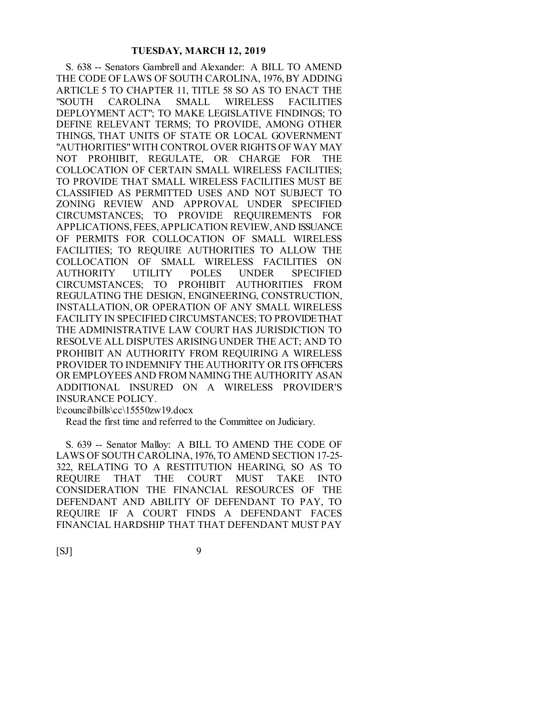S. 638 -- Senators Gambrell and Alexander: A BILL TO AMEND THE CODE OF LAWS OF SOUTH CAROLINA, 1976, BY ADDING ARTICLE 5 TO CHAPTER 11, TITLE 58 SO AS TO ENACT THE "SOUTH CAROLINA SMALL WIRELESS FACILITIES DEPLOYMENT ACT"; TO MAKE LEGISLATIVE FINDINGS; TO DEFINE RELEVANT TERMS; TO PROVIDE, AMONG OTHER THINGS, THAT UNITS OF STATE OR LOCAL GOVERNMENT "AUTHORITIES" WITH CONTROL OVER RIGHTS OF WAY MAY NOT PROHIBIT, REGULATE, OR CHARGE FOR THE COLLOCATION OF CERTAIN SMALL WIRELESS FACILITIES; TO PROVIDE THAT SMALL WIRELESS FACILITIES MUST BE CLASSIFIED AS PERMITTED USES AND NOT SUBJECT TO ZONING REVIEW AND APPROVAL UNDER SPECIFIED CIRCUMSTANCES; TO PROVIDE REQUIREMENTS FOR APPLICATIONS, FEES, APPLICATION REVIEW, AND ISSUANCE OF PERMITS FOR COLLOCATION OF SMALL WIRELESS FACILITIES; TO REQUIRE AUTHORITIES TO ALLOW THE COLLOCATION OF SMALL WIRELESS FACILITIES ON AUTHORITY UTILITY POLES UNDER SPECIFIED CIRCUMSTANCES; TO PROHIBIT AUTHORITIES FROM REGULATING THE DESIGN, ENGINEERING, CONSTRUCTION, INSTALLATION, OR OPERATION OF ANY SMALL WIRELESS FACILITY IN SPECIFIED CIRCUMSTANCES; TO PROVIDE THAT THE ADMINISTRATIVE LAW COURT HAS JURISDICTION TO RESOLVE ALL DISPUTES ARISING UNDER THE ACT; AND TO PROHIBIT AN AUTHORITY FROM REQUIRING A WIRELESS PROVIDER TO INDEMNIFY THE AUTHORITY OR ITS OFFICERS OR EMPLOYEES AND FROM NAMING THE AUTHORITY AS AN ADDITIONAL INSURED ON A WIRELESS PROVIDER'S INSURANCE POLICY.

l:\council\bills\cc\15550zw19.docx

Read the first time and referred to the Committee on Judiciary.

S. 639 -- Senator Malloy: A BILL TO AMEND THE CODE OF LAWS OF SOUTH CAROLINA, 1976, TO AMEND SECTION 17-25- 322, RELATING TO A RESTITUTION HEARING, SO AS TO REQUIRE THAT THE COURT MUST TAKE INTO CONSIDERATION THE FINANCIAL RESOURCES OF THE DEFENDANT AND ABILITY OF DEFENDANT TO PAY, TO REQUIRE IF A COURT FINDS A DEFENDANT FACES FINANCIAL HARDSHIP THAT THAT DEFENDANT MUST PAY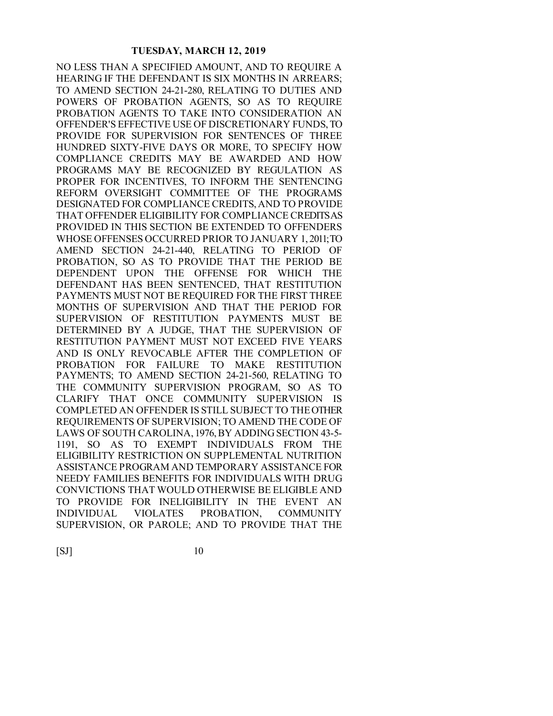NO LESS THAN A SPECIFIED AMOUNT, AND TO REQUIRE A HEARING IF THE DEFENDANT IS SIX MONTHS IN ARREARS; TO AMEND SECTION 24-21-280, RELATING TO DUTIES AND POWERS OF PROBATION AGENTS, SO AS TO REQUIRE PROBATION AGENTS TO TAKE INTO CONSIDERATION AN OFFENDER'S EFFECTIVE USE OF DISCRETIONARY FUNDS, TO PROVIDE FOR SUPERVISION FOR SENTENCES OF THREE HUNDRED SIXTY-FIVE DAYS OR MORE, TO SPECIFY HOW COMPLIANCE CREDITS MAY BE AWARDED AND HOW PROGRAMS MAY BE RECOGNIZED BY REGULATION AS PROPER FOR INCENTIVES, TO INFORM THE SENTENCING REFORM OVERSIGHT COMMITTEE OF THE PROGRAMS DESIGNATED FOR COMPLIANCE CREDITS, AND TO PROVIDE THAT OFFENDER ELIGIBILITY FOR COMPLIANCE CREDITS AS PROVIDED IN THIS SECTION BE EXTENDED TO OFFENDERS WHOSE OFFENSES OCCURRED PRIOR TO JANUARY 1, 2011; TO AMEND SECTION 24-21-440, RELATING TO PERIOD OF PROBATION, SO AS TO PROVIDE THAT THE PERIOD BE DEPENDENT UPON THE OFFENSE FOR WHICH THE DEFENDANT HAS BEEN SENTENCED, THAT RESTITUTION PAYMENTS MUST NOT BE REQUIRED FOR THE FIRST THREE MONTHS OF SUPERVISION AND THAT THE PERIOD FOR SUPERVISION OF RESTITUTION PAYMENTS MUST BE DETERMINED BY A JUDGE, THAT THE SUPERVISION OF RESTITUTION PAYMENT MUST NOT EXCEED FIVE YEARS AND IS ONLY REVOCABLE AFTER THE COMPLETION OF PROBATION FOR FAILURE TO MAKE RESTITUTION PAYMENTS; TO AMEND SECTION 24-21-560, RELATING TO THE COMMUNITY SUPERVISION PROGRAM, SO AS TO CLARIFY THAT ONCE COMMUNITY SUPERVISION IS COMPLETED AN OFFENDER IS STILL SUBJECT TO THE OTHER REQUIREMENTS OF SUPERVISION; TO AMEND THE CODE OF LAWS OF SOUTH CAROLINA, 1976, BY ADDING SECTION 43-5- 1191, SO AS TO EXEMPT INDIVIDUALS FROM THE ELIGIBILITY RESTRICTION ON SUPPLEMENTAL NUTRITION ASSISTANCE PROGRAM AND TEMPORARY ASSISTANCE FOR NEEDY FAMILIES BENEFITS FOR INDIVIDUALS WITH DRUG CONVICTIONS THAT WOULD OTHERWISE BE ELIGIBLE AND TO PROVIDE FOR INELIGIBILITY IN THE EVENT AN INDIVIDUAL VIOLATES PROBATION, COMMUNITY SUPERVISION, OR PAROLE; AND TO PROVIDE THAT THE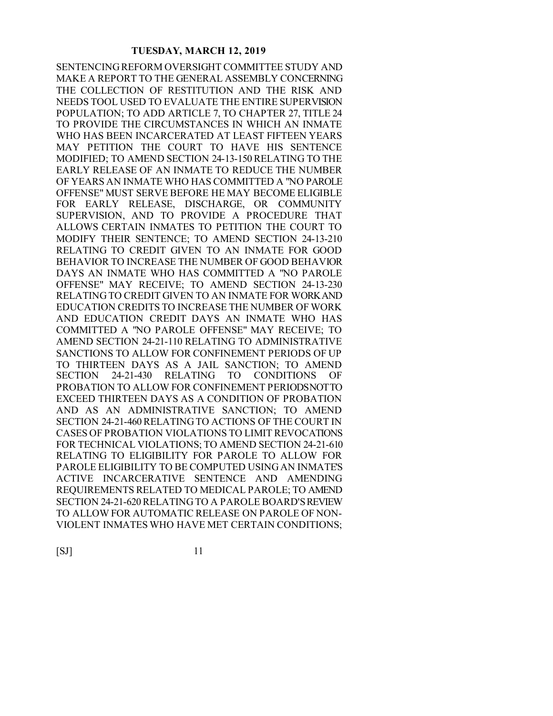SENTENCING REFORM OVERSIGHT COMMITTEE STUDY AND MAKE A REPORT TO THE GENERAL ASSEMBLY CONCERNING THE COLLECTION OF RESTITUTION AND THE RISK AND NEEDS TOOL USED TO EVALUATE THE ENTIRE SUPERVISION POPULATION; TO ADD ARTICLE 7, TO CHAPTER 27, TITLE 24 TO PROVIDE THE CIRCUMSTANCES IN WHICH AN INMATE WHO HAS BEEN INCARCERATED AT LEAST FIFTEEN YEARS MAY PETITION THE COURT TO HAVE HIS SENTENCE MODIFIED; TO AMEND SECTION 24-13-150 RELATING TO THE EARLY RELEASE OF AN INMATE TO REDUCE THE NUMBER OF YEARS AN INMATE WHO HAS COMMITTED A "NO PAROLE OFFENSE" MUST SERVE BEFORE HE MAY BECOME ELIGIBLE FOR EARLY RELEASE, DISCHARGE, OR COMMUNITY SUPERVISION, AND TO PROVIDE A PROCEDURE THAT ALLOWS CERTAIN INMATES TO PETITION THE COURT TO MODIFY THEIR SENTENCE; TO AMEND SECTION 24-13-210 RELATING TO CREDIT GIVEN TO AN INMATE FOR GOOD BEHAVIOR TO INCREASE THE NUMBER OF GOOD BEHAVIOR DAYS AN INMATE WHO HAS COMMITTED A "NO PAROLE OFFENSE" MAY RECEIVE; TO AMEND SECTION 24-13-230 RELATING TO CREDIT GIVEN TO AN INMATE FOR WORK AND EDUCATION CREDITS TO INCREASE THE NUMBER OF WORK AND EDUCATION CREDIT DAYS AN INMATE WHO HAS COMMITTED A "NO PAROLE OFFENSE" MAY RECEIVE; TO AMEND SECTION 24-21-110 RELATING TO ADMINISTRATIVE SANCTIONS TO ALLOW FOR CONFINEMENT PERIODS OF UP TO THIRTEEN DAYS AS A JAIL SANCTION; TO AMEND SECTION 24-21-430 RELATING TO CONDITIONS OF PROBATION TO ALLOW FOR CONFINEMENT PERIODS NOT TO EXCEED THIRTEEN DAYS AS A CONDITION OF PROBATION AND AS AN ADMINISTRATIVE SANCTION; TO AMEND SECTION 24-21-460 RELATING TO ACTIONS OF THE COURT IN CASES OF PROBATION VIOLATIONS TO LIMIT REVOCATIONS FOR TECHNICAL VIOLATIONS; TO AMEND SECTION 24-21-610 RELATING TO ELIGIBILITY FOR PAROLE TO ALLOW FOR PAROLE ELIGIBILITY TO BE COMPUTED USING AN INMATE'S ACTIVE INCARCERATIVE SENTENCE AND AMENDING REQUIREMENTS RELATED TO MEDICAL PAROLE; TO AMEND SECTION 24-21-620 RELATING TO A PAROLE BOARD'S REVIEW TO ALLOW FOR AUTOMATIC RELEASE ON PAROLE OF NON-VIOLENT INMATES WHO HAVE MET CERTAIN CONDITIONS;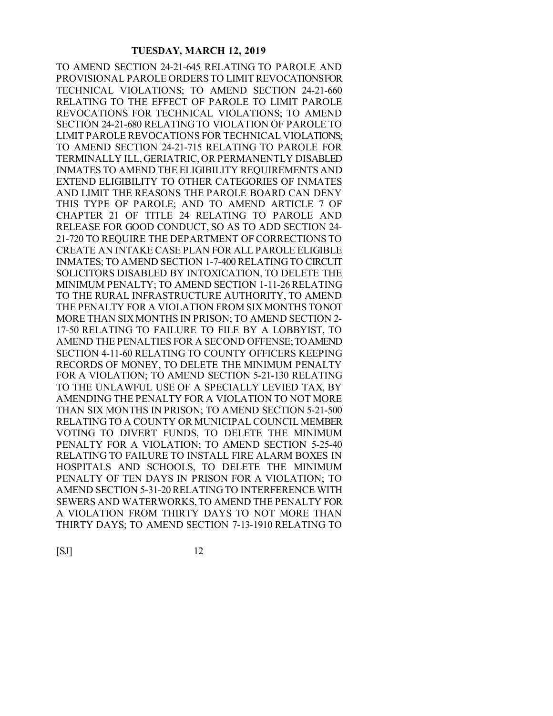TO AMEND SECTION 24-21-645 RELATING TO PAROLE AND PROVISIONAL PAROLE ORDERS TO LIMIT REVOCATIONS FOR TECHNICAL VIOLATIONS; TO AMEND SECTION 24-21-660 RELATING TO THE EFFECT OF PAROLE TO LIMIT PAROLE REVOCATIONS FOR TECHNICAL VIOLATIONS; TO AMEND SECTION 24-21-680 RELATING TO VIOLATION OF PAROLE TO LIMIT PAROLE REVOCATIONS FOR TECHNICAL VIOLATIONS; TO AMEND SECTION 24-21-715 RELATING TO PAROLE FOR TERMINALLY ILL, GERIATRIC, OR PERMANENTLY DISABLED INMATES TO AMEND THE ELIGIBILITY REQUIREMENTS AND EXTEND ELIGIBILITY TO OTHER CATEGORIES OF INMATES AND LIMIT THE REASONS THE PAROLE BOARD CAN DENY THIS TYPE OF PAROLE; AND TO AMEND ARTICLE 7 OF CHAPTER 21 OF TITLE 24 RELATING TO PAROLE AND RELEASE FOR GOOD CONDUCT, SO AS TO ADD SECTION 24- 21-720 TO REQUIRE THE DEPARTMENT OF CORRECTIONS TO CREATE AN INTAKE CASE PLAN FOR ALL PAROLE ELIGIBLE INMATES; TO AMEND SECTION 1-7-400 RELATING TO CIRCUIT SOLICITORS DISABLED BY INTOXICATION, TO DELETE THE MINIMUM PENALTY; TO AMEND SECTION 1-11-26 RELATING TO THE RURAL INFRASTRUCTURE AUTHORITY, TO AMEND THE PENALTY FOR A VIOLATION FROM SIX MONTHS TO NOT MORE THAN SIX MONTHS IN PRISON; TO AMEND SECTION 2- 17-50 RELATING TO FAILURE TO FILE BY A LOBBYIST, TO AMEND THE PENALTIES FOR A SECOND OFFENSE; TO AMEND SECTION 4-11-60 RELATING TO COUNTY OFFICERS KEEPING RECORDS OF MONEY, TO DELETE THE MINIMUM PENALTY FOR A VIOLATION; TO AMEND SECTION 5-21-130 RELATING TO THE UNLAWFUL USE OF A SPECIALLY LEVIED TAX, BY AMENDING THE PENALTY FOR A VIOLATION TO NOT MORE THAN SIX MONTHS IN PRISON; TO AMEND SECTION 5-21-500 RELATING TO A COUNTY OR MUNICIPAL COUNCIL MEMBER VOTING TO DIVERT FUNDS, TO DELETE THE MINIMUM PENALTY FOR A VIOLATION; TO AMEND SECTION 5-25-40 RELATING TO FAILURE TO INSTALL FIRE ALARM BOXES IN HOSPITALS AND SCHOOLS, TO DELETE THE MINIMUM PENALTY OF TEN DAYS IN PRISON FOR A VIOLATION; TO AMEND SECTION 5-31-20 RELATING TO INTERFERENCE WITH SEWERS AND WATERWORKS, TO AMEND THE PENALTY FOR A VIOLATION FROM THIRTY DAYS TO NOT MORE THAN THIRTY DAYS; TO AMEND SECTION 7-13-1910 RELATING TO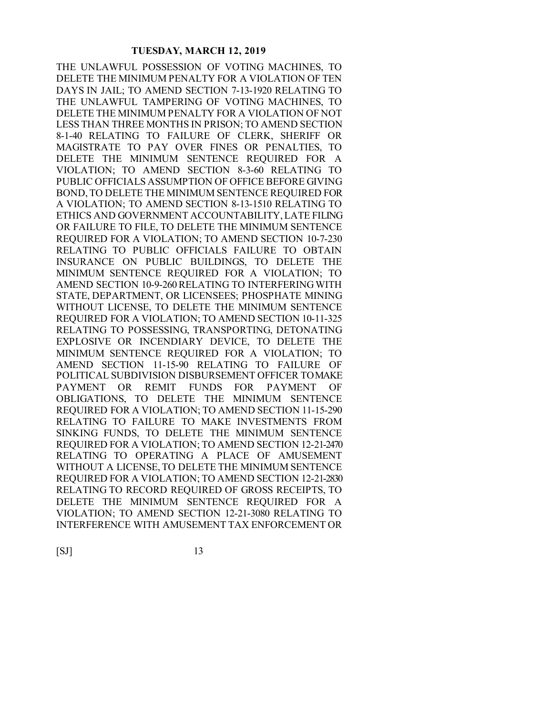THE UNLAWFUL POSSESSION OF VOTING MACHINES, TO DELETE THE MINIMUM PENALTY FOR A VIOLATION OF TEN DAYS IN JAIL; TO AMEND SECTION 7-13-1920 RELATING TO THE UNLAWFUL TAMPERING OF VOTING MACHINES, TO DELETE THE MINIMUM PENALTY FOR A VIOLATION OF NOT LESS THAN THREE MONTHS IN PRISON; TO AMEND SECTION 8-1-40 RELATING TO FAILURE OF CLERK, SHERIFF OR MAGISTRATE TO PAY OVER FINES OR PENALTIES, TO DELETE THE MINIMUM SENTENCE REQUIRED FOR A VIOLATION; TO AMEND SECTION 8-3-60 RELATING TO PUBLIC OFFICIALS ASSUMPTION OF OFFICE BEFORE GIVING BOND, TO DELETE THE MINIMUM SENTENCE REQUIRED FOR A VIOLATION; TO AMEND SECTION 8-13-1510 RELATING TO ETHICS AND GOVERNMENT ACCOUNTABILITY, LATE FILING OR FAILURE TO FILE, TO DELETE THE MINIMUM SENTENCE REQUIRED FOR A VIOLATION; TO AMEND SECTION 10-7-230 RELATING TO PUBLIC OFFICIALS FAILURE TO OBTAIN INSURANCE ON PUBLIC BUILDINGS, TO DELETE THE MINIMUM SENTENCE REQUIRED FOR A VIOLATION; TO AMEND SECTION 10-9-260 RELATING TO INTERFERING WITH STATE, DEPARTMENT, OR LICENSEES; PHOSPHATE MINING WITHOUT LICENSE, TO DELETE THE MINIMUM SENTENCE REQUIRED FOR A VIOLATION; TO AMEND SECTION 10-11-325 RELATING TO POSSESSING, TRANSPORTING, DETONATING EXPLOSIVE OR INCENDIARY DEVICE, TO DELETE THE MINIMUM SENTENCE REQUIRED FOR A VIOLATION; TO AMEND SECTION 11-15-90 RELATING TO FAILURE OF POLITICAL SUBDIVISION DISBURSEMENT OFFICER TO MAKE PAYMENT OR REMIT FUNDS FOR PAYMENT OF OBLIGATIONS, TO DELETE THE MINIMUM SENTENCE REQUIRED FOR A VIOLATION; TO AMEND SECTION 11-15-290 RELATING TO FAILURE TO MAKE INVESTMENTS FROM SINKING FUNDS, TO DELETE THE MINIMUM SENTENCE REQUIRED FOR A VIOLATION; TO AMEND SECTION 12-21-2470 RELATING TO OPERATING A PLACE OF AMUSEMENT WITHOUT A LICENSE, TO DELETE THE MINIMUM SENTENCE REQUIRED FOR A VIOLATION; TO AMEND SECTION 12-21-2830 RELATING TO RECORD REQUIRED OF GROSS RECEIPTS, TO DELETE THE MINIMUM SENTENCE REQUIRED FOR A VIOLATION; TO AMEND SECTION 12-21-3080 RELATING TO INTERFERENCE WITH AMUSEMENT TAX ENFORCEMENT OR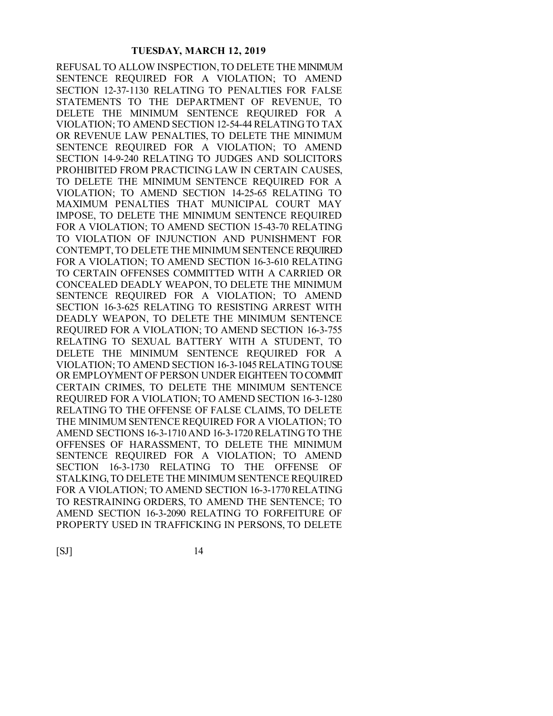REFUSAL TO ALLOW INSPECTION, TO DELETE THE MINIMUM SENTENCE REQUIRED FOR A VIOLATION; TO AMEND SECTION 12-37-1130 RELATING TO PENALTIES FOR FALSE STATEMENTS TO THE DEPARTMENT OF REVENUE, TO DELETE THE MINIMUM SENTENCE REQUIRED FOR A VIOLATION; TO AMEND SECTION 12-54-44 RELATING TO TAX OR REVENUE LAW PENALTIES, TO DELETE THE MINIMUM SENTENCE REQUIRED FOR A VIOLATION; TO AMEND SECTION 14-9-240 RELATING TO JUDGES AND SOLICITORS PROHIBITED FROM PRACTICING LAW IN CERTAIN CAUSES, TO DELETE THE MINIMUM SENTENCE REQUIRED FOR A VIOLATION; TO AMEND SECTION 14-25-65 RELATING TO MAXIMUM PENALTIES THAT MUNICIPAL COURT MAY IMPOSE, TO DELETE THE MINIMUM SENTENCE REQUIRED FOR A VIOLATION; TO AMEND SECTION 15-43-70 RELATING TO VIOLATION OF INJUNCTION AND PUNISHMENT FOR CONTEMPT, TO DELETE THE MINIMUM SENTENCE REQUIRED FOR A VIOLATION; TO AMEND SECTION 16-3-610 RELATING TO CERTAIN OFFENSES COMMITTED WITH A CARRIED OR CONCEALED DEADLY WEAPON, TO DELETE THE MINIMUM SENTENCE REQUIRED FOR A VIOLATION; TO AMEND SECTION 16-3-625 RELATING TO RESISTING ARREST WITH DEADLY WEAPON, TO DELETE THE MINIMUM SENTENCE REQUIRED FOR A VIOLATION; TO AMEND SECTION 16-3-755 RELATING TO SEXUAL BATTERY WITH A STUDENT, TO DELETE THE MINIMUM SENTENCE REQUIRED FOR A VIOLATION; TO AMEND SECTION 16-3-1045 RELATING TO USE OR EMPLOYMENT OF PERSON UNDER EIGHTEEN TO COMMIT CERTAIN CRIMES, TO DELETE THE MINIMUM SENTENCE REQUIRED FOR A VIOLATION; TO AMEND SECTION 16-3-1280 RELATING TO THE OFFENSE OF FALSE CLAIMS, TO DELETE THE MINIMUM SENTENCE REQUIRED FOR A VIOLATION; TO AMEND SECTIONS 16-3-1710 AND 16-3-1720 RELATING TO THE OFFENSES OF HARASSMENT, TO DELETE THE MINIMUM SENTENCE REQUIRED FOR A VIOLATION; TO AMEND SECTION 16-3-1730 RELATING TO THE OFFENSE OF STALKING, TO DELETE THE MINIMUM SENTENCE REQUIRED FOR A VIOLATION; TO AMEND SECTION 16-3-1770 RELATING TO RESTRAINING ORDERS, TO AMEND THE SENTENCE; TO AMEND SECTION 16-3-2090 RELATING TO FORFEITURE OF PROPERTY USED IN TRAFFICKING IN PERSONS, TO DELETE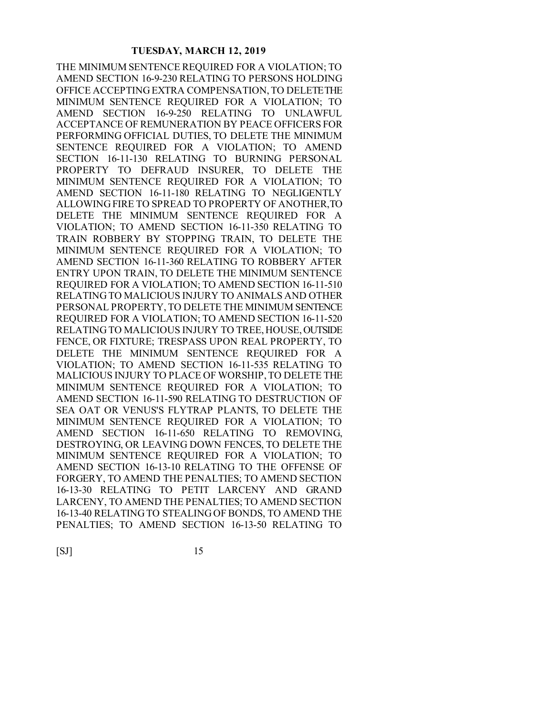THE MINIMUM SENTENCE REQUIRED FOR A VIOLATION; TO AMEND SECTION 16-9-230 RELATING TO PERSONS HOLDING OFFICE ACCEPTING EXTRA COMPENSATION, TO DELETE THE MINIMUM SENTENCE REQUIRED FOR A VIOLATION; TO AMEND SECTION 16-9-250 RELATING TO UNLAWFUL ACCEPTANCE OF REMUNERATION BY PEACE OFFICERS FOR PERFORMING OFFICIAL DUTIES, TO DELETE THE MINIMUM SENTENCE REQUIRED FOR A VIOLATION; TO AMEND SECTION 16-11-130 RELATING TO BURNING PERSONAL PROPERTY TO DEFRAUD INSURER, TO DELETE THE MINIMUM SENTENCE REQUIRED FOR A VIOLATION; TO AMEND SECTION 16-11-180 RELATING TO NEGLIGENTLY ALLOWING FIRE TO SPREAD TO PROPERTY OF ANOTHER, TO DELETE THE MINIMUM SENTENCE REQUIRED FOR A VIOLATION; TO AMEND SECTION 16-11-350 RELATING TO TRAIN ROBBERY BY STOPPING TRAIN, TO DELETE THE MINIMUM SENTENCE REQUIRED FOR A VIOLATION; TO AMEND SECTION 16-11-360 RELATING TO ROBBERY AFTER ENTRY UPON TRAIN, TO DELETE THE MINIMUM SENTENCE REQUIRED FOR A VIOLATION; TO AMEND SECTION 16-11-510 RELATING TO MALICIOUS INJURY TO ANIMALS AND OTHER PERSONAL PROPERTY, TO DELETE THE MINIMUM SENTENCE REQUIRED FOR A VIOLATION; TO AMEND SECTION 16-11-520 RELATING TO MALICIOUS INJURY TO TREE, HOUSE, OUTSIDE FENCE, OR FIXTURE; TRESPASS UPON REAL PROPERTY, TO DELETE THE MINIMUM SENTENCE REQUIRED FOR A VIOLATION; TO AMEND SECTION 16-11-535 RELATING TO MALICIOUS INJURY TO PLACE OF WORSHIP, TO DELETE THE MINIMUM SENTENCE REQUIRED FOR A VIOLATION; TO AMEND SECTION 16-11-590 RELATING TO DESTRUCTION OF SEA OAT OR VENUS'S FLYTRAP PLANTS, TO DELETE THE MINIMUM SENTENCE REQUIRED FOR A VIOLATION; TO AMEND SECTION 16-11-650 RELATING TO REMOVING, DESTROYING, OR LEAVING DOWN FENCES, TO DELETE THE MINIMUM SENTENCE REQUIRED FOR A VIOLATION; TO AMEND SECTION 16-13-10 RELATING TO THE OFFENSE OF FORGERY, TO AMEND THE PENALTIES; TO AMEND SECTION 16-13-30 RELATING TO PETIT LARCENY AND GRAND LARCENY, TO AMEND THE PENALTIES; TO AMEND SECTION 16-13-40 RELATING TO STEALING OF BONDS, TO AMEND THE PENALTIES; TO AMEND SECTION 16-13-50 RELATING TO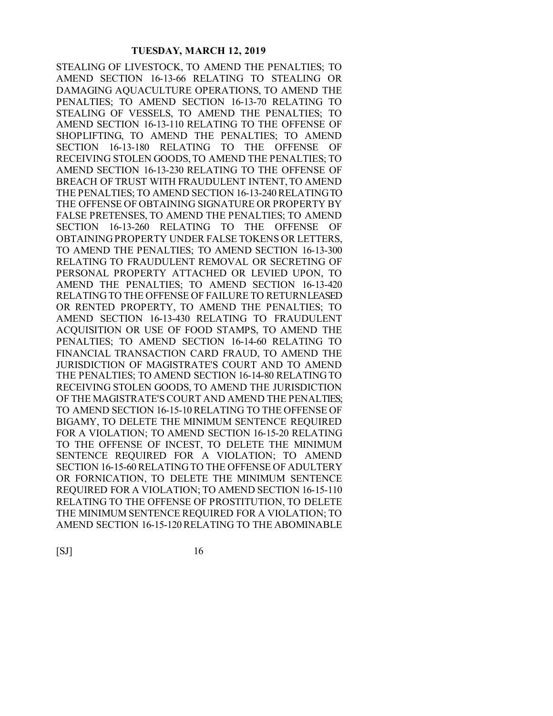STEALING OF LIVESTOCK, TO AMEND THE PENALTIES; TO AMEND SECTION 16-13-66 RELATING TO STEALING OR DAMAGING AQUACULTURE OPERATIONS, TO AMEND THE PENALTIES; TO AMEND SECTION 16-13-70 RELATING TO STEALING OF VESSELS, TO AMEND THE PENALTIES; TO AMEND SECTION 16-13-110 RELATING TO THE OFFENSE OF SHOPLIFTING, TO AMEND THE PENALTIES; TO AMEND SECTION 16-13-180 RELATING TO THE OFFENSE OF RECEIVING STOLEN GOODS, TO AMEND THE PENALTIES; TO AMEND SECTION 16-13-230 RELATING TO THE OFFENSE OF BREACH OF TRUST WITH FRAUDULENT INTENT, TO AMEND THE PENALTIES; TO AMEND SECTION 16-13-240 RELATING TO THE OFFENSE OF OBTAINING SIGNATURE OR PROPERTY BY FALSE PRETENSES, TO AMEND THE PENALTIES; TO AMEND SECTION 16-13-260 RELATING TO THE OFFENSE OF OBTAINING PROPERTY UNDER FALSE TOKENS OR LETTERS, TO AMEND THE PENALTIES; TO AMEND SECTION 16-13-300 RELATING TO FRAUDULENT REMOVAL OR SECRETING OF PERSONAL PROPERTY ATTACHED OR LEVIED UPON, TO AMEND THE PENALTIES; TO AMEND SECTION 16-13-420 RELATING TO THE OFFENSE OF FAILURE TO RETURN LEASED OR RENTED PROPERTY, TO AMEND THE PENALTIES; TO AMEND SECTION 16-13-430 RELATING TO FRAUDULENT ACQUISITION OR USE OF FOOD STAMPS, TO AMEND THE PENALTIES; TO AMEND SECTION 16-14-60 RELATING TO FINANCIAL TRANSACTION CARD FRAUD, TO AMEND THE JURISDICTION OF MAGISTRATE'S COURT AND TO AMEND THE PENALTIES; TO AMEND SECTION 16-14-80 RELATING TO RECEIVING STOLEN GOODS, TO AMEND THE JURISDICTION OF THE MAGISTRATE'S COURT AND AMEND THE PENALTIES; TO AMEND SECTION 16-15-10 RELATING TO THE OFFENSE OF BIGAMY, TO DELETE THE MINIMUM SENTENCE REQUIRED FOR A VIOLATION; TO AMEND SECTION 16-15-20 RELATING TO THE OFFENSE OF INCEST, TO DELETE THE MINIMUM SENTENCE REQUIRED FOR A VIOLATION; TO AMEND SECTION 16-15-60 RELATING TO THE OFFENSE OF ADULTERY OR FORNICATION, TO DELETE THE MINIMUM SENTENCE REQUIRED FOR A VIOLATION; TO AMEND SECTION 16-15-110 RELATING TO THE OFFENSE OF PROSTITUTION, TO DELETE THE MINIMUM SENTENCE REQUIRED FOR A VIOLATION; TO AMEND SECTION 16-15-120 RELATING TO THE ABOMINABLE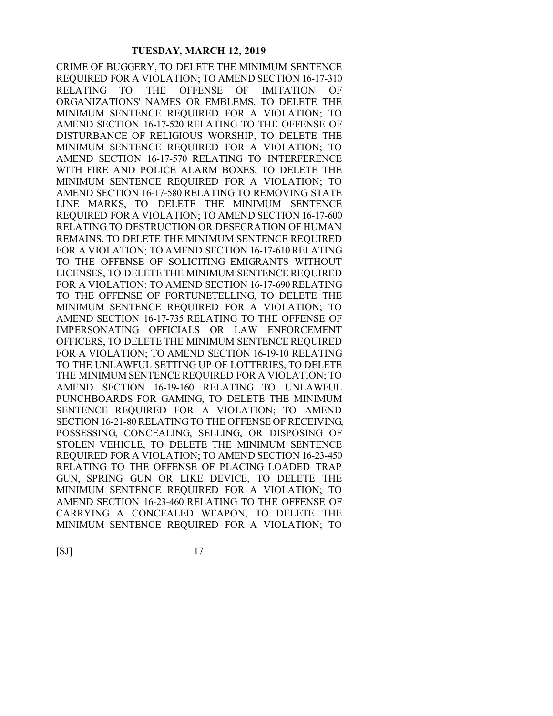CRIME OF BUGGERY, TO DELETE THE MINIMUM SENTENCE REQUIRED FOR A VIOLATION; TO AMEND SECTION 16-17-310 RELATING TO THE OFFENSE OF IMITATION OF ORGANIZATIONS' NAMES OR EMBLEMS, TO DELETE THE MINIMUM SENTENCE REQUIRED FOR A VIOLATION; TO AMEND SECTION 16-17-520 RELATING TO THE OFFENSE OF DISTURBANCE OF RELIGIOUS WORSHIP, TO DELETE THE MINIMUM SENTENCE REQUIRED FOR A VIOLATION; TO AMEND SECTION 16-17-570 RELATING TO INTERFERENCE WITH FIRE AND POLICE ALARM BOXES, TO DELETE THE MINIMUM SENTENCE REQUIRED FOR A VIOLATION; TO AMEND SECTION 16-17-580 RELATING TO REMOVING STATE LINE MARKS, TO DELETE THE MINIMUM SENTENCE REQUIRED FOR A VIOLATION; TO AMEND SECTION 16-17-600 RELATING TO DESTRUCTION OR DESECRATION OF HUMAN REMAINS, TO DELETE THE MINIMUM SENTENCE REQUIRED FOR A VIOLATION; TO AMEND SECTION 16-17-610 RELATING TO THE OFFENSE OF SOLICITING EMIGRANTS WITHOUT LICENSES, TO DELETE THE MINIMUM SENTENCE REQUIRED FOR A VIOLATION; TO AMEND SECTION 16-17-690 RELATING TO THE OFFENSE OF FORTUNETELLING, TO DELETE THE MINIMUM SENTENCE REQUIRED FOR A VIOLATION; TO AMEND SECTION 16-17-735 RELATING TO THE OFFENSE OF IMPERSONATING OFFICIALS OR LAW ENFORCEMENT OFFICERS, TO DELETE THE MINIMUM SENTENCE REQUIRED FOR A VIOLATION; TO AMEND SECTION 16-19-10 RELATING TO THE UNLAWFUL SETTING UP OF LOTTERIES, TO DELETE THE MINIMUM SENTENCE REQUIRED FOR A VIOLATION; TO AMEND SECTION 16-19-160 RELATING TO UNLAWFUL PUNCHBOARDS FOR GAMING, TO DELETE THE MINIMUM SENTENCE REQUIRED FOR A VIOLATION; TO AMEND SECTION 16-21-80 RELATING TO THE OFFENSE OF RECEIVING, POSSESSING, CONCEALING, SELLING, OR DISPOSING OF STOLEN VEHICLE, TO DELETE THE MINIMUM SENTENCE REQUIRED FOR A VIOLATION; TO AMEND SECTION 16-23-450 RELATING TO THE OFFENSE OF PLACING LOADED TRAP GUN, SPRING GUN OR LIKE DEVICE, TO DELETE THE MINIMUM SENTENCE REQUIRED FOR A VIOLATION; TO AMEND SECTION 16-23-460 RELATING TO THE OFFENSE OF CARRYING A CONCEALED WEAPON, TO DELETE THE MINIMUM SENTENCE REQUIRED FOR A VIOLATION; TO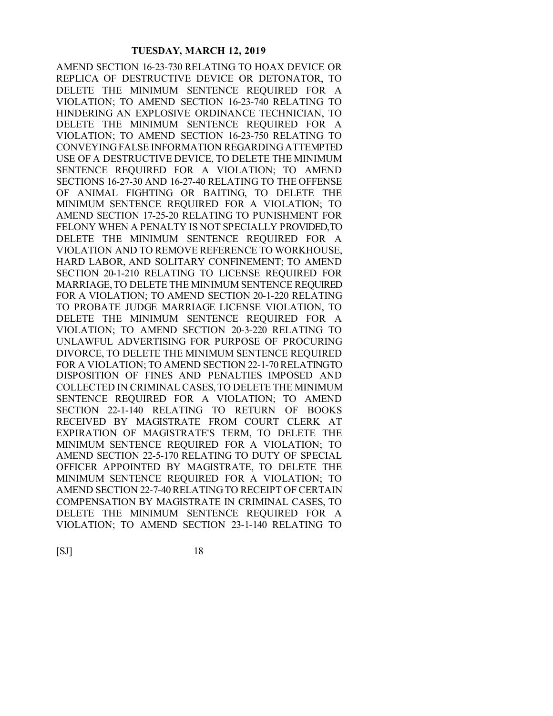AMEND SECTION 16-23-730 RELATING TO HOAX DEVICE OR REPLICA OF DESTRUCTIVE DEVICE OR DETONATOR, TO DELETE THE MINIMUM SENTENCE REQUIRED FOR A VIOLATION; TO AMEND SECTION 16-23-740 RELATING TO HINDERING AN EXPLOSIVE ORDINANCE TECHNICIAN, TO DELETE THE MINIMUM SENTENCE REQUIRED FOR A VIOLATION; TO AMEND SECTION 16-23-750 RELATING TO CONVEYING FALSE INFORMATION REGARDING ATTEMPTED USE OF A DESTRUCTIVE DEVICE, TO DELETE THE MINIMUM SENTENCE REQUIRED FOR A VIOLATION; TO AMEND SECTIONS 16-27-30 AND 16-27-40 RELATING TO THE OFFENSE OF ANIMAL FIGHTING OR BAITING, TO DELETE THE MINIMUM SENTENCE REQUIRED FOR A VIOLATION; TO AMEND SECTION 17-25-20 RELATING TO PUNISHMENT FOR FELONY WHEN A PENALTY IS NOT SPECIALLY PROVIDED, TO DELETE THE MINIMUM SENTENCE REQUIRED FOR A VIOLATION AND TO REMOVE REFERENCE TO WORKHOUSE, HARD LABOR, AND SOLITARY CONFINEMENT; TO AMEND SECTION 20-1-210 RELATING TO LICENSE REQUIRED FOR MARRIAGE, TO DELETE THE MINIMUM SENTENCE REQUIRED FOR A VIOLATION; TO AMEND SECTION 20-1-220 RELATING TO PROBATE JUDGE MARRIAGE LICENSE VIOLATION, TO DELETE THE MINIMUM SENTENCE REQUIRED FOR A VIOLATION; TO AMEND SECTION 20-3-220 RELATING TO UNLAWFUL ADVERTISING FOR PURPOSE OF PROCURING DIVORCE, TO DELETE THE MINIMUM SENTENCE REQUIRED FOR A VIOLATION; TO AMEND SECTION 22-1-70 RELATINGTO DISPOSITION OF FINES AND PENALTIES IMPOSED AND COLLECTED IN CRIMINAL CASES, TO DELETE THE MINIMUM SENTENCE REQUIRED FOR A VIOLATION; TO AMEND SECTION 22-1-140 RELATING TO RETURN OF BOOKS RECEIVED BY MAGISTRATE FROM COURT CLERK AT EXPIRATION OF MAGISTRATE'S TERM, TO DELETE THE MINIMUM SENTENCE REQUIRED FOR A VIOLATION; TO AMEND SECTION 22-5-170 RELATING TO DUTY OF SPECIAL OFFICER APPOINTED BY MAGISTRATE, TO DELETE THE MINIMUM SENTENCE REQUIRED FOR A VIOLATION; TO AMEND SECTION 22-7-40 RELATING TO RECEIPT OF CERTAIN COMPENSATION BY MAGISTRATE IN CRIMINAL CASES, TO DELETE THE MINIMUM SENTENCE REQUIRED FOR A VIOLATION; TO AMEND SECTION 23-1-140 RELATING TO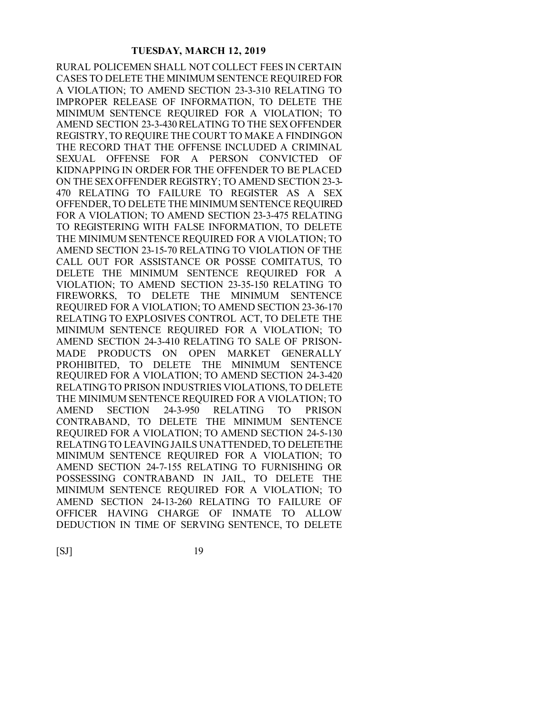RURAL POLICEMEN SHALL NOT COLLECT FEES IN CERTAIN CASES TO DELETE THE MINIMUM SENTENCE REQUIRED FOR A VIOLATION; TO AMEND SECTION 23-3-310 RELATING TO IMPROPER RELEASE OF INFORMATION, TO DELETE THE MINIMUM SENTENCE REQUIRED FOR A VIOLATION; TO AMEND SECTION 23-3-430 RELATING TO THE SEX OFFENDER REGISTRY, TO REQUIRE THE COURT TO MAKE A FINDING ON THE RECORD THAT THE OFFENSE INCLUDED A CRIMINAL SEXUAL OFFENSE FOR A PERSON CONVICTED OF KIDNAPPING IN ORDER FOR THE OFFENDER TO BE PLACED ON THE SEX OFFENDER REGISTRY; TO AMEND SECTION 23-3- 470 RELATING TO FAILURE TO REGISTER AS A SEX OFFENDER, TO DELETE THE MINIMUM SENTENCE REQUIRED FOR A VIOLATION; TO AMEND SECTION 23-3-475 RELATING TO REGISTERING WITH FALSE INFORMATION, TO DELETE THE MINIMUM SENTENCE REQUIRED FOR A VIOLATION; TO AMEND SECTION 23-15-70 RELATING TO VIOLATION OF THE CALL OUT FOR ASSISTANCE OR POSSE COMITATUS, TO DELETE THE MINIMUM SENTENCE REQUIRED FOR A VIOLATION; TO AMEND SECTION 23-35-150 RELATING TO FIREWORKS, TO DELETE THE MINIMUM SENTENCE REQUIRED FOR A VIOLATION; TO AMEND SECTION 23-36-170 RELATING TO EXPLOSIVES CONTROL ACT, TO DELETE THE MINIMUM SENTENCE REQUIRED FOR A VIOLATION; TO AMEND SECTION 24-3-410 RELATING TO SALE OF PRISON-MADE PRODUCTS ON OPEN MARKET GENERALLY PROHIBITED, TO DELETE THE MINIMUM SENTENCE REQUIRED FOR A VIOLATION; TO AMEND SECTION 24-3-420 RELATING TO PRISON INDUSTRIES VIOLATIONS, TO DELETE THE MINIMUM SENTENCE REQUIRED FOR A VIOLATION; TO AMEND SECTION 24-3-950 RELATING TO PRISON CONTRABAND, TO DELETE THE MINIMUM SENTENCE REQUIRED FOR A VIOLATION; TO AMEND SECTION 24-5-130 RELATING TO LEAVING JAILS UNATTENDED, TO DELETE THE MINIMUM SENTENCE REQUIRED FOR A VIOLATION; TO AMEND SECTION 24-7-155 RELATING TO FURNISHING OR POSSESSING CONTRABAND IN JAIL, TO DELETE THE MINIMUM SENTENCE REQUIRED FOR A VIOLATION; TO AMEND SECTION 24-13-260 RELATING TO FAILURE OF OFFICER HAVING CHARGE OF INMATE TO ALLOW DEDUCTION IN TIME OF SERVING SENTENCE, TO DELETE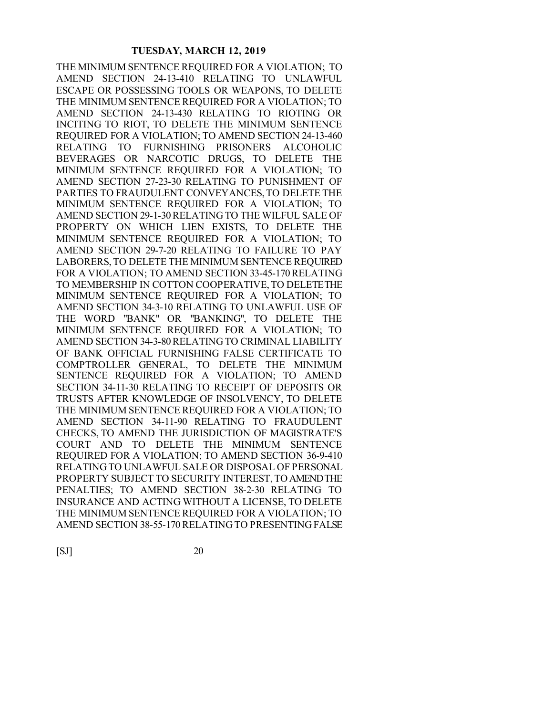THE MINIMUM SENTENCE REQUIRED FOR A VIOLATION; TO AMEND SECTION 24-13-410 RELATING TO UNLAWFUL ESCAPE OR POSSESSING TOOLS OR WEAPONS, TO DELETE THE MINIMUM SENTENCE REQUIRED FOR A VIOLATION; TO AMEND SECTION 24-13-430 RELATING TO RIOTING OR INCITING TO RIOT, TO DELETE THE MINIMUM SENTENCE REQUIRED FOR A VIOLATION; TO AMEND SECTION 24-13-460 RELATING TO FURNISHING PRISONERS ALCOHOLIC BEVERAGES OR NARCOTIC DRUGS, TO DELETE THE MINIMUM SENTENCE REQUIRED FOR A VIOLATION; TO AMEND SECTION 27-23-30 RELATING TO PUNISHMENT OF PARTIES TO FRAUDULENT CONVEYANCES, TO DELETE THE MINIMUM SENTENCE REQUIRED FOR A VIOLATION; TO AMEND SECTION 29-1-30 RELATING TO THE WILFUL SALE OF PROPERTY ON WHICH LIEN EXISTS, TO DELETE THE MINIMUM SENTENCE REQUIRED FOR A VIOLATION; TO AMEND SECTION 29-7-20 RELATING TO FAILURE TO PAY LABORERS, TO DELETE THE MINIMUM SENTENCE REQUIRED FOR A VIOLATION; TO AMEND SECTION 33-45-170 RELATING TO MEMBERSHIP IN COTTON COOPERATIVE, TO DELETE THE MINIMUM SENTENCE REQUIRED FOR A VIOLATION; TO AMEND SECTION 34-3-10 RELATING TO UNLAWFUL USE OF THE WORD "BANK" OR "BANKING", TO DELETE THE MINIMUM SENTENCE REQUIRED FOR A VIOLATION; TO AMEND SECTION 34-3-80 RELATING TO CRIMINAL LIABILITY OF BANK OFFICIAL FURNISHING FALSE CERTIFICATE TO COMPTROLLER GENERAL, TO DELETE THE MINIMUM SENTENCE REQUIRED FOR A VIOLATION; TO AMEND SECTION 34-11-30 RELATING TO RECEIPT OF DEPOSITS OR TRUSTS AFTER KNOWLEDGE OF INSOLVENCY, TO DELETE THE MINIMUM SENTENCE REQUIRED FOR A VIOLATION; TO AMEND SECTION 34-11-90 RELATING TO FRAUDULENT CHECKS, TO AMEND THE JURISDICTION OF MAGISTRATE'S COURT AND TO DELETE THE MINIMUM SENTENCE REQUIRED FOR A VIOLATION; TO AMEND SECTION 36-9-410 RELATING TO UNLAWFUL SALE OR DISPOSAL OF PERSONAL PROPERTY SUBJECT TO SECURITY INTEREST, TO AMEND THE PENALTIES; TO AMEND SECTION 38-2-30 RELATING TO INSURANCE AND ACTING WITHOUT A LICENSE, TO DELETE THE MINIMUM SENTENCE REQUIRED FOR A VIOLATION; TO AMEND SECTION 38-55-170 RELATING TO PRESENTING FALSE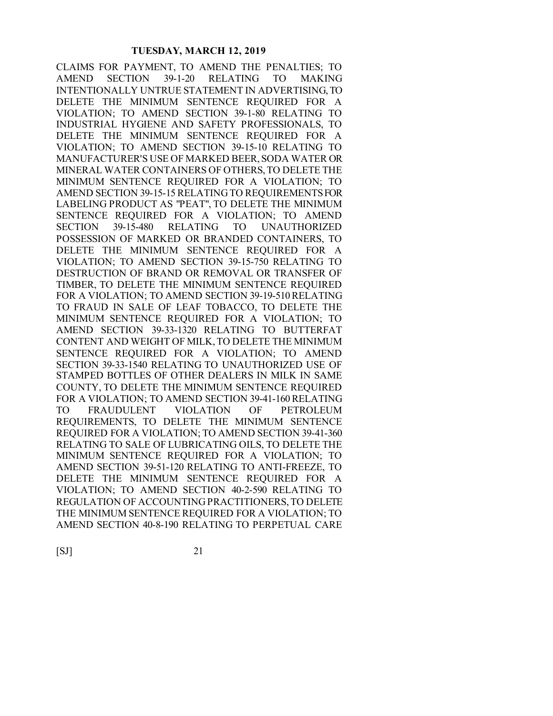CLAIMS FOR PAYMENT, TO AMEND THE PENALTIES; TO AMEND SECTION 39-1-20 RELATING TO MAKING INTENTIONALLY UNTRUE STATEMENT IN ADVERTISING, TO DELETE THE MINIMUM SENTENCE REQUIRED FOR A VIOLATION; TO AMEND SECTION 39-1-80 RELATING TO INDUSTRIAL HYGIENE AND SAFETY PROFESSIONALS, TO DELETE THE MINIMUM SENTENCE REQUIRED FOR A VIOLATION; TO AMEND SECTION 39-15-10 RELATING TO MANUFACTURER'S USE OF MARKED BEER, SODA WATER OR MINERAL WATER CONTAINERS OF OTHERS, TO DELETE THE MINIMUM SENTENCE REQUIRED FOR A VIOLATION; TO AMEND SECTION 39-15-15 RELATING TO REQUIREMENTS FOR LABELING PRODUCT AS "PEAT", TO DELETE THE MINIMUM SENTENCE REQUIRED FOR A VIOLATION; TO AMEND SECTION 39-15-480 RELATING TO UNAUTHORIZED POSSESSION OF MARKED OR BRANDED CONTAINERS, TO DELETE THE MINIMUM SENTENCE REQUIRED FOR A VIOLATION; TO AMEND SECTION 39-15-750 RELATING TO DESTRUCTION OF BRAND OR REMOVAL OR TRANSFER OF TIMBER, TO DELETE THE MINIMUM SENTENCE REQUIRED FOR A VIOLATION; TO AMEND SECTION 39-19-510 RELATING TO FRAUD IN SALE OF LEAF TOBACCO, TO DELETE THE MINIMUM SENTENCE REQUIRED FOR A VIOLATION; TO AMEND SECTION 39-33-1320 RELATING TO BUTTERFAT CONTENT AND WEIGHT OF MILK, TO DELETE THE MINIMUM SENTENCE REQUIRED FOR A VIOLATION; TO AMEND SECTION 39-33-1540 RELATING TO UNAUTHORIZED USE OF STAMPED BOTTLES OF OTHER DEALERS IN MILK IN SAME COUNTY, TO DELETE THE MINIMUM SENTENCE REQUIRED FOR A VIOLATION; TO AMEND SECTION 39-41-160 RELATING TO FRAUDULENT VIOLATION OF PETROLEUM REQUIREMENTS, TO DELETE THE MINIMUM SENTENCE REQUIRED FOR A VIOLATION; TO AMEND SECTION 39-41-360 RELATING TO SALE OF LUBRICATING OILS, TO DELETE THE MINIMUM SENTENCE REQUIRED FOR A VIOLATION; TO AMEND SECTION 39-51-120 RELATING TO ANTI-FREEZE, TO DELETE THE MINIMUM SENTENCE REQUIRED FOR A VIOLATION; TO AMEND SECTION 40-2-590 RELATING TO REGULATION OF ACCOUNTING PRACTITIONERS, TO DELETE THE MINIMUM SENTENCE REQUIRED FOR A VIOLATION; TO AMEND SECTION 40-8-190 RELATING TO PERPETUAL CARE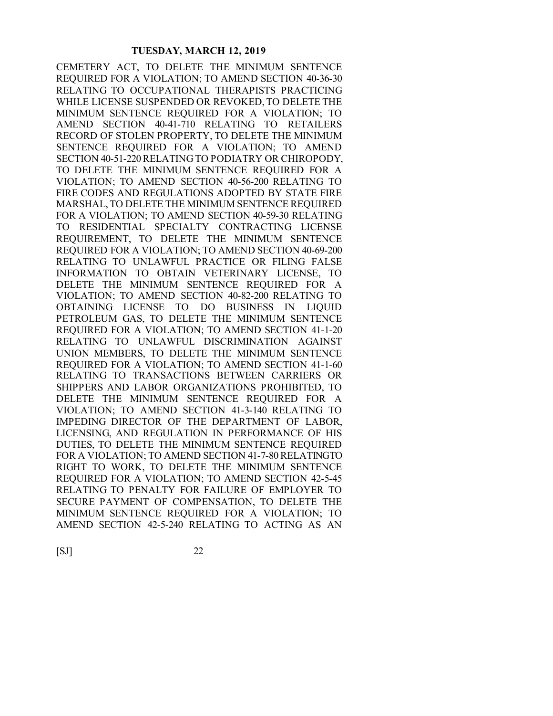CEMETERY ACT, TO DELETE THE MINIMUM SENTENCE REQUIRED FOR A VIOLATION; TO AMEND SECTION 40-36-30 RELATING TO OCCUPATIONAL THERAPISTS PRACTICING WHILE LICENSE SUSPENDED OR REVOKED, TO DELETE THE MINIMUM SENTENCE REQUIRED FOR A VIOLATION; TO AMEND SECTION 40-41-710 RELATING TO RETAILERS RECORD OF STOLEN PROPERTY, TO DELETE THE MINIMUM SENTENCE REQUIRED FOR A VIOLATION; TO AMEND SECTION 40-51-220 RELATING TO PODIATRY OR CHIROPODY, TO DELETE THE MINIMUM SENTENCE REQUIRED FOR A VIOLATION; TO AMEND SECTION 40-56-200 RELATING TO FIRE CODES AND REGULATIONS ADOPTED BY STATE FIRE MARSHAL, TO DELETE THE MINIMUM SENTENCE REQUIRED FOR A VIOLATION; TO AMEND SECTION 40-59-30 RELATING TO RESIDENTIAL SPECIALTY CONTRACTING LICENSE REQUIREMENT, TO DELETE THE MINIMUM SENTENCE REQUIRED FOR A VIOLATION; TO AMEND SECTION 40-69-200 RELATING TO UNLAWFUL PRACTICE OR FILING FALSE INFORMATION TO OBTAIN VETERINARY LICENSE, TO DELETE THE MINIMUM SENTENCE REQUIRED FOR A VIOLATION; TO AMEND SECTION 40-82-200 RELATING TO OBTAINING LICENSE TO DO BUSINESS IN LIQUID PETROLEUM GAS, TO DELETE THE MINIMUM SENTENCE REQUIRED FOR A VIOLATION; TO AMEND SECTION 41-1-20 RELATING TO UNLAWFUL DISCRIMINATION AGAINST UNION MEMBERS, TO DELETE THE MINIMUM SENTENCE REQUIRED FOR A VIOLATION; TO AMEND SECTION 41-1-60 RELATING TO TRANSACTIONS BETWEEN CARRIERS OR SHIPPERS AND LABOR ORGANIZATIONS PROHIBITED, TO DELETE THE MINIMUM SENTENCE REQUIRED FOR A VIOLATION; TO AMEND SECTION 41-3-140 RELATING TO IMPEDING DIRECTOR OF THE DEPARTMENT OF LABOR, LICENSING, AND REGULATION IN PERFORMANCE OF HIS DUTIES, TO DELETE THE MINIMUM SENTENCE REQUIRED FOR A VIOLATION; TO AMEND SECTION 41-7-80 RELATING TO RIGHT TO WORK, TO DELETE THE MINIMUM SENTENCE REQUIRED FOR A VIOLATION; TO AMEND SECTION 42-5-45 RELATING TO PENALTY FOR FAILURE OF EMPLOYER TO SECURE PAYMENT OF COMPENSATION, TO DELETE THE MINIMUM SENTENCE REQUIRED FOR A VIOLATION; TO AMEND SECTION 42-5-240 RELATING TO ACTING AS AN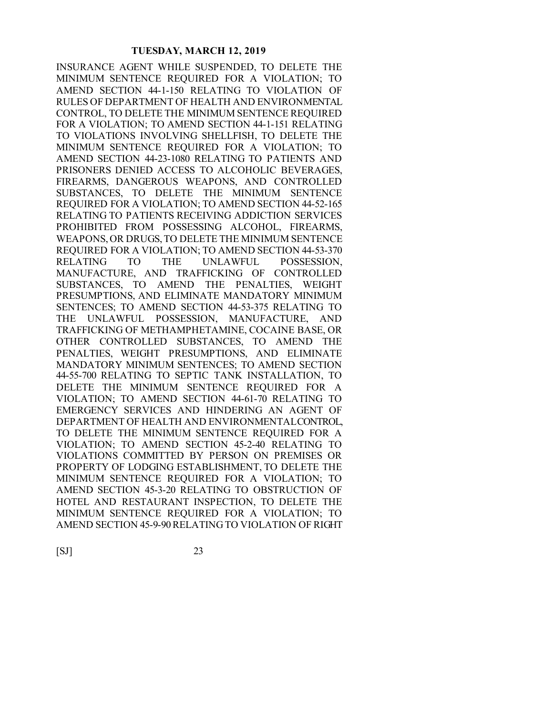INSURANCE AGENT WHILE SUSPENDED, TO DELETE THE MINIMUM SENTENCE REQUIRED FOR A VIOLATION; TO AMEND SECTION 44-1-150 RELATING TO VIOLATION OF RULES OF DEPARTMENT OF HEALTH AND ENVIRONMENTAL CONTROL, TO DELETE THE MINIMUM SENTENCE REQUIRED FOR A VIOLATION; TO AMEND SECTION 44-1-151 RELATING TO VIOLATIONS INVOLVING SHELLFISH, TO DELETE THE MINIMUM SENTENCE REQUIRED FOR A VIOLATION; TO AMEND SECTION 44-23-1080 RELATING TO PATIENTS AND PRISONERS DENIED ACCESS TO ALCOHOLIC BEVERAGES, FIREARMS, DANGEROUS WEAPONS, AND CONTROLLED SUBSTANCES, TO DELETE THE MINIMUM SENTENCE REQUIRED FOR A VIOLATION; TO AMEND SECTION 44-52-165 RELATING TO PATIENTS RECEIVING ADDICTION SERVICES PROHIBITED FROM POSSESSING ALCOHOL, FIREARMS, WEAPONS, OR DRUGS, TO DELETE THE MINIMUM SENTENCE REQUIRED FOR A VIOLATION; TO AMEND SECTION 44-53-370 RELATING TO THE UNLAWFUL POSSESSION, MANUFACTURE, AND TRAFFICKING OF CONTROLLED SUBSTANCES, TO AMEND THE PENALTIES, WEIGHT PRESUMPTIONS, AND ELIMINATE MANDATORY MINIMUM SENTENCES; TO AMEND SECTION 44-53-375 RELATING TO THE UNLAWFUL POSSESSION, MANUFACTURE, AND TRAFFICKING OF METHAMPHETAMINE, COCAINE BASE, OR OTHER CONTROLLED SUBSTANCES, TO AMEND THE PENALTIES, WEIGHT PRESUMPTIONS, AND ELIMINATE MANDATORY MINIMUM SENTENCES; TO AMEND SECTION 44-55-700 RELATING TO SEPTIC TANK INSTALLATION, TO DELETE THE MINIMUM SENTENCE REQUIRED FOR A VIOLATION; TO AMEND SECTION 44-61-70 RELATING TO EMERGENCY SERVICES AND HINDERING AN AGENT OF DEPARTMENT OF HEALTH AND ENVIRONMENTAL CONTROL, TO DELETE THE MINIMUM SENTENCE REQUIRED FOR A VIOLATION; TO AMEND SECTION 45-2-40 RELATING TO VIOLATIONS COMMITTED BY PERSON ON PREMISES OR PROPERTY OF LODGING ESTABLISHMENT, TO DELETE THE MINIMUM SENTENCE REQUIRED FOR A VIOLATION; TO AMEND SECTION 45-3-20 RELATING TO OBSTRUCTION OF HOTEL AND RESTAURANT INSPECTION, TO DELETE THE MINIMUM SENTENCE REQUIRED FOR A VIOLATION; TO AMEND SECTION 45-9-90 RELATING TO VIOLATION OF RIGHT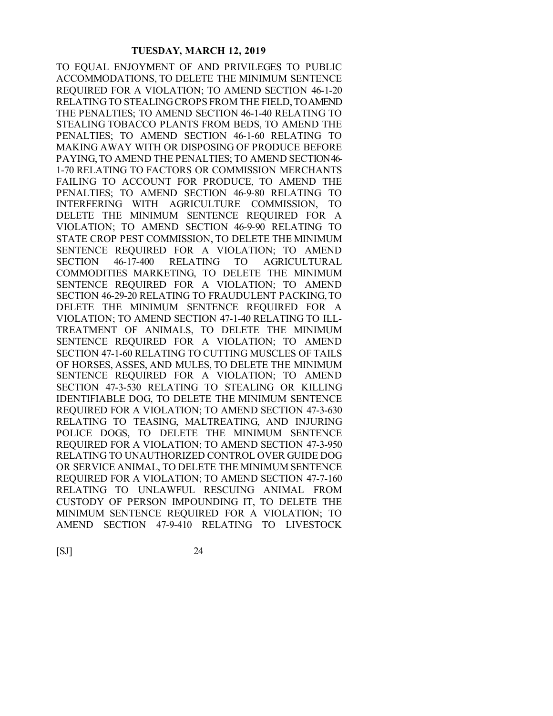TO EQUAL ENJOYMENT OF AND PRIVILEGES TO PUBLIC ACCOMMODATIONS, TO DELETE THE MINIMUM SENTENCE REQUIRED FOR A VIOLATION; TO AMEND SECTION 46-1-20 RELATING TO STEALING CROPS FROM THE FIELD, TO AMEND THE PENALTIES; TO AMEND SECTION 46-1-40 RELATING TO STEALING TOBACCO PLANTS FROM BEDS, TO AMEND THE PENALTIES; TO AMEND SECTION 46-1-60 RELATING TO MAKING AWAY WITH OR DISPOSING OF PRODUCE BEFORE PAYING, TO AMEND THE PENALTIES; TO AMEND SECTION 46- 1-70 RELATING TO FACTORS OR COMMISSION MERCHANTS FAILING TO ACCOUNT FOR PRODUCE, TO AMEND THE PENALTIES; TO AMEND SECTION 46-9-80 RELATING TO INTERFERING WITH AGRICULTURE COMMISSION, TO DELETE THE MINIMUM SENTENCE REQUIRED FOR A VIOLATION; TO AMEND SECTION 46-9-90 RELATING TO STATE CROP PEST COMMISSION, TO DELETE THE MINIMUM SENTENCE REQUIRED FOR A VIOLATION; TO AMEND SECTION 46-17-400 RELATING TO AGRICULTURAL COMMODITIES MARKETING, TO DELETE THE MINIMUM SENTENCE REQUIRED FOR A VIOLATION; TO AMEND SECTION 46-29-20 RELATING TO FRAUDULENT PACKING, TO DELETE THE MINIMUM SENTENCE REQUIRED FOR A VIOLATION; TO AMEND SECTION 47-1-40 RELATING TO ILL-TREATMENT OF ANIMALS, TO DELETE THE MINIMUM SENTENCE REQUIRED FOR A VIOLATION; TO AMEND SECTION 47-1-60 RELATING TO CUTTING MUSCLES OF TAILS OF HORSES, ASSES, AND MULES, TO DELETE THE MINIMUM SENTENCE REQUIRED FOR A VIOLATION; TO AMEND SECTION 47-3-530 RELATING TO STEALING OR KILLING IDENTIFIABLE DOG, TO DELETE THE MINIMUM SENTENCE REQUIRED FOR A VIOLATION; TO AMEND SECTION 47-3-630 RELATING TO TEASING, MALTREATING, AND INJURING POLICE DOGS, TO DELETE THE MINIMUM SENTENCE REQUIRED FOR A VIOLATION; TO AMEND SECTION 47-3-950 RELATING TO UNAUTHORIZED CONTROL OVER GUIDE DOG OR SERVICE ANIMAL, TO DELETE THE MINIMUM SENTENCE REQUIRED FOR A VIOLATION; TO AMEND SECTION 47-7-160 RELATING TO UNLAWFUL RESCUING ANIMAL FROM CUSTODY OF PERSON IMPOUNDING IT, TO DELETE THE MINIMUM SENTENCE REQUIRED FOR A VIOLATION; TO AMEND SECTION 47-9-410 RELATING TO LIVESTOCK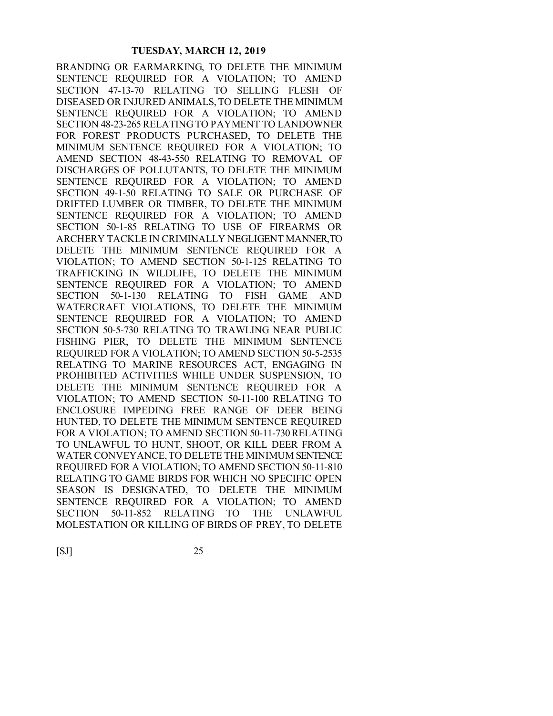BRANDING OR EARMARKING, TO DELETE THE MINIMUM SENTENCE REQUIRED FOR A VIOLATION; TO AMEND SECTION 47-13-70 RELATING TO SELLING FLESH OF DISEASED OR INJURED ANIMALS, TO DELETE THE MINIMUM SENTENCE REQUIRED FOR A VIOLATION; TO AMEND SECTION 48-23-265 RELATING TO PAYMENT TO LANDOWNER FOR FOREST PRODUCTS PURCHASED, TO DELETE THE MINIMUM SENTENCE REQUIRED FOR A VIOLATION; TO AMEND SECTION 48-43-550 RELATING TO REMOVAL OF DISCHARGES OF POLLUTANTS, TO DELETE THE MINIMUM SENTENCE REQUIRED FOR A VIOLATION; TO AMEND SECTION 49-1-50 RELATING TO SALE OR PURCHASE OF DRIFTED LUMBER OR TIMBER, TO DELETE THE MINIMUM SENTENCE REQUIRED FOR A VIOLATION; TO AMEND SECTION 50-1-85 RELATING TO USE OF FIREARMS OR ARCHERY TACKLE IN CRIMINALLY NEGLIGENT MANNER, TO DELETE THE MINIMUM SENTENCE REQUIRED FOR A VIOLATION; TO AMEND SECTION 50-1-125 RELATING TO TRAFFICKING IN WILDLIFE, TO DELETE THE MINIMUM SENTENCE REQUIRED FOR A VIOLATION; TO AMEND SECTION 50-1-130 RELATING TO FISH GAME AND WATERCRAFT VIOLATIONS, TO DELETE THE MINIMUM SENTENCE REQUIRED FOR A VIOLATION; TO AMEND SECTION 50-5-730 RELATING TO TRAWLING NEAR PUBLIC FISHING PIER, TO DELETE THE MINIMUM SENTENCE REQUIRED FOR A VIOLATION; TO AMEND SECTION 50-5-2535 RELATING TO MARINE RESOURCES ACT, ENGAGING IN PROHIBITED ACTIVITIES WHILE UNDER SUSPENSION, TO DELETE THE MINIMUM SENTENCE REQUIRED FOR A VIOLATION; TO AMEND SECTION 50-11-100 RELATING TO ENCLOSURE IMPEDING FREE RANGE OF DEER BEING HUNTED, TO DELETE THE MINIMUM SENTENCE REQUIRED FOR A VIOLATION; TO AMEND SECTION 50-11-730 RELATING TO UNLAWFUL TO HUNT, SHOOT, OR KILL DEER FROM A WATER CONVEYANCE, TO DELETE THE MINIMUM SENTENCE REQUIRED FOR A VIOLATION; TO AMEND SECTION 50-11-810 RELATING TO GAME BIRDS FOR WHICH NO SPECIFIC OPEN SEASON IS DESIGNATED, TO DELETE THE MINIMUM SENTENCE REQUIRED FOR A VIOLATION; TO AMEND SECTION 50-11-852 RELATING TO THE UNLAWFUL MOLESTATION OR KILLING OF BIRDS OF PREY, TO DELETE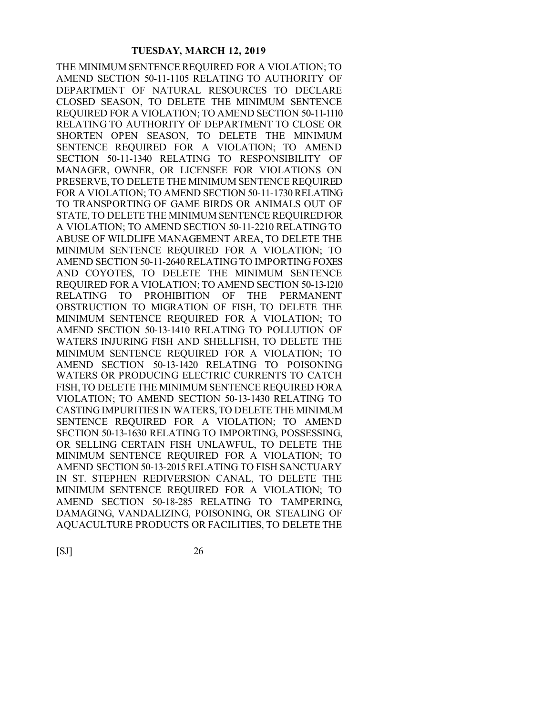THE MINIMUM SENTENCE REQUIRED FOR A VIOLATION; TO AMEND SECTION 50-11-1105 RELATING TO AUTHORITY OF DEPARTMENT OF NATURAL RESOURCES TO DECLARE CLOSED SEASON, TO DELETE THE MINIMUM SENTENCE REQUIRED FOR A VIOLATION; TO AMEND SECTION 50-11-1110 RELATING TO AUTHORITY OF DEPARTMENT TO CLOSE OR SHORTEN OPEN SEASON, TO DELETE THE MINIMUM SENTENCE REQUIRED FOR A VIOLATION; TO AMEND SECTION 50-11-1340 RELATING TO RESPONSIBILITY OF MANAGER, OWNER, OR LICENSEE FOR VIOLATIONS ON PRESERVE, TO DELETE THE MINIMUM SENTENCE REQUIRED FOR A VIOLATION; TO AMEND SECTION 50-11-1730 RELATING TO TRANSPORTING OF GAME BIRDS OR ANIMALS OUT OF STATE, TO DELETE THE MINIMUM SENTENCE REQUIRED FOR A VIOLATION; TO AMEND SECTION 50-11-2210 RELATING TO ABUSE OF WILDLIFE MANAGEMENT AREA, TO DELETE THE MINIMUM SENTENCE REQUIRED FOR A VIOLATION; TO AMEND SECTION 50-11-2640 RELATING TO IMPORTING FOXES AND COYOTES, TO DELETE THE MINIMUM SENTENCE REQUIRED FOR A VIOLATION; TO AMEND SECTION 50-13-1210 RELATING TO PROHIBITION OF THE PERMANENT OBSTRUCTION TO MIGRATION OF FISH, TO DELETE THE MINIMUM SENTENCE REQUIRED FOR A VIOLATION; TO AMEND SECTION 50-13-1410 RELATING TO POLLUTION OF WATERS INJURING FISH AND SHELLFISH, TO DELETE THE MINIMUM SENTENCE REQUIRED FOR A VIOLATION; TO AMEND SECTION 50-13-1420 RELATING TO POISONING WATERS OR PRODUCING ELECTRIC CURRENTS TO CATCH FISH, TO DELETE THE MINIMUM SENTENCE REQUIRED FOR A VIOLATION; TO AMEND SECTION 50-13-1430 RELATING TO CASTING IMPURITIES IN WATERS, TO DELETE THE MINIMUM SENTENCE REQUIRED FOR A VIOLATION; TO AMEND SECTION 50-13-1630 RELATING TO IMPORTING, POSSESSING, OR SELLING CERTAIN FISH UNLAWFUL, TO DELETE THE MINIMUM SENTENCE REQUIRED FOR A VIOLATION; TO AMEND SECTION 50-13-2015 RELATING TO FISH SANCTUARY IN ST. STEPHEN REDIVERSION CANAL, TO DELETE THE MINIMUM SENTENCE REQUIRED FOR A VIOLATION; TO AMEND SECTION 50-18-285 RELATING TO TAMPERING, DAMAGING, VANDALIZING, POISONING, OR STEALING OF AQUACULTURE PRODUCTS OR FACILITIES, TO DELETE THE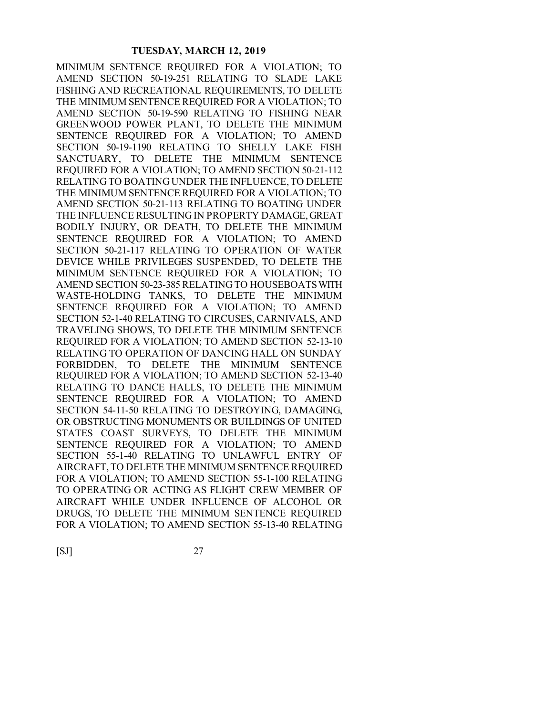MINIMUM SENTENCE REQUIRED FOR A VIOLATION; TO AMEND SECTION 50-19-251 RELATING TO SLADE LAKE FISHING AND RECREATIONAL REQUIREMENTS, TO DELETE THE MINIMUM SENTENCE REQUIRED FOR A VIOLATION; TO AMEND SECTION 50-19-590 RELATING TO FISHING NEAR GREENWOOD POWER PLANT, TO DELETE THE MINIMUM SENTENCE REQUIRED FOR A VIOLATION; TO AMEND SECTION 50-19-1190 RELATING TO SHELLY LAKE FISH SANCTUARY, TO DELETE THE MINIMUM SENTENCE REQUIRED FOR A VIOLATION; TO AMEND SECTION 50-21-112 RELATING TO BOATING UNDER THE INFLUENCE, TO DELETE THE MINIMUM SENTENCE REQUIRED FOR A VIOLATION; TO AMEND SECTION 50-21-113 RELATING TO BOATING UNDER THE INFLUENCE RESULTING IN PROPERTY DAMAGE, GREAT BODILY INJURY, OR DEATH, TO DELETE THE MINIMUM SENTENCE REQUIRED FOR A VIOLATION; TO AMEND SECTION 50-21-117 RELATING TO OPERATION OF WATER DEVICE WHILE PRIVILEGES SUSPENDED, TO DELETE THE MINIMUM SENTENCE REQUIRED FOR A VIOLATION; TO AMEND SECTION 50-23-385 RELATING TO HOUSEBOATS WITH WASTE-HOLDING TANKS, TO DELETE THE MINIMUM SENTENCE REQUIRED FOR A VIOLATION; TO AMEND SECTION 52-1-40 RELATING TO CIRCUSES, CARNIVALS, AND TRAVELING SHOWS, TO DELETE THE MINIMUM SENTENCE REQUIRED FOR A VIOLATION; TO AMEND SECTION 52-13-10 RELATING TO OPERATION OF DANCING HALL ON SUNDAY FORBIDDEN, TO DELETE THE MINIMUM SENTENCE REQUIRED FOR A VIOLATION; TO AMEND SECTION 52-13-40 RELATING TO DANCE HALLS, TO DELETE THE MINIMUM SENTENCE REQUIRED FOR A VIOLATION; TO AMEND SECTION 54-11-50 RELATING TO DESTROYING, DAMAGING, OR OBSTRUCTING MONUMENTS OR BUILDINGS OF UNITED STATES COAST SURVEYS, TO DELETE THE MINIMUM SENTENCE REQUIRED FOR A VIOLATION; TO AMEND SECTION 55-1-40 RELATING TO UNLAWFUL ENTRY OF AIRCRAFT, TO DELETE THE MINIMUM SENTENCE REQUIRED FOR A VIOLATION; TO AMEND SECTION 55-1-100 RELATING TO OPERATING OR ACTING AS FLIGHT CREW MEMBER OF AIRCRAFT WHILE UNDER INFLUENCE OF ALCOHOL OR DRUGS, TO DELETE THE MINIMUM SENTENCE REQUIRED FOR A VIOLATION; TO AMEND SECTION 55-13-40 RELATING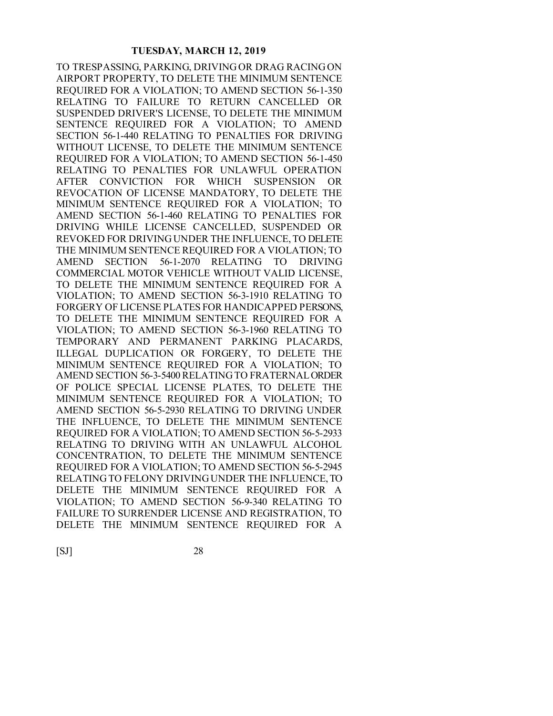TO TRESPASSING, PARKING, DRIVING OR DRAG RACING ON AIRPORT PROPERTY, TO DELETE THE MINIMUM SENTENCE REQUIRED FOR A VIOLATION; TO AMEND SECTION 56-1-350 RELATING TO FAILURE TO RETURN CANCELLED OR SUSPENDED DRIVER'S LICENSE, TO DELETE THE MINIMUM SENTENCE REQUIRED FOR A VIOLATION; TO AMEND SECTION 56-1-440 RELATING TO PENALTIES FOR DRIVING WITHOUT LICENSE, TO DELETE THE MINIMUM SENTENCE REQUIRED FOR A VIOLATION; TO AMEND SECTION 56-1-450 RELATING TO PENALTIES FOR UNLAWFUL OPERATION AFTER CONVICTION FOR WHICH SUSPENSION OR REVOCATION OF LICENSE MANDATORY, TO DELETE THE MINIMUM SENTENCE REQUIRED FOR A VIOLATION; TO AMEND SECTION 56-1-460 RELATING TO PENALTIES FOR DRIVING WHILE LICENSE CANCELLED, SUSPENDED OR REVOKED FOR DRIVING UNDER THE INFLUENCE, TO DELETE THE MINIMUM SENTENCE REQUIRED FOR A VIOLATION; TO AMEND SECTION 56-1-2070 RELATING TO DRIVING COMMERCIAL MOTOR VEHICLE WITHOUT VALID LICENSE, TO DELETE THE MINIMUM SENTENCE REQUIRED FOR A VIOLATION; TO AMEND SECTION 56-3-1910 RELATING TO FORGERY OF LICENSE PLATES FOR HANDICAPPED PERSONS, TO DELETE THE MINIMUM SENTENCE REQUIRED FOR A VIOLATION; TO AMEND SECTION 56-3-1960 RELATING TO TEMPORARY AND PERMANENT PARKING PLACARDS, ILLEGAL DUPLICATION OR FORGERY, TO DELETE THE MINIMUM SENTENCE REQUIRED FOR A VIOLATION; TO AMEND SECTION 56-3-5400 RELATING TO FRATERNAL ORDER OF POLICE SPECIAL LICENSE PLATES, TO DELETE THE MINIMUM SENTENCE REQUIRED FOR A VIOLATION; TO AMEND SECTION 56-5-2930 RELATING TO DRIVING UNDER THE INFLUENCE, TO DELETE THE MINIMUM SENTENCE REQUIRED FOR A VIOLATION; TO AMEND SECTION 56-5-2933 RELATING TO DRIVING WITH AN UNLAWFUL ALCOHOL CONCENTRATION, TO DELETE THE MINIMUM SENTENCE REQUIRED FOR A VIOLATION; TO AMEND SECTION 56-5-2945 RELATING TO FELONY DRIVING UNDER THE INFLUENCE, TO DELETE THE MINIMUM SENTENCE REQUIRED FOR A VIOLATION; TO AMEND SECTION 56-9-340 RELATING TO FAILURE TO SURRENDER LICENSE AND REGISTRATION, TO DELETE THE MINIMUM SENTENCE REQUIRED FOR A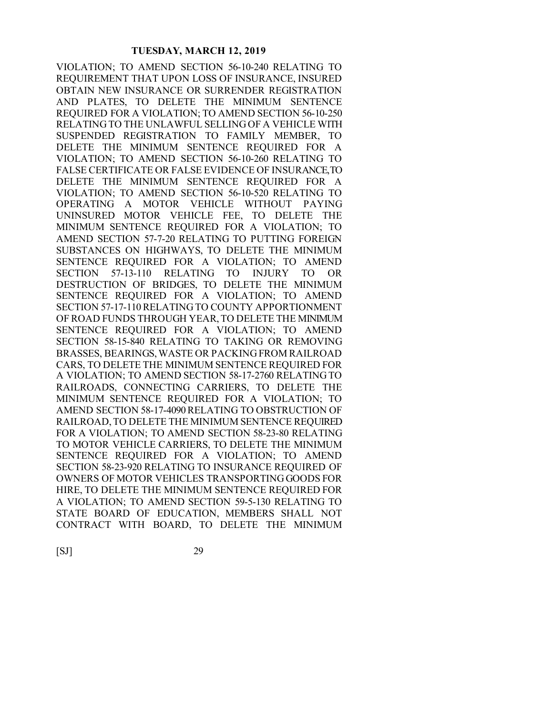VIOLATION; TO AMEND SECTION 56-10-240 RELATING TO REQUIREMENT THAT UPON LOSS OF INSURANCE, INSURED OBTAIN NEW INSURANCE OR SURRENDER REGISTRATION AND PLATES, TO DELETE THE MINIMUM SENTENCE REQUIRED FOR A VIOLATION; TO AMEND SECTION 56-10-250 RELATING TO THE UNLAWFUL SELLING OF A VEHICLE WITH SUSPENDED REGISTRATION TO FAMILY MEMBER, TO DELETE THE MINIMUM SENTENCE REQUIRED FOR A VIOLATION; TO AMEND SECTION 56-10-260 RELATING TO FALSE CERTIFICATE OR FALSE EVIDENCE OF INSURANCE, TO DELETE THE MINIMUM SENTENCE REQUIRED FOR A VIOLATION; TO AMEND SECTION 56-10-520 RELATING TO OPERATING A MOTOR VEHICLE WITHOUT PAYING UNINSURED MOTOR VEHICLE FEE, TO DELETE THE MINIMUM SENTENCE REQUIRED FOR A VIOLATION; TO AMEND SECTION 57-7-20 RELATING TO PUTTING FOREIGN SUBSTANCES ON HIGHWAYS, TO DELETE THE MINIMUM SENTENCE REQUIRED FOR A VIOLATION; TO AMEND SECTION 57-13-110 RELATING TO INJURY TO OR DESTRUCTION OF BRIDGES, TO DELETE THE MINIMUM SENTENCE REQUIRED FOR A VIOLATION; TO AMEND SECTION 57-17-110 RELATING TO COUNTY APPORTIONMENT OF ROAD FUNDS THROUGH YEAR, TO DELETE THE MINIMUM SENTENCE REQUIRED FOR A VIOLATION; TO AMEND SECTION 58-15-840 RELATING TO TAKING OR REMOVING BRASSES, BEARINGS, WASTE OR PACKING FROM RAILROAD CARS, TO DELETE THE MINIMUM SENTENCE REQUIRED FOR A VIOLATION; TO AMEND SECTION 58-17-2760 RELATING TO RAILROADS, CONNECTING CARRIERS, TO DELETE THE MINIMUM SENTENCE REQUIRED FOR A VIOLATION; TO AMEND SECTION 58-17-4090 RELATING TO OBSTRUCTION OF RAILROAD, TO DELETE THE MINIMUM SENTENCE REQUIRED FOR A VIOLATION; TO AMEND SECTION 58-23-80 RELATING TO MOTOR VEHICLE CARRIERS, TO DELETE THE MINIMUM SENTENCE REQUIRED FOR A VIOLATION; TO AMEND SECTION 58-23-920 RELATING TO INSURANCE REQUIRED OF OWNERS OF MOTOR VEHICLES TRANSPORTING GOODS FOR HIRE, TO DELETE THE MINIMUM SENTENCE REQUIRED FOR A VIOLATION; TO AMEND SECTION 59-5-130 RELATING TO STATE BOARD OF EDUCATION, MEMBERS SHALL NOT CONTRACT WITH BOARD, TO DELETE THE MINIMUM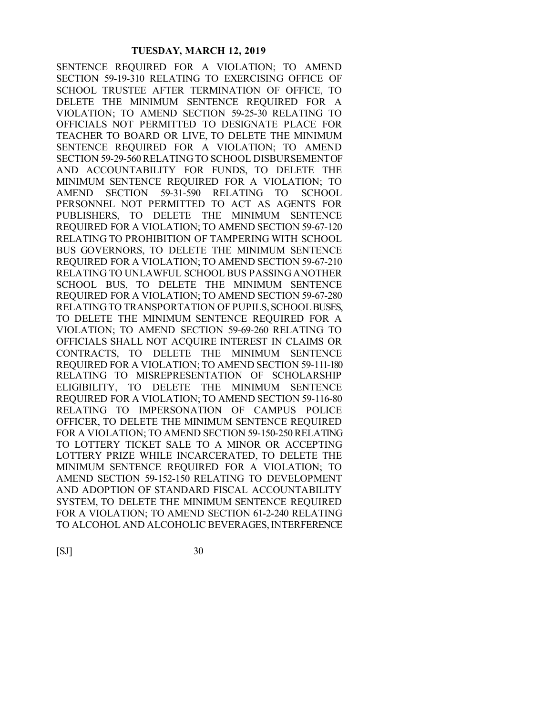SENTENCE REQUIRED FOR A VIOLATION; TO AMEND SECTION 59-19-310 RELATING TO EXERCISING OFFICE OF SCHOOL TRUSTEE AFTER TERMINATION OF OFFICE, TO DELETE THE MINIMUM SENTENCE REQUIRED FOR A VIOLATION; TO AMEND SECTION 59-25-30 RELATING TO OFFICIALS NOT PERMITTED TO DESIGNATE PLACE FOR TEACHER TO BOARD OR LIVE, TO DELETE THE MINIMUM SENTENCE REQUIRED FOR A VIOLATION; TO AMEND SECTION 59-29-560 RELATING TO SCHOOL DISBURSEMENT OF AND ACCOUNTABILITY FOR FUNDS, TO DELETE THE MINIMUM SENTENCE REQUIRED FOR A VIOLATION; TO AMEND SECTION 59-31-590 RELATING TO SCHOOL PERSONNEL NOT PERMITTED TO ACT AS AGENTS FOR PUBLISHERS, TO DELETE THE MINIMUM SENTENCE REQUIRED FOR A VIOLATION; TO AMEND SECTION 59-67-120 RELATING TO PROHIBITION OF TAMPERING WITH SCHOOL BUS GOVERNORS, TO DELETE THE MINIMUM SENTENCE REQUIRED FOR A VIOLATION; TO AMEND SECTION 59-67-210 RELATING TO UNLAWFUL SCHOOL BUS PASSING ANOTHER SCHOOL BUS, TO DELETE THE MINIMUM SENTENCE REQUIRED FOR A VIOLATION; TO AMEND SECTION 59-67-280 RELATING TO TRANSPORTATION OF PUPILS, SCHOOL BUSES, TO DELETE THE MINIMUM SENTENCE REQUIRED FOR A VIOLATION; TO AMEND SECTION 59-69-260 RELATING TO OFFICIALS SHALL NOT ACQUIRE INTEREST IN CLAIMS OR CONTRACTS, TO DELETE THE MINIMUM SENTENCE REQUIRED FOR A VIOLATION; TO AMEND SECTION 59-111-180 RELATING TO MISREPRESENTATION OF SCHOLARSHIP ELIGIBILITY, TO DELETE THE MINIMUM SENTENCE REQUIRED FOR A VIOLATION; TO AMEND SECTION 59-116-80 RELATING TO IMPERSONATION OF CAMPUS POLICE OFFICER, TO DELETE THE MINIMUM SENTENCE REQUIRED FOR A VIOLATION; TO AMEND SECTION 59-150-250 RELATING TO LOTTERY TICKET SALE TO A MINOR OR ACCEPTING LOTTERY PRIZE WHILE INCARCERATED, TO DELETE THE MINIMUM SENTENCE REQUIRED FOR A VIOLATION; TO AMEND SECTION 59-152-150 RELATING TO DEVELOPMENT AND ADOPTION OF STANDARD FISCAL ACCOUNTABILITY SYSTEM, TO DELETE THE MINIMUM SENTENCE REQUIRED FOR A VIOLATION; TO AMEND SECTION 61-2-240 RELATING TO ALCOHOL AND ALCOHOLIC BEVERAGES, INTERFERENCE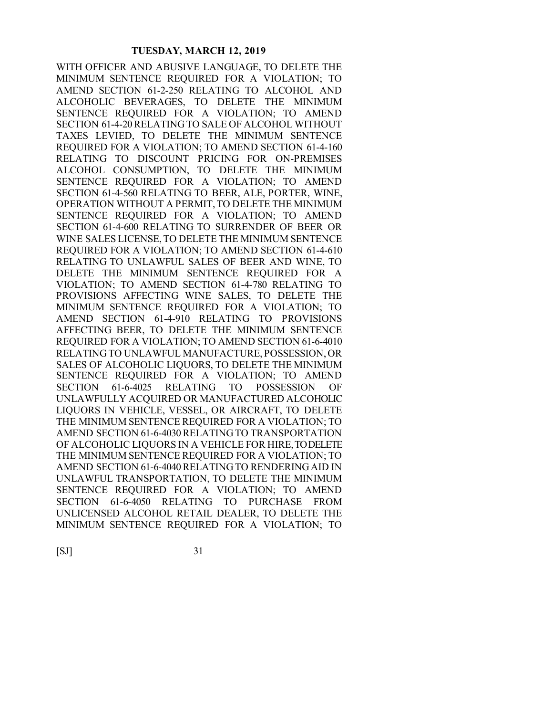WITH OFFICER AND ABUSIVE LANGUAGE, TO DELETE THE MINIMUM SENTENCE REQUIRED FOR A VIOLATION; TO AMEND SECTION 61-2-250 RELATING TO ALCOHOL AND ALCOHOLIC BEVERAGES, TO DELETE THE MINIMUM SENTENCE REQUIRED FOR A VIOLATION; TO AMEND SECTION 61-4-20 RELATING TO SALE OF ALCOHOL WITHOUT TAXES LEVIED, TO DELETE THE MINIMUM SENTENCE REQUIRED FOR A VIOLATION; TO AMEND SECTION 61-4-160 RELATING TO DISCOUNT PRICING FOR ON-PREMISES ALCOHOL CONSUMPTION, TO DELETE THE MINIMUM SENTENCE REQUIRED FOR A VIOLATION; TO AMEND SECTION 61-4-560 RELATING TO BEER, ALE, PORTER, WINE, OPERATION WITHOUT A PERMIT, TO DELETE THE MINIMUM SENTENCE REQUIRED FOR A VIOLATION; TO AMEND SECTION 61-4-600 RELATING TO SURRENDER OF BEER OR WINE SALES LICENSE, TO DELETE THE MINIMUM SENTENCE REQUIRED FOR A VIOLATION; TO AMEND SECTION 61-4-610 RELATING TO UNLAWFUL SALES OF BEER AND WINE, TO DELETE THE MINIMUM SENTENCE REQUIRED FOR A VIOLATION; TO AMEND SECTION 61-4-780 RELATING TO PROVISIONS AFFECTING WINE SALES, TO DELETE THE MINIMUM SENTENCE REQUIRED FOR A VIOLATION; TO AMEND SECTION 61-4-910 RELATING TO PROVISIONS AFFECTING BEER, TO DELETE THE MINIMUM SENTENCE REQUIRED FOR A VIOLATION; TO AMEND SECTION 61-6-4010 RELATING TO UNLAWFUL MANUFACTURE, POSSESSION, OR SALES OF ALCOHOLIC LIQUORS, TO DELETE THE MINIMUM SENTENCE REQUIRED FOR A VIOLATION; TO AMEND SECTION 61-6-4025 RELATING TO POSSESSION OF UNLAWFULLY ACQUIRED OR MANUFACTURED ALCOHOLIC LIQUORS IN VEHICLE, VESSEL, OR AIRCRAFT, TO DELETE THE MINIMUM SENTENCE REQUIRED FOR A VIOLATION; TO AMEND SECTION 61-6-4030 RELATING TO TRANSPORTATION OF ALCOHOLIC LIQUORS IN A VEHICLE FOR HIRE, TO DELETE THE MINIMUM SENTENCE REQUIRED FOR A VIOLATION; TO AMEND SECTION 61-6-4040 RELATING TO RENDERING AID IN UNLAWFUL TRANSPORTATION, TO DELETE THE MINIMUM SENTENCE REQUIRED FOR A VIOLATION; TO AMEND SECTION 61-6-4050 RELATING TO PURCHASE FROM UNLICENSED ALCOHOL RETAIL DEALER, TO DELETE THE MINIMUM SENTENCE REQUIRED FOR A VIOLATION; TO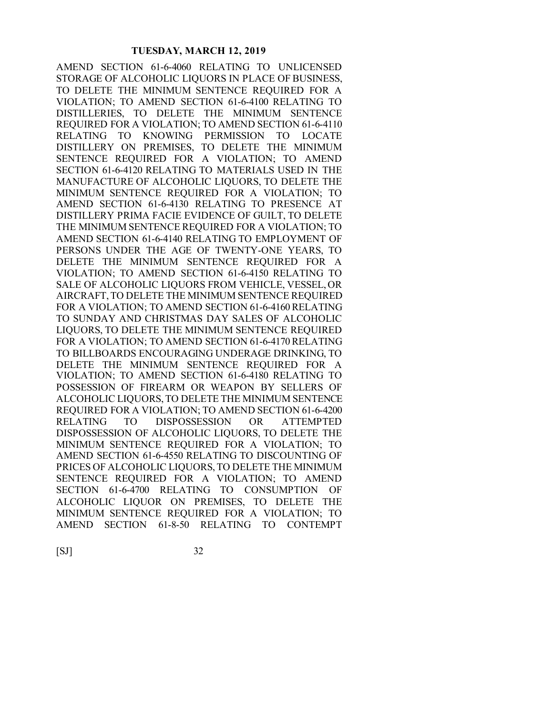AMEND SECTION 61-6-4060 RELATING TO UNLICENSED STORAGE OF ALCOHOLIC LIQUORS IN PLACE OF BUSINESS, TO DELETE THE MINIMUM SENTENCE REQUIRED FOR A VIOLATION; TO AMEND SECTION 61-6-4100 RELATING TO DISTILLERIES, TO DELETE THE MINIMUM SENTENCE REQUIRED FOR A VIOLATION; TO AMEND SECTION 61-6-4110 RELATING TO KNOWING PERMISSION TO LOCATE DISTILLERY ON PREMISES, TO DELETE THE MINIMUM SENTENCE REQUIRED FOR A VIOLATION; TO AMEND SECTION 61-6-4120 RELATING TO MATERIALS USED IN THE MANUFACTURE OF ALCOHOLIC LIQUORS, TO DELETE THE MINIMUM SENTENCE REQUIRED FOR A VIOLATION; TO AMEND SECTION 61-6-4130 RELATING TO PRESENCE AT DISTILLERY PRIMA FACIE EVIDENCE OF GUILT, TO DELETE THE MINIMUM SENTENCE REQUIRED FOR A VIOLATION; TO AMEND SECTION 61-6-4140 RELATING TO EMPLOYMENT OF PERSONS UNDER THE AGE OF TWENTY-ONE YEARS, TO DELETE THE MINIMUM SENTENCE REQUIRED FOR A VIOLATION; TO AMEND SECTION 61-6-4150 RELATING TO SALE OF ALCOHOLIC LIQUORS FROM VEHICLE, VESSEL, OR AIRCRAFT, TO DELETE THE MINIMUM SENTENCE REQUIRED FOR A VIOLATION; TO AMEND SECTION 61-6-4160 RELATING TO SUNDAY AND CHRISTMAS DAY SALES OF ALCOHOLIC LIQUORS, TO DELETE THE MINIMUM SENTENCE REQUIRED FOR A VIOLATION; TO AMEND SECTION 61-6-4170 RELATING TO BILLBOARDS ENCOURAGING UNDERAGE DRINKING, TO DELETE THE MINIMUM SENTENCE REQUIRED FOR A VIOLATION; TO AMEND SECTION 61-6-4180 RELATING TO POSSESSION OF FIREARM OR WEAPON BY SELLERS OF ALCOHOLIC LIQUORS, TO DELETE THE MINIMUM SENTENCE REQUIRED FOR A VIOLATION; TO AMEND SECTION 61-6-4200 RELATING TO DISPOSSESSION OR ATTEMPTED DISPOSSESSION OF ALCOHOLIC LIQUORS, TO DELETE THE MINIMUM SENTENCE REQUIRED FOR A VIOLATION; TO AMEND SECTION 61-6-4550 RELATING TO DISCOUNTING OF PRICES OF ALCOHOLIC LIQUORS, TO DELETE THE MINIMUM SENTENCE REQUIRED FOR A VIOLATION; TO AMEND SECTION 61-6-4700 RELATING TO CONSUMPTION OF ALCOHOLIC LIQUOR ON PREMISES, TO DELETE THE MINIMUM SENTENCE REQUIRED FOR A VIOLATION; TO AMEND SECTION 61-8-50 RELATING TO CONTEMPT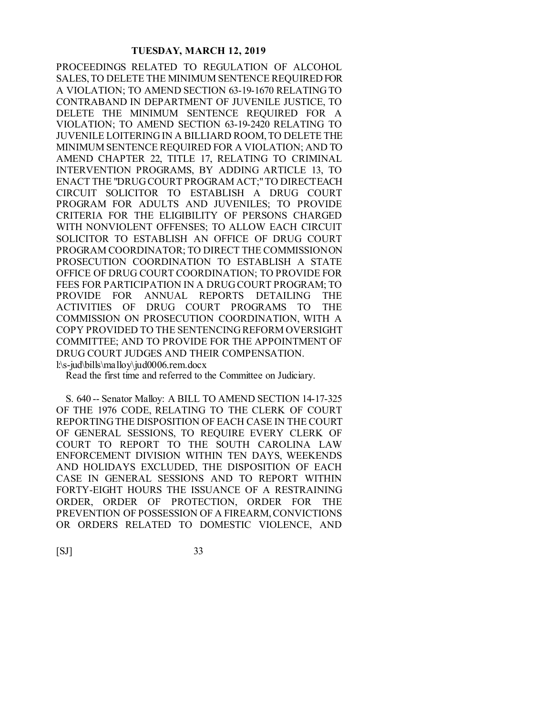PROCEEDINGS RELATED TO REGULATION OF ALCOHOL SALES, TO DELETE THE MINIMUM SENTENCE REQUIRED FOR A VIOLATION; TO AMEND SECTION 63-19-1670 RELATING TO CONTRABAND IN DEPARTMENT OF JUVENILE JUSTICE, TO DELETE THE MINIMUM SENTENCE REQUIRED FOR A VIOLATION; TO AMEND SECTION 63-19-2420 RELATING TO JUVENILE LOITERING IN A BILLIARD ROOM, TO DELETE THE MINIMUM SENTENCE REQUIRED FOR A VIOLATION; AND TO AMEND CHAPTER 22, TITLE 17, RELATING TO CRIMINAL INTERVENTION PROGRAMS, BY ADDING ARTICLE 13, TO ENACT THE "DRUG COURT PROGRAM ACT;" TO DIRECTEACH CIRCUIT SOLICITOR TO ESTABLISH A DRUG COURT PROGRAM FOR ADULTS AND JUVENILES; TO PROVIDE CRITERIA FOR THE ELIGIBILITY OF PERSONS CHARGED WITH NONVIOLENT OFFENSES; TO ALLOW EACH CIRCUIT SOLICITOR TO ESTABLISH AN OFFICE OF DRUG COURT PROGRAM COORDINATOR; TO DIRECT THE COMMISSION ON PROSECUTION COORDINATION TO ESTABLISH A STATE OFFICE OF DRUG COURT COORDINATION; TO PROVIDE FOR FEES FOR PARTICIPATION IN A DRUG COURT PROGRAM; TO PROVIDE FOR ANNUAL REPORTS DETAILING THE ACTIVITIES OF DRUG COURT PROGRAMS TO THE COMMISSION ON PROSECUTION COORDINATION, WITH A COPY PROVIDED TO THE SENTENCING REFORM OVERSIGHT COMMITTEE; AND TO PROVIDE FOR THE APPOINTMENT OF DRUG COURT JUDGES AND THEIR COMPENSATION. l:\s-jud\bills\malloy\jud0006.rem.docx

Read the first time and referred to the Committee on Judiciary.

S. 640 -- Senator Malloy: A BILL TO AMEND SECTION 14-17-325 OF THE 1976 CODE, RELATING TO THE CLERK OF COURT REPORTING THE DISPOSITION OF EACH CASE IN THE COURT OF GENERAL SESSIONS, TO REQUIRE EVERY CLERK OF COURT TO REPORT TO THE SOUTH CAROLINA LAW ENFORCEMENT DIVISION WITHIN TEN DAYS, WEEKENDS AND HOLIDAYS EXCLUDED, THE DISPOSITION OF EACH CASE IN GENERAL SESSIONS AND TO REPORT WITHIN FORTY-EIGHT HOURS THE ISSUANCE OF A RESTRAINING ORDER, ORDER OF PROTECTION, ORDER FOR THE PREVENTION OF POSSESSION OF A FIREARM, CONVICTIONS OR ORDERS RELATED TO DOMESTIC VIOLENCE, AND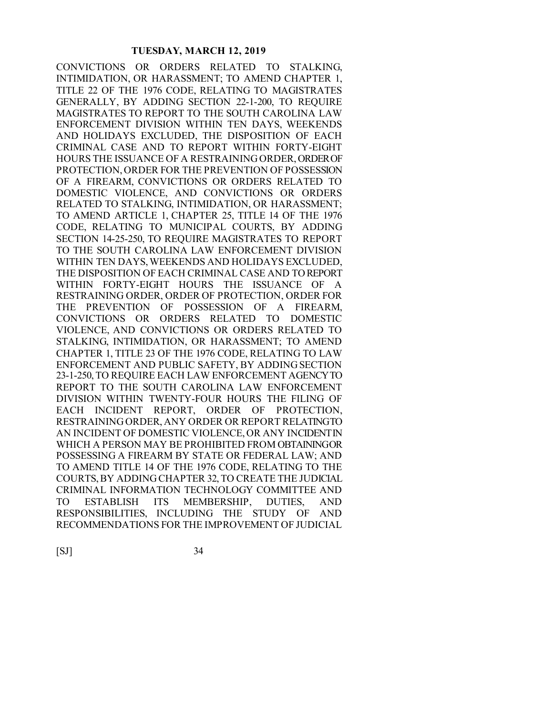CONVICTIONS OR ORDERS RELATED TO STALKING, INTIMIDATION, OR HARASSMENT; TO AMEND CHAPTER 1, TITLE 22 OF THE 1976 CODE, RELATING TO MAGISTRATES GENERALLY, BY ADDING SECTION 22-1-200, TO REQUIRE MAGISTRATES TO REPORT TO THE SOUTH CAROLINA LAW ENFORCEMENT DIVISION WITHIN TEN DAYS, WEEKENDS AND HOLIDAYS EXCLUDED, THE DISPOSITION OF EACH CRIMINAL CASE AND TO REPORT WITHIN FORTY-EIGHT HOURS THE ISSUANCE OF A RESTRAINING ORDER, ORDER OF PROTECTION, ORDER FOR THE PREVENTION OF POSSESSION OF A FIREARM, CONVICTIONS OR ORDERS RELATED TO DOMESTIC VIOLENCE, AND CONVICTIONS OR ORDERS RELATED TO STALKING, INTIMIDATION, OR HARASSMENT; TO AMEND ARTICLE 1, CHAPTER 25, TITLE 14 OF THE 1976 CODE, RELATING TO MUNICIPAL COURTS, BY ADDING SECTION 14-25-250, TO REQUIRE MAGISTRATES TO REPORT TO THE SOUTH CAROLINA LAW ENFORCEMENT DIVISION WITHIN TEN DAYS, WEEKENDS AND HOLIDAYS EXCLUDED, THE DISPOSITION OF EACH CRIMINAL CASE AND TO REPORT WITHIN FORTY-EIGHT HOURS THE ISSUANCE OF A RESTRAINING ORDER, ORDER OF PROTECTION, ORDER FOR THE PREVENTION OF POSSESSION OF A FIREARM, CONVICTIONS OR ORDERS RELATED TO DOMESTIC VIOLENCE, AND CONVICTIONS OR ORDERS RELATED TO STALKING, INTIMIDATION, OR HARASSMENT; TO AMEND CHAPTER 1, TITLE 23 OF THE 1976 CODE, RELATING TO LAW ENFORCEMENT AND PUBLIC SAFETY, BY ADDING SECTION 23-1-250, TO REQUIRE EACH LAW ENFORCEMENT AGENCY TO REPORT TO THE SOUTH CAROLINA LAW ENFORCEMENT DIVISION WITHIN TWENTY-FOUR HOURS THE FILING OF EACH INCIDENT REPORT, ORDER OF PROTECTION, RESTRAINING ORDER, ANY ORDER OR REPORT RELATING TO AN INCIDENT OF DOMESTIC VIOLENCE, OR ANY INCIDENT IN WHICH A PERSON MAY BE PROHIBITED FROM OBTAININGOR POSSESSING A FIREARM BY STATE OR FEDERAL LAW; AND TO AMEND TITLE 14 OF THE 1976 CODE, RELATING TO THE COURTS, BY ADDING CHAPTER 32, TO CREATE THE JUDICIAL CRIMINAL INFORMATION TECHNOLOGY COMMITTEE AND TO ESTABLISH ITS MEMBERSHIP, DUTIES, AND RESPONSIBILITIES, INCLUDING THE STUDY OF AND RECOMMENDATIONS FOR THE IMPROVEMENT OF JUDICIAL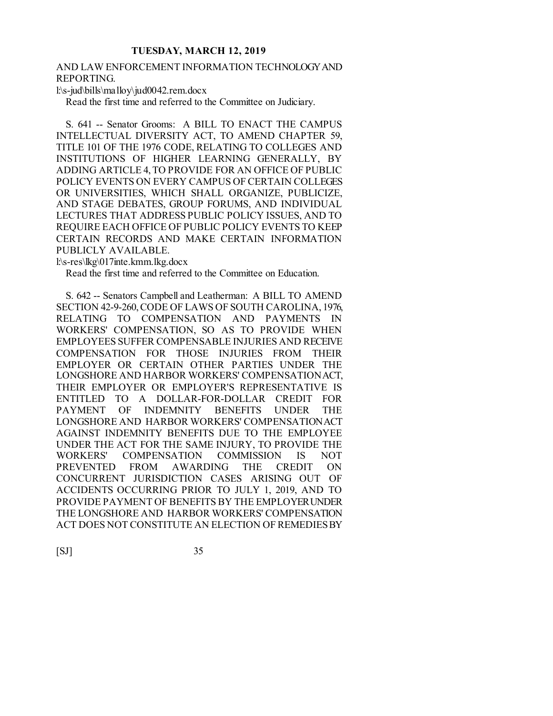# AND LAW ENFORCEMENT INFORMATION TECHNOLOGY AND REPORTING.

l:\s-jud\bills\malloy\jud0042.rem.docx

Read the first time and referred to the Committee on Judiciary.

S. 641 -- Senator Grooms: A BILL TO ENACT THE CAMPUS INTELLECTUAL DIVERSITY ACT, TO AMEND CHAPTER 59, TITLE 101 OF THE 1976 CODE, RELATING TO COLLEGES AND INSTITUTIONS OF HIGHER LEARNING GENERALLY, BY ADDING ARTICLE 4, TO PROVIDE FOR AN OFFICE OF PUBLIC POLICY EVENTS ON EVERY CAMPUS OF CERTAIN COLLEGES OR UNIVERSITIES, WHICH SHALL ORGANIZE, PUBLICIZE, AND STAGE DEBATES, GROUP FORUMS, AND INDIVIDUAL LECTURES THAT ADDRESS PUBLIC POLICY ISSUES, AND TO REQUIRE EACH OFFICE OF PUBLIC POLICY EVENTS TO KEEP CERTAIN RECORDS AND MAKE CERTAIN INFORMATION PUBLICLY AVAILABLE.

l:\s-res\lkg\017inte.kmm.lkg.docx

Read the first time and referred to the Committee on Education.

S. 642 -- Senators Campbell and Leatherman: A BILL TO AMEND SECTION 42-9-260, CODE OF LAWS OF SOUTH CAROLINA, 1976, RELATING TO COMPENSATION AND PAYMENTS IN WORKERS' COMPENSATION, SO AS TO PROVIDE WHEN EMPLOYEES SUFFER COMPENSABLE INJURIES AND RECEIVE COMPENSATION FOR THOSE INJURIES FROM THEIR EMPLOYER OR CERTAIN OTHER PARTIES UNDER THE LONGSHORE AND HARBOR WORKERS' COMPENSATION ACT, THEIR EMPLOYER OR EMPLOYER'S REPRESENTATIVE IS ENTITLED TO A DOLLAR-FOR-DOLLAR CREDIT FOR PAYMENT OF INDEMNITY BENEFITS UNDER THE LONGSHORE AND HARBOR WORKERS' COMPENSATION ACT AGAINST INDEMNITY BENEFITS DUE TO THE EMPLOYEE UNDER THE ACT FOR THE SAME INJURY, TO PROVIDE THE WORKERS' COMPENSATION COMMISSION IS NOT PREVENTED FROM AWARDING THE CREDIT ON CONCURRENT JURISDICTION CASES ARISING OUT OF ACCIDENTS OCCURRING PRIOR TO JULY 1, 2019, AND TO PROVIDE PAYMENT OF BENEFITS BY THE EMPLOYER UNDER THE LONGSHORE AND HARBOR WORKERS' COMPENSATION ACT DOES NOT CONSTITUTE AN ELECTION OF REMEDIES BY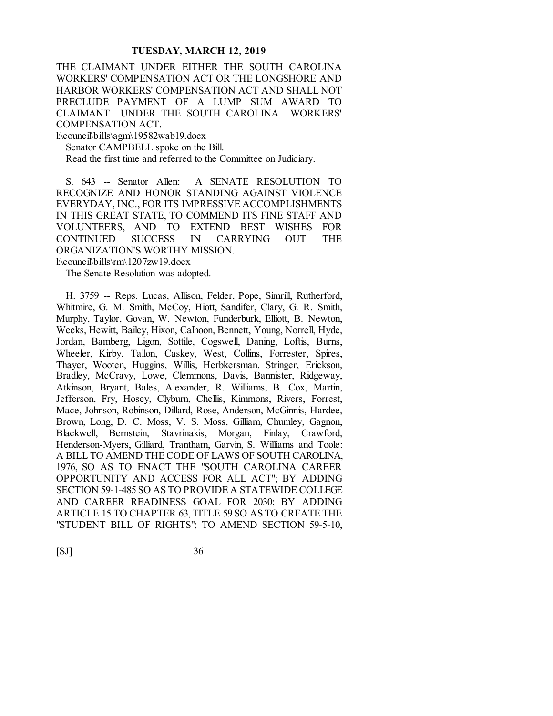THE CLAIMANT UNDER EITHER THE SOUTH CAROLINA WORKERS' COMPENSATION ACT OR THE LONGSHORE AND HARBOR WORKERS' COMPENSATION ACT AND SHALL NOT PRECLUDE PAYMENT OF A LUMP SUM AWARD TO CLAIMANT UNDER THE SOUTH CAROLINA WORKERS' COMPENSATION ACT.

l:\council\bills\agm\19582wab19.docx

Senator CAMPBELL spoke on the Bill.

Read the first time and referred to the Committee on Judiciary.

S. 643 -- Senator Allen: A SENATE RESOLUTION TO RECOGNIZE AND HONOR STANDING AGAINST VIOLENCE EVERYDAY, INC., FOR ITS IMPRESSIVE ACCOMPLISHMENTS IN THIS GREAT STATE, TO COMMEND ITS FINE STAFF AND VOLUNTEERS, AND TO EXTEND BEST WISHES FOR CONTINUED SUCCESS IN CARRYING OUT THE ORGANIZATION'S WORTHY MISSION. l:\council\bills\rm\1207zw19.docx

The Senate Resolution was adopted.

H. 3759 -- Reps. Lucas, Allison, Felder, Pope, Simrill, Rutherford, Whitmire, G. M. Smith, McCoy, Hiott, Sandifer, Clary, G. R. Smith, Murphy, Taylor, Govan, W. Newton, Funderburk, Elliott, B. Newton, Weeks, Hewitt, Bailey, Hixon, Calhoon, Bennett, Young, Norrell, Hyde, Jordan, Bamberg, Ligon, Sottile, Cogswell, Daning, Loftis, Burns, Wheeler, Kirby, Tallon, Caskey, West, Collins, Forrester, Spires, Thayer, Wooten, Huggins, Willis, Herbkersman, Stringer, Erickson, Bradley, McCravy, Lowe, Clemmons, Davis, Bannister, Ridgeway, Atkinson, Bryant, Bales, Alexander, R. Williams, B. Cox, Martin, Jefferson, Fry, Hosey, Clyburn, Chellis, Kimmons, Rivers, Forrest, Mace, Johnson, Robinson, Dillard, Rose, Anderson, McGinnis, Hardee, Brown, Long, D. C. Moss, V. S. Moss, Gilliam, Chumley, Gagnon, Blackwell, Bernstein, Stavrinakis, Morgan, Finlay, Crawford, Henderson-Myers, Gilliard, Trantham, Garvin, S. Williams and Toole: A BILL TO AMEND THE CODE OF LAWS OF SOUTH CAROLINA, 1976, SO AS TO ENACT THE "SOUTH CAROLINA CAREER OPPORTUNITY AND ACCESS FOR ALL ACT"; BY ADDING SECTION 59-1-485 SO AS TO PROVIDE A STATEWIDE COLLEGE AND CAREER READINESS GOAL FOR 2030; BY ADDING ARTICLE 15 TO CHAPTER 63, TITLE 59 SO AS TO CREATE THE "STUDENT BILL OF RIGHTS"; TO AMEND SECTION 59-5-10,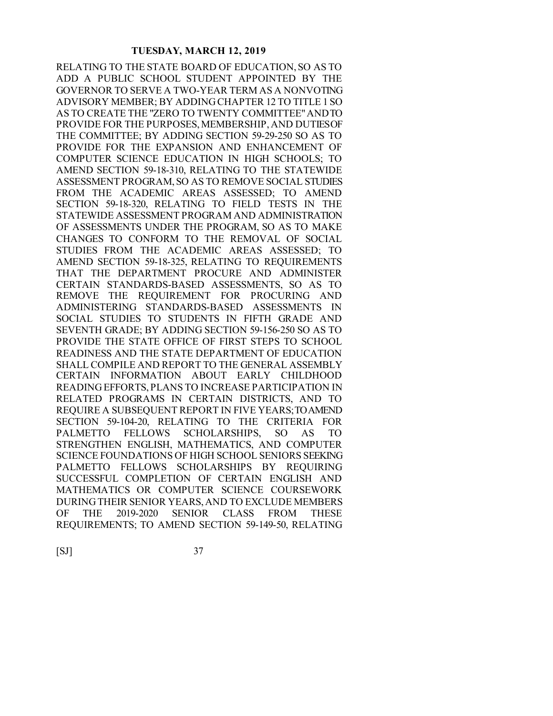RELATING TO THE STATE BOARD OF EDUCATION, SO AS TO ADD A PUBLIC SCHOOL STUDENT APPOINTED BY THE GOVERNOR TO SERVE A TWO-YEAR TERM AS A NONVOTING ADVISORY MEMBER; BY ADDING CHAPTER 12 TO TITLE 1 SO AS TO CREATE THE "ZERO TO TWENTY COMMITTEE" AND TO PROVIDE FOR THE PURPOSES, MEMBERSHIP, AND DUTIES OF THE COMMITTEE; BY ADDING SECTION 59-29-250 SO AS TO PROVIDE FOR THE EXPANSION AND ENHANCEMENT OF COMPUTER SCIENCE EDUCATION IN HIGH SCHOOLS; TO AMEND SECTION 59-18-310, RELATING TO THE STATEWIDE ASSESSMENT PROGRAM, SO AS TO REMOVE SOCIAL STUDIES FROM THE ACADEMIC AREAS ASSESSED; TO AMEND SECTION 59-18-320, RELATING TO FIELD TESTS IN THE STATEWIDE ASSESSMENT PROGRAM AND ADMINISTRATION OF ASSESSMENTS UNDER THE PROGRAM, SO AS TO MAKE CHANGES TO CONFORM TO THE REMOVAL OF SOCIAL STUDIES FROM THE ACADEMIC AREAS ASSESSED; TO AMEND SECTION 59-18-325, RELATING TO REQUIREMENTS THAT THE DEPARTMENT PROCURE AND ADMINISTER CERTAIN STANDARDS-BASED ASSESSMENTS, SO AS TO REMOVE THE REQUIREMENT FOR PROCURING AND ADMINISTERING STANDARDS-BASED ASSESSMENTS IN SOCIAL STUDIES TO STUDENTS IN FIFTH GRADE AND SEVENTH GRADE; BY ADDING SECTION 59-156-250 SO AS TO PROVIDE THE STATE OFFICE OF FIRST STEPS TO SCHOOL READINESS AND THE STATE DEPARTMENT OF EDUCATION SHALL COMPILE AND REPORT TO THE GENERAL ASSEMBLY CERTAIN INFORMATION ABOUT EARLY CHILDHOOD READING EFFORTS, PLANS TO INCREASE PARTICIPATION IN RELATED PROGRAMS IN CERTAIN DISTRICTS, AND TO REQUIRE A SUBSEQUENT REPORT IN FIVE YEARS; TO AMEND SECTION 59-104-20, RELATING TO THE CRITERIA FOR PALMETTO FELLOWS SCHOLARSHIPS, SO AS TO STRENGTHEN ENGLISH, MATHEMATICS, AND COMPUTER SCIENCE FOUNDATIONS OF HIGH SCHOOL SENIORS SEEKING PALMETTO FELLOWS SCHOLARSHIPS BY REQUIRING SUCCESSFUL COMPLETION OF CERTAIN ENGLISH AND MATHEMATICS OR COMPUTER SCIENCE COURSEWORK DURING THEIR SENIOR YEARS, AND TO EXCLUDE MEMBERS OF THE 2019-2020 SENIOR CLASS FROM THESE REQUIREMENTS; TO AMEND SECTION 59-149-50, RELATING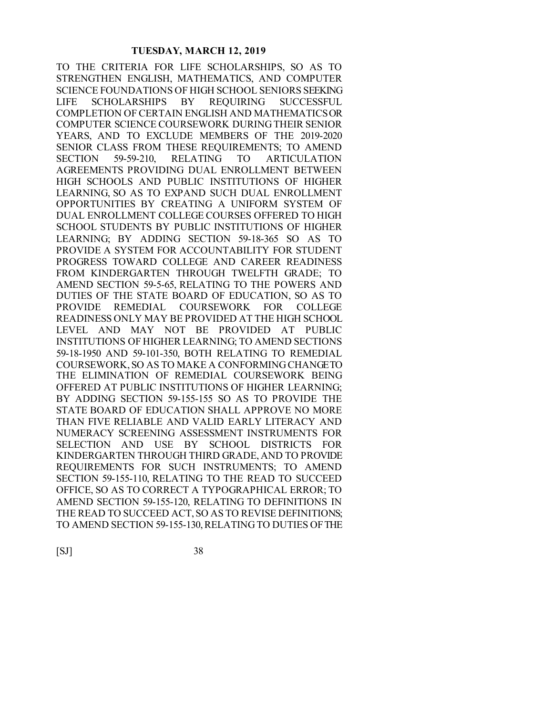TO THE CRITERIA FOR LIFE SCHOLARSHIPS, SO AS TO STRENGTHEN ENGLISH, MATHEMATICS, AND COMPUTER SCIENCE FOUNDATIONS OF HIGH SCHOOL SENIORS SEEKING LIFE SCHOLARSHIPS BY REQUIRING SUCCESSFUL COMPLETION OF CERTAIN ENGLISH AND MATHEMATICS OR COMPUTER SCIENCE COURSEWORK DURING THEIR SENIOR YEARS, AND TO EXCLUDE MEMBERS OF THE 2019-2020 SENIOR CLASS FROM THESE REQUIREMENTS; TO AMEND SECTION 59-59-210, RELATING TO ARTICULATION AGREEMENTS PROVIDING DUAL ENROLLMENT BETWEEN HIGH SCHOOLS AND PUBLIC INSTITUTIONS OF HIGHER LEARNING, SO AS TO EXPAND SUCH DUAL ENROLLMENT OPPORTUNITIES BY CREATING A UNIFORM SYSTEM OF DUAL ENROLLMENT COLLEGE COURSES OFFERED TO HIGH SCHOOL STUDENTS BY PUBLIC INSTITUTIONS OF HIGHER LEARNING; BY ADDING SECTION 59-18-365 SO AS TO PROVIDE A SYSTEM FOR ACCOUNTABILITY FOR STUDENT PROGRESS TOWARD COLLEGE AND CAREER READINESS FROM KINDERGARTEN THROUGH TWELFTH GRADE; TO AMEND SECTION 59-5-65, RELATING TO THE POWERS AND DUTIES OF THE STATE BOARD OF EDUCATION, SO AS TO PROVIDE REMEDIAL COURSEWORK FOR COLLEGE READINESS ONLY MAY BE PROVIDED AT THE HIGH SCHOOL LEVEL AND MAY NOT BE PROVIDED AT PUBLIC INSTITUTIONS OF HIGHER LEARNING; TO AMEND SECTIONS 59-18-1950 AND 59-101-350, BOTH RELATING TO REMEDIAL COURSEWORK, SO AS TO MAKE A CONFORMING CHANGE TO THE ELIMINATION OF REMEDIAL COURSEWORK BEING OFFERED AT PUBLIC INSTITUTIONS OF HIGHER LEARNING; BY ADDING SECTION 59-155-155 SO AS TO PROVIDE THE STATE BOARD OF EDUCATION SHALL APPROVE NO MORE THAN FIVE RELIABLE AND VALID EARLY LITERACY AND NUMERACY SCREENING ASSESSMENT INSTRUMENTS FOR SELECTION AND USE BY SCHOOL DISTRICTS FOR KINDERGARTEN THROUGH THIRD GRADE, AND TO PROVIDE REQUIREMENTS FOR SUCH INSTRUMENTS; TO AMEND SECTION 59-155-110, RELATING TO THE READ TO SUCCEED OFFICE, SO AS TO CORRECT A TYPOGRAPHICAL ERROR; TO AMEND SECTION 59-155-120, RELATING TO DEFINITIONS IN THE READ TO SUCCEED ACT, SO AS TO REVISE DEFINITIONS; TO AMEND SECTION 59-155-130, RELATING TO DUTIES OF THE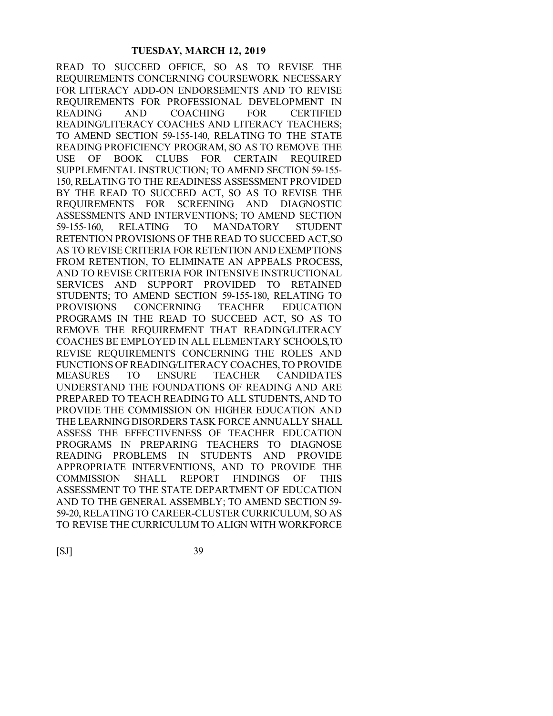READ TO SUCCEED OFFICE, SO AS TO REVISE THE REQUIREMENTS CONCERNING COURSEWORK NECESSARY FOR LITERACY ADD-ON ENDORSEMENTS AND TO REVISE REQUIREMENTS FOR PROFESSIONAL DEVELOPMENT IN READING AND COACHING FOR CERTIFIED READING/LITERACY COACHES AND LITERACY TEACHERS; TO AMEND SECTION 59-155-140, RELATING TO THE STATE READING PROFICIENCY PROGRAM, SO AS TO REMOVE THE USE OF BOOK CLUBS FOR CERTAIN REQUIRED SUPPLEMENTAL INSTRUCTION; TO AMEND SECTION 59-155- 150, RELATING TO THE READINESS ASSESSMENT PROVIDED BY THE READ TO SUCCEED ACT, SO AS TO REVISE THE REQUIREMENTS FOR SCREENING AND DIAGNOSTIC ASSESSMENTS AND INTERVENTIONS; TO AMEND SECTION 59-155-160, RELATING TO MANDATORY STUDENT RETENTION PROVISIONS OF THE READ TO SUCCEED ACT, SO AS TO REVISE CRITERIA FOR RETENTION AND EXEMPTIONS FROM RETENTION, TO ELIMINATE AN APPEALS PROCESS, AND TO REVISE CRITERIA FOR INTENSIVE INSTRUCTIONAL SERVICES AND SUPPORT PROVIDED TO RETAINED STUDENTS; TO AMEND SECTION 59-155-180, RELATING TO PROVISIONS CONCERNING TEACHER EDUCATION PROGRAMS IN THE READ TO SUCCEED ACT, SO AS TO REMOVE THE REQUIREMENT THAT READING/LITERACY COACHES BE EMPLOYED IN ALL ELEMENTARY SCHOOLS, TO REVISE REQUIREMENTS CONCERNING THE ROLES AND FUNCTIONS OF READING/LITERACY COACHES, TO PROVIDE MEASURES TO ENSURE TEACHER CANDIDATES UNDERSTAND THE FOUNDATIONS OF READING AND ARE PREPARED TO TEACH READING TO ALL STUDENTS, AND TO PROVIDE THE COMMISSION ON HIGHER EDUCATION AND THE LEARNING DISORDERS TASK FORCE ANNUALLY SHALL ASSESS THE EFFECTIVENESS OF TEACHER EDUCATION PROGRAMS IN PREPARING TEACHERS TO DIAGNOSE READING PROBLEMS IN STUDENTS AND PROVIDE APPROPRIATE INTERVENTIONS, AND TO PROVIDE THE COMMISSION SHALL REPORT FINDINGS OF THIS ASSESSMENT TO THE STATE DEPARTMENT OF EDUCATION AND TO THE GENERAL ASSEMBLY; TO AMEND SECTION 59- 59-20, RELATING TO CAREER-CLUSTER CURRICULUM, SO AS TO REVISE THE CURRICULUM TO ALIGN WITH WORKFORCE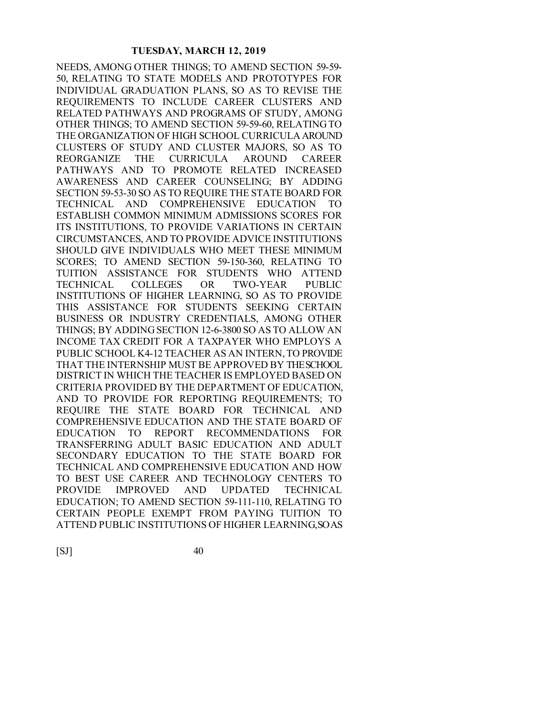NEEDS, AMONG OTHER THINGS; TO AMEND SECTION 59-59- 50, RELATING TO STATE MODELS AND PROTOTYPES FOR INDIVIDUAL GRADUATION PLANS, SO AS TO REVISE THE REQUIREMENTS TO INCLUDE CAREER CLUSTERS AND RELATED PATHWAYS AND PROGRAMS OF STUDY, AMONG OTHER THINGS; TO AMEND SECTION 59-59-60, RELATING TO THE ORGANIZATION OF HIGH SCHOOL CURRICULA AROUND CLUSTERS OF STUDY AND CLUSTER MAJORS, SO AS TO REORGANIZE THE CURRICULA AROUND CAREER PATHWAYS AND TO PROMOTE RELATED INCREASED AWARENESS AND CAREER COUNSELING; BY ADDING SECTION 59-53-30 SO AS TO REQUIRE THE STATE BOARD FOR TECHNICAL AND COMPREHENSIVE EDUCATION TO ESTABLISH COMMON MINIMUM ADMISSIONS SCORES FOR ITS INSTITUTIONS, TO PROVIDE VARIATIONS IN CERTAIN CIRCUMSTANCES, AND TO PROVIDE ADVICE INSTITUTIONS SHOULD GIVE INDIVIDUALS WHO MEET THESE MINIMUM SCORES; TO AMEND SECTION 59-150-360, RELATING TO TUITION ASSISTANCE FOR STUDENTS WHO ATTEND TECHNICAL COLLEGES OR TWO-YEAR PUBLIC INSTITUTIONS OF HIGHER LEARNING, SO AS TO PROVIDE THIS ASSISTANCE FOR STUDENTS SEEKING CERTAIN BUSINESS OR INDUSTRY CREDENTIALS, AMONG OTHER THINGS; BY ADDING SECTION 12-6-3800 SO AS TO ALLOW AN INCOME TAX CREDIT FOR A TAXPAYER WHO EMPLOYS A PUBLIC SCHOOL K4-12 TEACHER AS AN INTERN, TO PROVIDE THAT THE INTERNSHIP MUST BE APPROVED BY THE SCHOOL DISTRICT IN WHICH THE TEACHER IS EMPLOYED BASED ON CRITERIA PROVIDED BY THE DEPARTMENT OF EDUCATION, AND TO PROVIDE FOR REPORTING REQUIREMENTS; TO REQUIRE THE STATE BOARD FOR TECHNICAL AND COMPREHENSIVE EDUCATION AND THE STATE BOARD OF EDUCATION TO REPORT RECOMMENDATIONS FOR TRANSFERRING ADULT BASIC EDUCATION AND ADULT SECONDARY EDUCATION TO THE STATE BOARD FOR TECHNICAL AND COMPREHENSIVE EDUCATION AND HOW TO BEST USE CAREER AND TECHNOLOGY CENTERS TO PROVIDE IMPROVED AND UPDATED TECHNICAL EDUCATION; TO AMEND SECTION 59-111-110, RELATING TO CERTAIN PEOPLE EXEMPT FROM PAYING TUITION TO ATTEND PUBLIC INSTITUTIONS OF HIGHER LEARNING, SO AS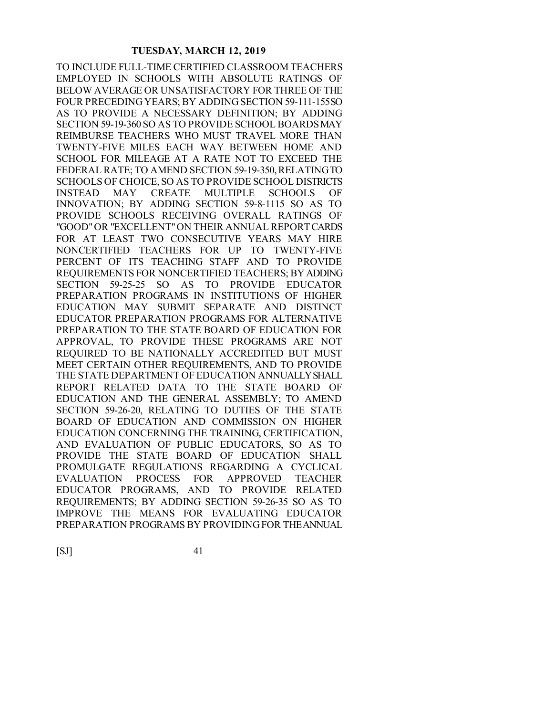TO INCLUDE FULL-TIME CERTIFIED CLASSROOM TEACHERS EMPLOYED IN SCHOOLS WITH ABSOLUTE RATINGS OF BELOW AVERAGE OR UNSATISFACTORY FOR THREE OF THE FOUR PRECEDING YEARS; BY ADDING SECTION 59-111-155 SO AS TO PROVIDE A NECESSARY DEFINITION; BY ADDING SECTION 59-19-360 SO AS TO PROVIDE SCHOOL BOARDS MAY REIMBURSE TEACHERS WHO MUST TRAVEL MORE THAN TWENTY-FIVE MILES EACH WAY BETWEEN HOME AND SCHOOL FOR MILEAGE AT A RATE NOT TO EXCEED THE FEDERAL RATE; TO AMEND SECTION 59-19-350, RELATING TO SCHOOLS OF CHOICE, SO AS TO PROVIDE SCHOOL DISTRICTS INSTEAD MAY CREATE MULTIPLE SCHOOLS OF INNOVATION; BY ADDING SECTION 59-8-1115 SO AS TO PROVIDE SCHOOLS RECEIVING OVERALL RATINGS OF "GOOD" OR "EXCELLENT" ON THEIR ANNUAL REPORT CARDS FOR AT LEAST TWO CONSECUTIVE YEARS MAY HIRE NONCERTIFIED TEACHERS FOR UP TO TWENTY-FIVE PERCENT OF ITS TEACHING STAFF AND TO PROVIDE REQUIREMENTS FOR NONCERTIFIED TEACHERS; BY ADDING SECTION 59-25-25 SO AS TO PROVIDE EDUCATOR PREPARATION PROGRAMS IN INSTITUTIONS OF HIGHER EDUCATION MAY SUBMIT SEPARATE AND DISTINCT EDUCATOR PREPARATION PROGRAMS FOR ALTERNATIVE PREPARATION TO THE STATE BOARD OF EDUCATION FOR APPROVAL, TO PROVIDE THESE PROGRAMS ARE NOT REQUIRED TO BE NATIONALLY ACCREDITED BUT MUST MEET CERTAIN OTHER REQUIREMENTS, AND TO PROVIDE THE STATE DEPARTMENT OF EDUCATION ANNUALLY SHALL REPORT RELATED DATA TO THE STATE BOARD OF EDUCATION AND THE GENERAL ASSEMBLY; TO AMEND SECTION 59-26-20, RELATING TO DUTIES OF THE STATE BOARD OF EDUCATION AND COMMISSION ON HIGHER EDUCATION CONCERNING THE TRAINING, CERTIFICATION, AND EVALUATION OF PUBLIC EDUCATORS, SO AS TO PROVIDE THE STATE BOARD OF EDUCATION SHALL PROMULGATE REGULATIONS REGARDING A CYCLICAL EVALUATION PROCESS FOR APPROVED TEACHER EDUCATOR PROGRAMS, AND TO PROVIDE RELATED REQUIREMENTS; BY ADDING SECTION 59-26-35 SO AS TO IMPROVE THE MEANS FOR EVALUATING EDUCATOR PREPARATION PROGRAMS BY PROVIDING FOR THE ANNUAL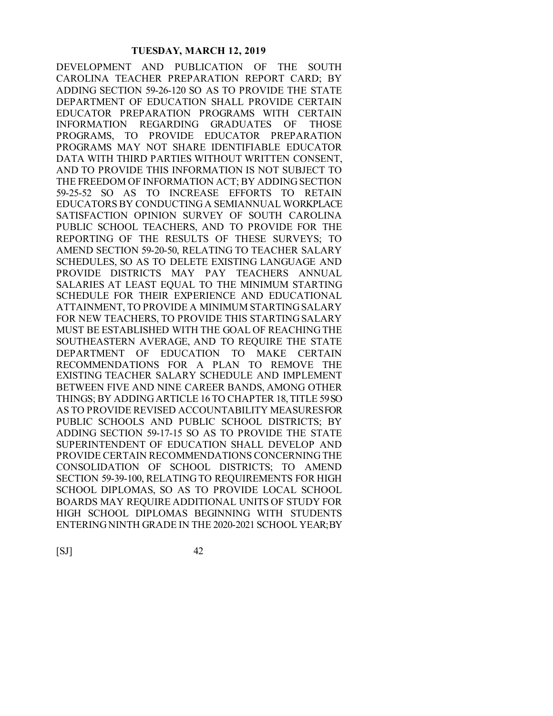DEVELOPMENT AND PUBLICATION OF THE SOUTH CAROLINA TEACHER PREPARATION REPORT CARD; BY ADDING SECTION 59-26-120 SO AS TO PROVIDE THE STATE DEPARTMENT OF EDUCATION SHALL PROVIDE CERTAIN EDUCATOR PREPARATION PROGRAMS WITH CERTAIN INFORMATION REGARDING GRADUATES OF THOSE PROGRAMS, TO PROVIDE EDUCATOR PREPARATION PROGRAMS MAY NOT SHARE IDENTIFIABLE EDUCATOR DATA WITH THIRD PARTIES WITHOUT WRITTEN CONSENT, AND TO PROVIDE THIS INFORMATION IS NOT SUBJECT TO THE FREEDOM OF INFORMATION ACT; BY ADDING SECTION 59-25-52 SO AS TO INCREASE EFFORTS TO RETAIN EDUCATORS BY CONDUCTING A SEMIANNUAL WORKPLACE SATISFACTION OPINION SURVEY OF SOUTH CAROLINA PUBLIC SCHOOL TEACHERS, AND TO PROVIDE FOR THE REPORTING OF THE RESULTS OF THESE SURVEYS; TO AMEND SECTION 59-20-50, RELATING TO TEACHER SALARY SCHEDULES, SO AS TO DELETE EXISTING LANGUAGE AND PROVIDE DISTRICTS MAY PAY TEACHERS ANNUAL SALARIES AT LEAST EOUAL TO THE MINIMUM STARTING SCHEDULE FOR THEIR EXPERIENCE AND EDUCATIONAL ATTAINMENT, TO PROVIDE A MINIMUM STARTING SALARY FOR NEW TEACHERS, TO PROVIDE THIS STARTING SALARY MUST BE ESTABLISHED WITH THE GOAL OF REACHING THE SOUTHEASTERN AVERAGE, AND TO REQUIRE THE STATE DEPARTMENT OF EDUCATION TO MAKE CERTAIN RECOMMENDATIONS FOR A PLAN TO REMOVE THE EXISTING TEACHER SALARY SCHEDULE AND IMPLEMENT BETWEEN FIVE AND NINE CAREER BANDS, AMONG OTHER THINGS; BY ADDING ARTICLE 16 TO CHAPTER 18, TITLE 59 SO AS TO PROVIDE REVISED ACCOUNTABILITY MEASURESFOR PUBLIC SCHOOLS AND PUBLIC SCHOOL DISTRICTS; BY ADDING SECTION 59-17-15 SO AS TO PROVIDE THE STATE SUPERINTENDENT OF EDUCATION SHALL DEVELOP AND PROVIDE CERTAIN RECOMMENDATIONS CONCERNING THE CONSOLIDATION OF SCHOOL DISTRICTS; TO AMEND SECTION 59-39-100, RELATING TO REQUIREMENTS FOR HIGH SCHOOL DIPLOMAS, SO AS TO PROVIDE LOCAL SCHOOL BOARDS MAY REQUIRE ADDITIONAL UNITS OF STUDY FOR HIGH SCHOOL DIPLOMAS BEGINNING WITH STUDENTS ENTERING NINTH GRADE IN THE 2020-2021 SCHOOL YEAR; BY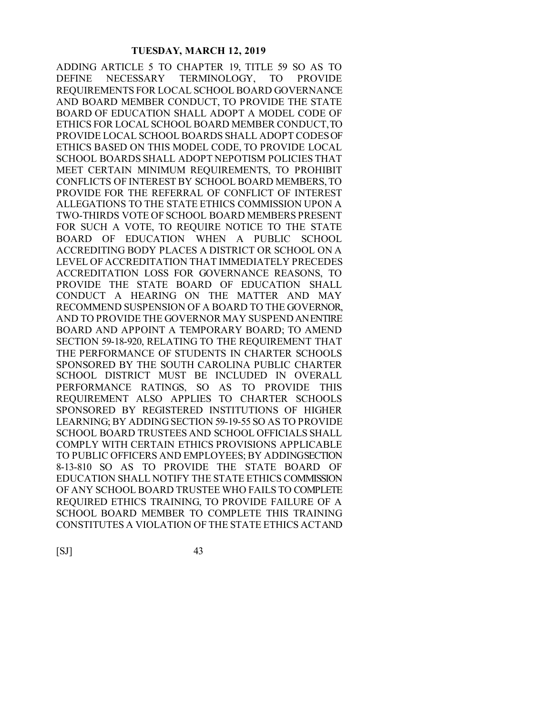ADDING ARTICLE 5 TO CHAPTER 19, TITLE 59 SO AS TO DEFINE NECESSARY TERMINOLOGY, TO PROVIDE REQUIREMENTS FOR LOCAL SCHOOL BOARD GOVERNANCE AND BOARD MEMBER CONDUCT, TO PROVIDE THE STATE BOARD OF EDUCATION SHALL ADOPT A MODEL CODE OF ETHICS FOR LOCAL SCHOOL BOARD MEMBER CONDUCT, TO PROVIDE LOCAL SCHOOL BOARDS SHALL ADOPT CODES OF ETHICS BASED ON THIS MODEL CODE, TO PROVIDE LOCAL SCHOOL BOARDS SHALL ADOPT NEPOTISM POLICIES THAT MEET CERTAIN MINIMUM REQUIREMENTS, TO PROHIBIT CONFLICTS OF INTEREST BY SCHOOL BOARD MEMBERS, TO PROVIDE FOR THE REFERRAL OF CONFLICT OF INTEREST ALLEGATIONS TO THE STATE ETHICS COMMISSION UPON A TWO-THIRDS VOTE OF SCHOOL BOARD MEMBERS PRESENT FOR SUCH A VOTE, TO REQUIRE NOTICE TO THE STATE BOARD OF EDUCATION WHEN A PUBLIC SCHOOL ACCREDITING BODY PLACES A DISTRICT OR SCHOOL ON A LEVEL OF ACCREDITATION THAT IMMEDIATELY PRECEDES ACCREDITATION LOSS FOR GOVERNANCE REASONS, TO PROVIDE THE STATE BOARD OF EDUCATION SHALL CONDUCT A HEARING ON THE MATTER AND MAY RECOMMEND SUSPENSION OF A BOARD TO THE GOVERNOR, AND TO PROVIDE THE GOVERNOR MAY SUSPEND AN ENTIRE BOARD AND APPOINT A TEMPORARY BOARD; TO AMEND SECTION 59-18-920, RELATING TO THE REQUIREMENT THAT THE PERFORMANCE OF STUDENTS IN CHARTER SCHOOLS SPONSORED BY THE SOUTH CAROLINA PUBLIC CHARTER SCHOOL DISTRICT MUST BE INCLUDED IN OVERALL PERFORMANCE RATINGS, SO AS TO PROVIDE THIS REQUIREMENT ALSO APPLIES TO CHARTER SCHOOLS SPONSORED BY REGISTERED INSTITUTIONS OF HIGHER LEARNING; BY ADDING SECTION 59-19-55 SO AS TO PROVIDE SCHOOL BOARD TRUSTEES AND SCHOOL OFFICIALS SHALL COMPLY WITH CERTAIN ETHICS PROVISIONS APPLICABLE TO PUBLIC OFFICERS AND EMPLOYEES; BY ADDING SECTION 8-13-810 SO AS TO PROVIDE THE STATE BOARD OF EDUCATION SHALL NOTIFY THE STATE ETHICS COMMISSION OF ANY SCHOOL BOARD TRUSTEE WHO FAILS TO COMPLETE REQUIRED ETHICS TRAINING, TO PROVIDE FAILURE OF A SCHOOL BOARD MEMBER TO COMPLETE THIS TRAINING CONSTITUTES A VIOLATION OF THE STATE ETHICS ACT AND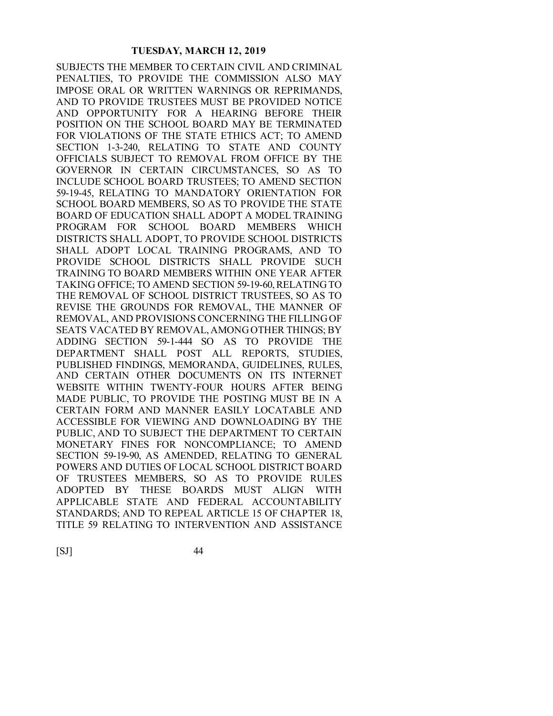SUBJECTS THE MEMBER TO CERTAIN CIVIL AND CRIMINAL PENALTIES, TO PROVIDE THE COMMISSION ALSO MAY IMPOSE ORAL OR WRITTEN WARNINGS OR REPRIMANDS, AND TO PROVIDE TRUSTEES MUST BE PROVIDED NOTICE AND OPPORTUNITY FOR A HEARING BEFORE THEIR POSITION ON THE SCHOOL BOARD MAY BE TERMINATED FOR VIOLATIONS OF THE STATE ETHICS ACT; TO AMEND SECTION 1-3-240, RELATING TO STATE AND COUNTY OFFICIALS SUBJECT TO REMOVAL FROM OFFICE BY THE GOVERNOR IN CERTAIN CIRCUMSTANCES, SO AS TO INCLUDE SCHOOL BOARD TRUSTEES; TO AMEND SECTION 59-19-45, RELATING TO MANDATORY ORIENTATION FOR SCHOOL BOARD MEMBERS, SO AS TO PROVIDE THE STATE BOARD OF EDUCATION SHALL ADOPT A MODEL TRAINING PROGRAM FOR SCHOOL BOARD MEMBERS WHICH DISTRICTS SHALL ADOPT, TO PROVIDE SCHOOL DISTRICTS SHALL ADOPT LOCAL TRAINING PROGRAMS, AND TO PROVIDE SCHOOL DISTRICTS SHALL PROVIDE SUCH TRAINING TO BOARD MEMBERS WITHIN ONE YEAR AFTER TAKING OFFICE; TO AMEND SECTION 59-19-60, RELATING TO THE REMOVAL OF SCHOOL DISTRICT TRUSTEES, SO AS TO REVISE THE GROUNDS FOR REMOVAL, THE MANNER OF REMOVAL, AND PROVISIONS CONCERNING THE FILLING OF SEATS VACATED BY REMOVAL, AMONG OTHER THINGS; BY ADDING SECTION 59-1-444 SO AS TO PROVIDE THE DEPARTMENT SHALL POST ALL REPORTS, STUDIES, PUBLISHED FINDINGS, MEMORANDA, GUIDELINES, RULES, AND CERTAIN OTHER DOCUMENTS ON ITS INTERNET WEBSITE WITHIN TWENTY-FOUR HOURS AFTER BEING MADE PUBLIC, TO PROVIDE THE POSTING MUST BE IN A CERTAIN FORM AND MANNER EASILY LOCATABLE AND ACCESSIBLE FOR VIEWING AND DOWNLOADING BY THE PUBLIC, AND TO SUBJECT THE DEPARTMENT TO CERTAIN MONETARY FINES FOR NONCOMPLIANCE; TO AMEND SECTION 59-19-90, AS AMENDED, RELATING TO GENERAL POWERS AND DUTIES OF LOCAL SCHOOL DISTRICT BOARD OF TRUSTEES MEMBERS, SO AS TO PROVIDE RULES ADOPTED BY THESE BOARDS MUST ALIGN WITH APPLICABLE STATE AND FEDERAL ACCOUNTABILITY STANDARDS; AND TO REPEAL ARTICLE 15 OF CHAPTER 18, TITLE 59 RELATING TO INTERVENTION AND ASSISTANCE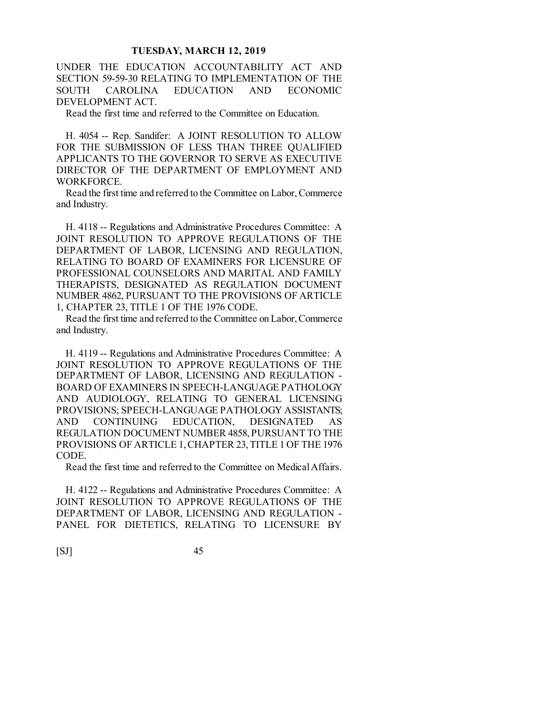UNDER THE EDUCATION ACCOUNTABILITY ACT AND SECTION 59-59-30 RELATING TO IMPLEMENTATION OF THE SOUTH CAROLINA EDUCATION AND ECONOMIC DEVELOPMENT ACT.

Read the first time and referred to the Committee on Education.

H. 4054 -- Rep. Sandifer: A JOINT RESOLUTION TO ALLOW FOR THE SUBMISSION OF LESS THAN THREE QUALIFIED APPLICANTS TO THE GOVERNOR TO SERVE AS EXECUTIVE DIRECTOR OF THE DEPARTMENT OF EMPLOYMENT AND WORKFORCE.

Read the first time and referred to the Committee on Labor, Commerce and Industry.

H. 4118 -- Regulations and Administrative Procedures Committee: A JOINT RESOLUTION TO APPROVE REGULATIONS OF THE DEPARTMENT OF LABOR, LICENSING AND REGULATION, RELATING TO BOARD OF EXAMINERS FOR LICENSURE OF PROFESSIONAL COUNSELORS AND MARITAL AND FAMILY THERAPISTS, DESIGNATED AS REGULATION DOCUMENT NUMBER 4862, PURSUANT TO THE PROVISIONS OF ARTICLE 1, CHAPTER 23, TITLE 1 OF THE 1976 CODE.

Read the first time and referred to the Committee on Labor, Commerce and Industry.

H. 4119 -- Regulations and Administrative Procedures Committee: A JOINT RESOLUTION TO APPROVE REGULATIONS OF THE DEPARTMENT OF LABOR, LICENSING AND REGULATION - BOARD OF EXAMINERS IN SPEECH-LANGUAGE PATHOLOGY AND AUDIOLOGY, RELATING TO GENERAL LICENSING PROVISIONS; SPEECH-LANGUAGE PATHOLOGY ASSISTANTS; AND CONTINUING EDUCATION, DESIGNATED AS REGULATION DOCUMENT NUMBER 4858, PURSUANT TO THE PROVISIONS OF ARTICLE 1, CHAPTER 23, TITLE 1 OF THE 1976 CODE.

Read the first time and referred to the Committee on Medical Affairs.

H. 4122 -- Regulations and Administrative Procedures Committee: A JOINT RESOLUTION TO APPROVE REGULATIONS OF THE DEPARTMENT OF LABOR, LICENSING AND REGULATION - PANEL FOR DIETETICS, RELATING TO LICENSURE BY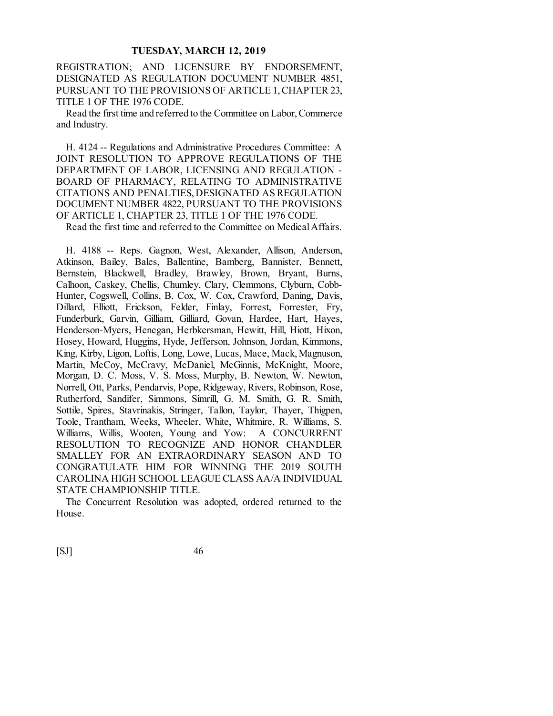REGISTRATION; AND LICENSURE BY ENDORSEMENT, DESIGNATED AS REGULATION DOCUMENT NUMBER 4851, PURSUANT TO THE PROVISIONS OF ARTICLE 1, CHAPTER 23, TITLE 1 OF THE 1976 CODE.

Read the first time and referred to the Committee on Labor, Commerce and Industry.

H. 4124 -- Regulations and Administrative Procedures Committee: A JOINT RESOLUTION TO APPROVE REGULATIONS OF THE DEPARTMENT OF LABOR, LICENSING AND REGULATION - BOARD OF PHARMACY, RELATING TO ADMINISTRATIVE CITATIONS AND PENALTIES, DESIGNATED AS REGULATION DOCUMENT NUMBER 4822, PURSUANT TO THE PROVISIONS OF ARTICLE 1, CHAPTER 23, TITLE 1 OF THE 1976 CODE.

Read the first time and referred to the Committee on Medical Affairs.

H. 4188 -- Reps. Gagnon, West, Alexander, Allison, Anderson, Atkinson, Bailey, Bales, Ballentine, Bamberg, Bannister, Bennett, Bernstein, Blackwell, Bradley, Brawley, Brown, Bryant, Burns, Calhoon, Caskey, Chellis, Chumley, Clary, Clemmons, Clyburn, Cobb-Hunter, Cogswell, Collins, B. Cox, W. Cox, Crawford, Daning, Davis, Dillard, Elliott, Erickson, Felder, Finlay, Forrest, Forrester, Fry, Funderburk, Garvin, Gilliam, Gilliard, Govan, Hardee, Hart, Hayes, Henderson-Myers, Henegan, Herbkersman, Hewitt, Hill, Hiott, Hixon, Hosey, Howard, Huggins, Hyde, Jefferson, Johnson, Jordan, Kimmons, King, Kirby, Ligon, Loftis, Long, Lowe, Lucas, Mace, Mack, Magnuson, Martin, McCoy, McCravy, McDaniel, McGinnis, McKnight, Moore, Morgan, D. C. Moss, V. S. Moss, Murphy, B. Newton, W. Newton, Norrell, Ott, Parks, Pendarvis, Pope, Ridgeway, Rivers, Robinson, Rose, Rutherford, Sandifer, Simmons, Simrill, G. M. Smith, G. R. Smith, Sottile, Spires, Stavrinakis, Stringer, Tallon, Taylor, Thayer, Thigpen, Toole, Trantham, Weeks, Wheeler, White, Whitmire, R. Williams, S. Williams, Willis, Wooten, Young and Yow: A CONCURRENT RESOLUTION TO RECOGNIZE AND HONOR CHANDLER SMALLEY FOR AN EXTRAORDINARY SEASON AND TO CONGRATULATE HIM FOR WINNING THE 2019 SOUTH CAROLINA HIGH SCHOOL LEAGUE CLASS AA/A INDIVIDUAL STATE CHAMPIONSHIP TITLE.

The Concurrent Resolution was adopted, ordered returned to the House.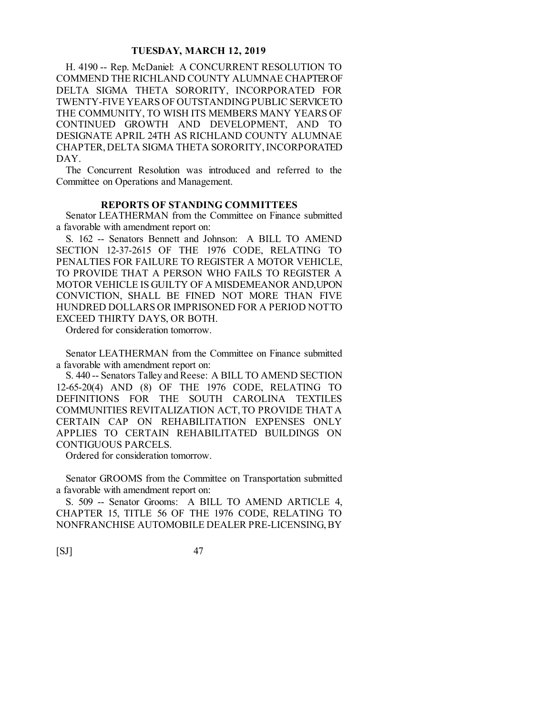H. 4190 -- Rep. McDaniel: A CONCURRENT RESOLUTION TO COMMEND THE RICHLAND COUNTY ALUMNAE CHAPTER OF DELTA SIGMA THETA SORORITY, INCORPORATED FOR TWENTY-FIVE YEARS OF OUTSTANDING PUBLIC SERVICE TO THE COMMUNITY, TO WISH ITS MEMBERS MANY YEARS OF CONTINUED GROWTH AND DEVELOPMENT, AND TO DESIGNATE APRIL 24TH AS RICHLAND COUNTY ALUMNAE CHAPTER, DELTA SIGMA THETA SORORITY, INCORPORATED DAY.

The Concurrent Resolution was introduced and referred to the Committee on Operations and Management.

# **REPORTS OF STANDING COMMITTEES**

Senator LEATHERMAN from the Committee on Finance submitted a favorable with amendment report on:

S. 162 -- Senators Bennett and Johnson: A BILL TO AMEND SECTION 12-37-2615 OF THE 1976 CODE, RELATING TO PENALTIES FOR FAILURE TO REGISTER A MOTOR VEHICLE, TO PROVIDE THAT A PERSON WHO FAILS TO REGISTER A MOTOR VEHICLE IS GUILTY OF A MISDEMEANOR AND, UPON CONVICTION, SHALL BE FINED NOT MORE THAN FIVE HUNDRED DOLLARS OR IMPRISONED FOR A PERIOD NOT TO EXCEED THIRTY DAYS, OR BOTH.

Ordered for consideration tomorrow.

Senator LEATHERMAN from the Committee on Finance submitted a favorable with amendment report on:

S. 440 -- Senators Talley and Reese: A BILL TO AMEND SECTION 12-65-20(4) AND (8) OF THE 1976 CODE, RELATING TO DEFINITIONS FOR THE SOUTH CAROLINA TEXTILES COMMUNITIES REVITALIZATION ACT, TO PROVIDE THAT A CERTAIN CAP ON REHABILITATION EXPENSES ONLY APPLIES TO CERTAIN REHABILITATED BUILDINGS ON CONTIGUOUS PARCELS.

Ordered for consideration tomorrow.

Senator GROOMS from the Committee on Transportation submitted a favorable with amendment report on:

S. 509 -- Senator Grooms: A BILL TO AMEND ARTICLE 4, CHAPTER 15, TITLE 56 OF THE 1976 CODE, RELATING TO NONFRANCHISE AUTOMOBILE DEALER PRE-LICENSING, BY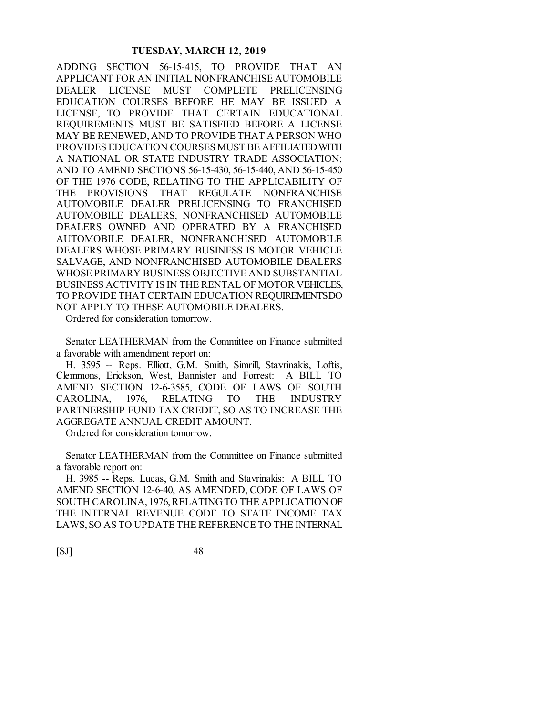ADDING SECTION 56-15-415, TO PROVIDE THAT AN APPLICANT FOR AN INITIAL NONFRANCHISE AUTOMOBILE DEALER LICENSE MUST COMPLETE PRELICENSING EDUCATION COURSES BEFORE HE MAY BE ISSUED A LICENSE, TO PROVIDE THAT CERTAIN EDUCATIONAL REQUIREMENTS MUST BE SATISFIED BEFORE A LICENSE MAY BE RENEWED, AND TO PROVIDE THAT A PERSON WHO PROVIDES EDUCATION COURSES MUST BE AFFILIATED WITH A NATIONAL OR STATE INDUSTRY TRADE ASSOCIATION; AND TO AMEND SECTIONS 56-15-430, 56-15-440, AND 56-15-450 OF THE 1976 CODE, RELATING TO THE APPLICABILITY OF THE PROVISIONS THAT REGULATE NONFRANCHISE AUTOMOBILE DEALER PRELICENSING TO FRANCHISED AUTOMOBILE DEALERS, NONFRANCHISED AUTOMOBILE DEALERS OWNED AND OPERATED BY A FRANCHISED AUTOMOBILE DEALER, NONFRANCHISED AUTOMOBILE DEALERS WHOSE PRIMARY BUSINESS IS MOTOR VEHICLE SALVAGE, AND NONFRANCHISED AUTOMOBILE DEALERS WHOSE PRIMARY BUSINESS OBJECTIVE AND SUBSTANTIAL BUSINESS ACTIVITY IS IN THE RENTAL OF MOTOR VEHICLES, TO PROVIDE THAT CERTAIN EDUCATION REQUIREMENTS DO NOT APPLY TO THESE AUTOMOBILE DEALERS.

Ordered for consideration tomorrow.

Senator LEATHERMAN from the Committee on Finance submitted a favorable with amendment report on:

H. 3595 -- Reps. Elliott, G.M. Smith, Simrill, Stavrinakis, Loftis, Clemmons, Erickson, West, Bannister and Forrest: A BILL TO AMEND SECTION 12-6-3585, CODE OF LAWS OF SOUTH CAROLINA, 1976, RELATING TO THE INDUSTRY PARTNERSHIP FUND TAX CREDIT, SO AS TO INCREASE THE AGGREGATE ANNUAL CREDIT AMOUNT.

Ordered for consideration tomorrow.

Senator LEATHERMAN from the Committee on Finance submitted a favorable report on:

H. 3985 -- Reps. Lucas, G.M. Smith and Stavrinakis: A BILL TO AMEND SECTION 12-6-40, AS AMENDED, CODE OF LAWS OF SOUTH CAROLINA, 1976, RELATING TO THE APPLICATION OF THE INTERNAL REVENUE CODE TO STATE INCOME TAX LAWS, SO AS TO UPDATE THE REFERENCE TO THE INTERNAL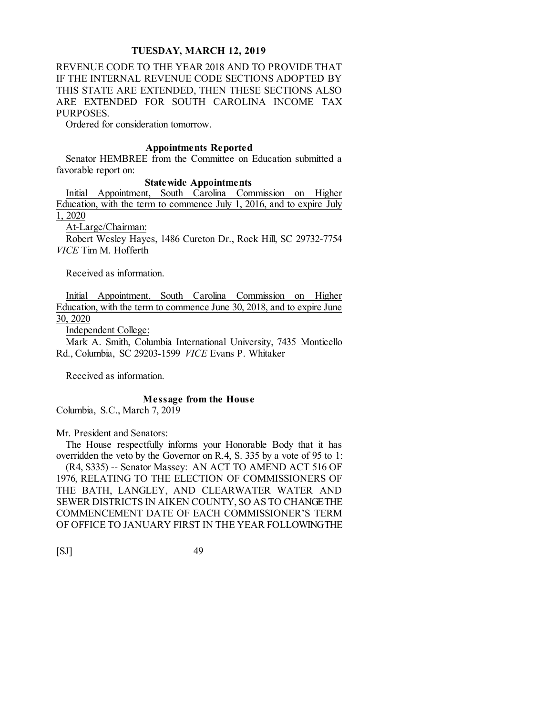REVENUE CODE TO THE YEAR 2018 AND TO PROVIDE THAT IF THE INTERNAL REVENUE CODE SECTIONS ADOPTED BY THIS STATE ARE EXTENDED, THEN THESE SECTIONS ALSO ARE EXTENDED FOR SOUTH CAROLINA INCOME TAX PURPOSES.

Ordered for consideration tomorrow.

#### **Appointments Reported**

Senator HEMBREE from the Committee on Education submitted a favorable report on:

**State wide Appointments**<br>Initial Appointment, South Carolina Con South Carolina Commission on Higher Education, with the term to commence July 1, 2016, and to expire July

1, 2020

At-Large/Chairman:

Robert Wesley Hayes, 1486 Cureton Dr., Rock Hill, SC 29732-7754 *VICE* Tim M. Hofferth

Received as information.

Initial Appointment, South Carolina Commission on Higher Education, with the term to commence June 30, 2018, and to expire June 30, 2020

Independent College:

Mark A. Smith, Columbia International University, 7435 Monticello Rd., Columbia, SC 29203-1599 *VICE* Evans P. Whitaker

Received as information.

#### **Message from the House**

Columbia, S.C., March 7, 2019

Mr. President and Senators:

The House respectfully informs your Honorable Body that it has overridden the veto by the Governor on R.4, S. 335 by a vote of 95 to 1: (R4, S335) -- Senator Massey: AN ACT TO AMEND ACT 516 OF 1976, RELATING TO THE ELECTION OF COMMISSIONERS OF THE BATH, LANGLEY, AND CLEARWATER WATER AND SEWER DISTRICTS IN AIKEN COUNTY, SO AS TO CHANGE THE COMMENCEMENT DATE OF EACH COMMISSIONER'S TERM OF OFFICE TO JANUARY FIRST IN THE YEAR FOLLOWING THE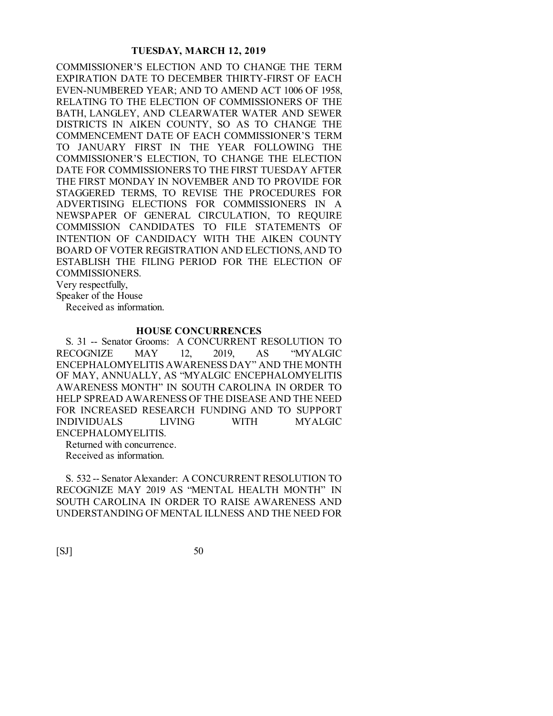COMMISSIONER'S ELECTION AND TO CHANGE THE TERM EXPIRATION DATE TO DECEMBER THIRTY-FIRST OF EACH EVEN-NUMBERED YEAR; AND TO AMEND ACT 1006 OF 1958, RELATING TO THE ELECTION OF COMMISSIONERS OF THE BATH, LANGLEY, AND CLEARWATER WATER AND SEWER DISTRICTS IN AIKEN COUNTY, SO AS TO CHANGE THE COMMENCEMENT DATE OF EACH COMMISSIONER'S TERM TO JANUARY FIRST IN THE YEAR FOLLOWING THE COMMISSIONER'S ELECTION, TO CHANGE THE ELECTION DATE FOR COMMISSIONERS TO THE FIRST TUESDAY AFTER THE FIRST MONDAY IN NOVEMBER AND TO PROVIDE FOR STAGGERED TERMS, TO REVISE THE PROCEDURES FOR ADVERTISING ELECTIONS FOR COMMISSIONERS IN A NEWSPAPER OF GENERAL CIRCULATION, TO REQUIRE COMMISSION CANDIDATES TO FILE STATEMENTS OF INTENTION OF CANDIDACY WITH THE AIKEN COUNTY BOARD OF VOTER REGISTRATION AND ELECTIONS, AND TO ESTABLISH THE FILING PERIOD FOR THE ELECTION OF COMMISSIONERS.

Very respectfully,

Speaker of the House

Received as information.

#### **HOUSE CONCURRENCES**

S. 31 -- Senator Grooms: A CONCURRENT RESOLUTION TO RECOGNIZE MAY 12, 2019, AS "MYALGIC ENCEPHALOMYELITIS AWARENESS DAY" AND THE MONTH OF MAY, ANNUALLY, AS "MYALGIC ENCEPHALOMYELITIS AWARENESS MONTH" IN SOUTH CAROLINA IN ORDER TO HELP SPREAD AWARENESS OF THE DISEASE AND THE NEED FOR INCREASED RESEARCH FUNDING AND TO SUPPORT INDIVIDUALS LIVING WITH MYALGIC ENCEPHALOMYELITIS. Returned with concurrence.

Received as information.

S. 532 -- Senator Alexander: A CONCURRENT RESOLUTION TO RECOGNIZE MAY 2019 AS "MENTAL HEALTH MONTH" IN SOUTH CAROLINA IN ORDER TO RAISE AWARENESS AND UNDERSTANDING OF MENTAL ILLNESS AND THE NEED FOR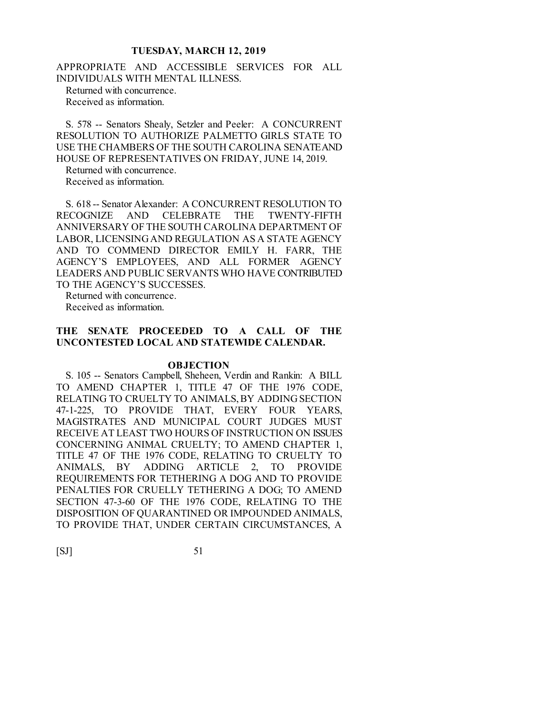APPROPRIATE AND ACCESSIBLE SERVICES FOR ALL INDIVIDUALS WITH MENTAL ILLNESS.

Returned with concurrence. Received as information.

S. 578 -- Senators Shealy, Setzler and Peeler: A CONCURRENT RESOLUTION TO AUTHORIZE PALMETTO GIRLS STATE TO USE THE CHAMBERS OF THE SOUTH CAROLINA SENATE AND HOUSE OF REPRESENTATIVES ON FRIDAY, JUNE 14, 2019.

Returned with concurrence.

Received as information.

S. 618 -- Senator Alexander: A CONCURRENT RESOLUTION TO RECOGNIZE AND CELEBRATE THE TWENTY-FIFTH ANNIVERSARY OF THE SOUTH CAROLINA DEPARTMENT OF LABOR, LICENSING AND REGULATION AS A STATE AGENCY AND TO COMMEND DIRECTOR EMILY H. FARR, THE AGENCY'S EMPLOYEES, AND ALL FORMER AGENCY LEADERS AND PUBLIC SERVANTS WHO HAVE CONTRIBUTED TO THE AGENCY'S SUCCESSES.

Returned with concurrence. Received as information.

# **THE SENATE PROCEEDED TO A CALL OF THE UNCONTESTED LOCAL AND STATEWIDE CALENDAR.**

#### **OBJECTION**

S. 105 -- Senators Campbell, Sheheen, Verdin and Rankin: A BILL TO AMEND CHAPTER 1, TITLE 47 OF THE 1976 CODE, RELATING TO CRUELTY TO ANIMALS, BY ADDING SECTION 47-1-225, TO PROVIDE THAT, EVERY FOUR YEARS, MAGISTRATES AND MUNICIPAL COURT JUDGES MUST RECEIVE AT LEAST TWO HOURS OF INSTRUCTION ON ISSUES CONCERNING ANIMAL CRUELTY; TO AMEND CHAPTER 1, TITLE 47 OF THE 1976 CODE, RELATING TO CRUELTY TO ANIMALS, BY ADDING ARTICLE 2, TO PROVIDE REQUIREMENTS FOR TETHERING A DOG AND TO PROVIDE PENALTIES FOR CRUELLY TETHERING A DOG; TO AMEND SECTION 47-3-60 OF THE 1976 CODE, RELATING TO THE DISPOSITION OF QUARANTINED OR IMPOUNDED ANIMALS, TO PROVIDE THAT, UNDER CERTAIN CIRCUMSTANCES, A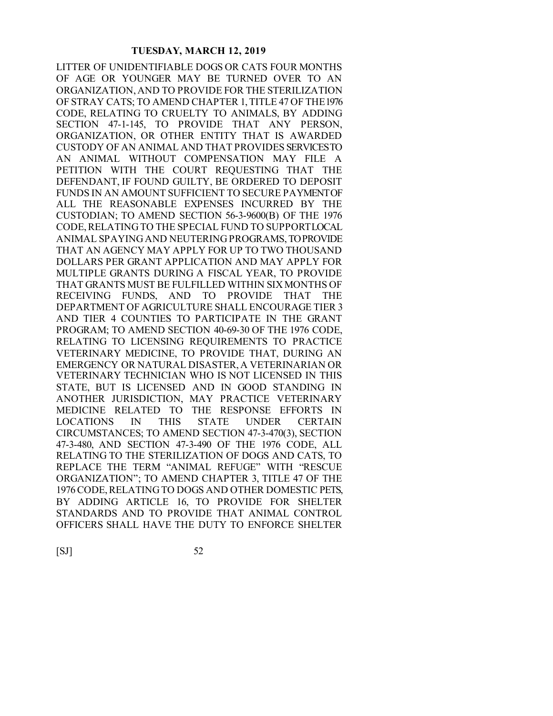LITTER OF UNIDENTIFIABLE DOGS OR CATS FOUR MONTHS OF AGE OR YOUNGER MAY BE TURNED OVER TO AN ORGANIZATION, AND TO PROVIDE FOR THE STERILIZATION OF STRAY CATS; TO AMEND CHAPTER 1, TITLE 47 OF THE 1976 CODE, RELATING TO CRUELTY TO ANIMALS, BY ADDING SECTION 47-1-145, TO PROVIDE THAT ANY PERSON, ORGANIZATION, OR OTHER ENTITY THAT IS AWARDED CUSTODY OF AN ANIMAL AND THAT PROVIDES SERVICES TO AN ANIMAL WITHOUT COMPENSATION MAY FILE A PETITION WITH THE COURT REQUESTING THAT THE DEFENDANT, IF FOUND GUILTY, BE ORDERED TO DEPOSIT FUNDS IN AN AMOUNT SUFFICIENT TO SECURE PAYMENT OF ALL THE REASONABLE EXPENSES INCURRED BY THE CUSTODIAN; TO AMEND SECTION 56-3-9600(B) OF THE 1976 CODE, RELATING TO THE SPECIAL FUND TO SUPPORT LOCAL ANIMAL SPAYING AND NEUTERING PROGRAMS, TO PROVIDE THAT AN AGENCY MAY APPLY FOR UP TO TWO THOUSAND DOLLARS PER GRANT APPLICATION AND MAY APPLY FOR MULTIPLE GRANTS DURING A FISCAL YEAR, TO PROVIDE THAT GRANTS MUST BE FULFILLED WITHIN SIX MONTHS OF RECEIVING FUNDS, AND TO PROVIDE THAT THE DEPARTMENT OF AGRICULTURE SHALL ENCOURAGE TIER 3 AND TIER 4 COUNTIES TO PARTICIPATE IN THE GRANT PROGRAM; TO AMEND SECTION 40-69-30 OF THE 1976 CODE, RELATING TO LICENSING REQUIREMENTS TO PRACTICE VETERINARY MEDICINE, TO PROVIDE THAT, DURING AN EMERGENCY OR NATURAL DISASTER, A VETERINARIAN OR VETERINARY TECHNICIAN WHO IS NOT LICENSED IN THIS STATE, BUT IS LICENSED AND IN GOOD STANDING IN ANOTHER JURISDICTION, MAY PRACTICE VETERINARY MEDICINE RELATED TO THE RESPONSE EFFORTS IN LOCATIONS IN THIS STATE UNDER CERTAIN CIRCUMSTANCES; TO AMEND SECTION 47-3-470(3), SECTION 47-3-480, AND SECTION 47-3-490 OF THE 1976 CODE, ALL RELATING TO THE STERILIZATION OF DOGS AND CATS, TO REPLACE THE TERM "ANIMAL REFUGE" WITH "RESCUE ORGANIZATION"; TO AMEND CHAPTER 3, TITLE 47 OF THE 1976 CODE, RELATING TO DOGS AND OTHER DOMESTIC PETS, BY ADDING ARTICLE 16, TO PROVIDE FOR SHELTER STANDARDS AND TO PROVIDE THAT ANIMAL CONTROL OFFICERS SHALL HAVE THE DUTY TO ENFORCE SHELTER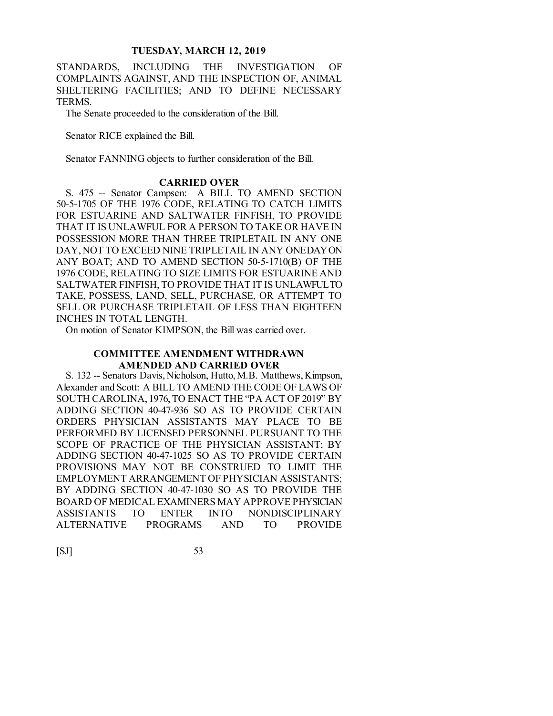STANDARDS, INCLUDING THE INVESTIGATION OF COMPLAINTS AGAINST, AND THE INSPECTION OF, ANIMAL SHELTERING FACILITIES; AND TO DEFINE NECESSARY TERMS.

The Senate proceeded to the consideration of the Bill.

Senator RICE explained the Bill.

Senator FANNING objects to further consideration of the Bill.

#### **CARRIED OVER**

S. 475 -- Senator Campsen: A BILL TO AMEND SECTION 50-5-1705 OF THE 1976 CODE, RELATING TO CATCH LIMITS FOR ESTUARINE AND SALTWATER FINFISH, TO PROVIDE THAT IT IS UNLAWFUL FOR A PERSON TO TAKE OR HAVE IN POSSESSION MORE THAN THREE TRIPLETAIL IN ANY ONE DAY, NOT TO EXCEED NINE TRIPLETAIL IN ANY ONE DAY ON ANY BOAT; AND TO AMEND SECTION 50-5-1710(B) OF THE 1976 CODE, RELATING TO SIZE LIMITS FOR ESTUARINE AND SALTWATER FINFISH, TO PROVIDE THAT IT IS UNLAWFUL TO TAKE, POSSESS, LAND, SELL, PURCHASE, OR ATTEMPT TO SELL OR PURCHASE TRIPLETAIL OF LESS THAN EIGHTEEN INCHES IN TOTAL LENGTH.

On motion of Senator KIMPSON, the Bill was carried over.

#### **COMMITTEE AMENDMENT WITHDRAWN AMENDED AND CARRIED OVER**

S. 132 -- Senators Davis, Nicholson, Hutto, M.B. Matthews, Kimpson, Alexander and Scott: A BILL TO AMEND THE CODE OF LAWS OF SOUTH CAROLINA, 1976, TO ENACT THE "PA ACT OF 2019" BY ADDING SECTION 40-47-936 SO AS TO PROVIDE CERTAIN ORDERS PHYSICIAN ASSISTANTS MAY PLACE TO BE PERFORMED BY LICENSED PERSONNEL PURSUANT TO THE SCOPE OF PRACTICE OF THE PHYSICIAN ASSISTANT; BY ADDING SECTION 40-47-1025 SO AS TO PROVIDE CERTAIN PROVISIONS MAY NOT BE CONSTRUED TO LIMIT THE EMPLOYMENT ARRANGEMENT OF PHYSICIAN ASSISTANTS; BY ADDING SECTION 40-47-1030 SO AS TO PROVIDE THE BOARD OF MEDICAL EXAMINERS MAY APPROVE PHYSICIAN ASSISTANTS TO ENTER INTO NONDISCIPLINARY ALTERNATIVE PROGRAMS AND TO PROVIDE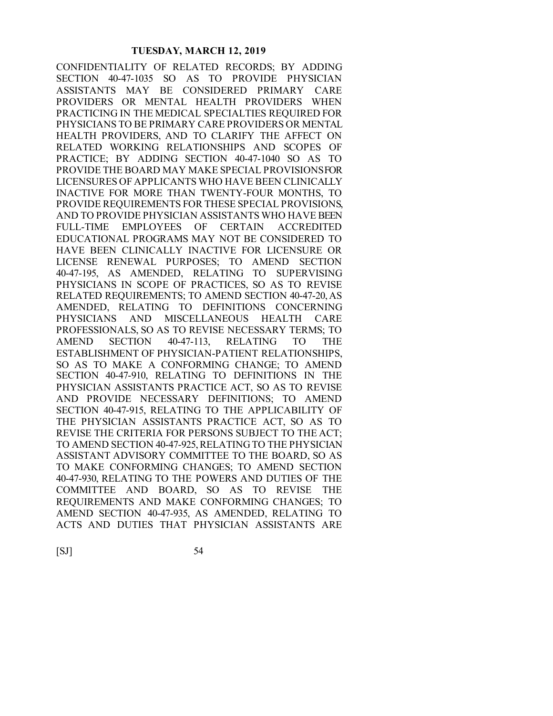CONFIDENTIALITY OF RELATED RECORDS; BY ADDING SECTION 40-47-1035 SO AS TO PROVIDE PHYSICIAN ASSISTANTS MAY BE CONSIDERED PRIMARY CARE PROVIDERS OR MENTAL HEALTH PROVIDERS WHEN PRACTICING IN THE MEDICAL SPECIALTIES REQUIRED FOR PHYSICIANS TO BE PRIMARY CARE PROVIDERS OR MENTAL HEALTH PROVIDERS, AND TO CLARIFY THE AFFECT ON RELATED WORKING RELATIONSHIPS AND SCOPES OF PRACTICE; BY ADDING SECTION 40-47-1040 SO AS TO PROVIDE THE BOARD MAY MAKE SPECIAL PROVISIONS FOR LICENSURES OF APPLICANTS WHO HAVE BEEN CLINICALLY INACTIVE FOR MORE THAN TWENTY-FOUR MONTHS, TO PROVIDE REQUIREMENTS FOR THESE SPECIAL PROVISIONS, AND TO PROVIDE PHYSICIAN ASSISTANTS WHO HAVE BEEN FULL-TIME EMPLOYEES OF CERTAIN ACCREDITED EDUCATIONAL PROGRAMS MAY NOT BE CONSIDERED TO HAVE BEEN CLINICALLY INACTIVE FOR LICENSURE OR LICENSE RENEWAL PURPOSES; TO AMEND SECTION 40-47-195, AS AMENDED, RELATING TO SUPERVISING PHYSICIANS IN SCOPE OF PRACTICES, SO AS TO REVISE RELATED REQUIREMENTS; TO AMEND SECTION 40-47-20, AS AMENDED, RELATING TO DEFINITIONS CONCERNING PHYSICIANS AND MISCELLANEOUS HEALTH CARE PROFESSIONALS, SO AS TO REVISE NECESSARY TERMS; TO AMEND SECTION 40-47-113, RELATING TO THE ESTABLISHMENT OF PHYSICIAN-PATIENT RELATIONSHIPS, SO AS TO MAKE A CONFORMING CHANGE; TO AMEND SECTION 40-47-910, RELATING TO DEFINITIONS IN THE PHYSICIAN ASSISTANTS PRACTICE ACT, SO AS TO REVISE AND PROVIDE NECESSARY DEFINITIONS; TO AMEND SECTION 40-47-915, RELATING TO THE APPLICABILITY OF THE PHYSICIAN ASSISTANTS PRACTICE ACT, SO AS TO REVISE THE CRITERIA FOR PERSONS SUBJECT TO THE ACT; TO AMEND SECTION 40-47-925, RELATING TO THE PHYSICIAN ASSISTANT ADVISORY COMMITTEE TO THE BOARD, SO AS TO MAKE CONFORMING CHANGES; TO AMEND SECTION 40-47-930, RELATING TO THE POWERS AND DUTIES OF THE COMMITTEE AND BOARD, SO AS TO REVISE THE REQUIREMENTS AND MAKE CONFORMING CHANGES; TO AMEND SECTION 40-47-935, AS AMENDED, RELATING TO ACTS AND DUTIES THAT PHYSICIAN ASSISTANTS ARE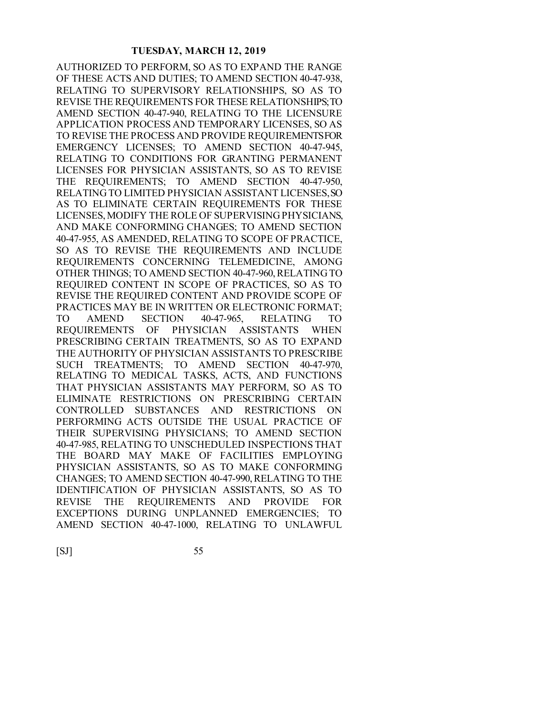AUTHORIZED TO PERFORM, SO AS TO EXPAND THE RANGE OF THESE ACTS AND DUTIES; TO AMEND SECTION 40-47-938, RELATING TO SUPERVISORY RELATIONSHIPS, SO AS TO REVISE THE REQUIREMENTS FOR THESE RELATIONSHIPS;TO AMEND SECTION 40-47-940, RELATING TO THE LICENSURE APPLICATION PROCESS AND TEMPORARY LICENSES, SO AS TO REVISE THE PROCESS AND PROVIDE REQUIREMENTS FOR EMERGENCY LICENSES; TO AMEND SECTION 40-47-945, RELATING TO CONDITIONS FOR GRANTING PERMANENT LICENSES FOR PHYSICIAN ASSISTANTS, SO AS TO REVISE THE REQUIREMENTS; TO AMEND SECTION 40-47-950, RELATING TO LIMITED PHYSICIAN ASSISTANT LICENSES, SO AS TO ELIMINATE CERTAIN REQUIREMENTS FOR THESE LICENSES, MODIFY THE ROLE OF SUPERVISING PHYSICIANS, AND MAKE CONFORMING CHANGES; TO AMEND SECTION 40-47-955, AS AMENDED, RELATING TO SCOPE OF PRACTICE, SO AS TO REVISE THE REQUIREMENTS AND INCLUDE REQUIREMENTS CONCERNING TELEMEDICINE, AMONG OTHER THINGS; TO AMEND SECTION 40-47-960, RELATING TO REQUIRED CONTENT IN SCOPE OF PRACTICES, SO AS TO REVISE THE REQUIRED CONTENT AND PROVIDE SCOPE OF PRACTICES MAY BE IN WRITTEN OR ELECTRONIC FORMAT; TO AMEND SECTION 40-47-965, RELATING TO REQUIREMENTS OF PHYSICIAN ASSISTANTS WHEN PRESCRIBING CERTAIN TREATMENTS, SO AS TO EXPAND THE AUTHORITY OF PHYSICIAN ASSISTANTS TO PRESCRIBE SUCH TREATMENTS; TO AMEND SECTION 40-47-970, RELATING TO MEDICAL TASKS, ACTS, AND FUNCTIONS THAT PHYSICIAN ASSISTANTS MAY PERFORM, SO AS TO ELIMINATE RESTRICTIONS ON PRESCRIBING CERTAIN CONTROLLED SUBSTANCES AND RESTRICTIONS ON PERFORMING ACTS OUTSIDE THE USUAL PRACTICE OF THEIR SUPERVISING PHYSICIANS; TO AMEND SECTION 40-47-985, RELATING TO UNSCHEDULED INSPECTIONS THAT THE BOARD MAY MAKE OF FACILITIES EMPLOYING PHYSICIAN ASSISTANTS, SO AS TO MAKE CONFORMING CHANGES; TO AMEND SECTION 40-47-990, RELATING TO THE IDENTIFICATION OF PHYSICIAN ASSISTANTS, SO AS TO REVISE THE REQUIREMENTS AND PROVIDE FOR EXCEPTIONS DURING UNPLANNED EMERGENCIES; TO AMEND SECTION 40-47-1000, RELATING TO UNLAWFUL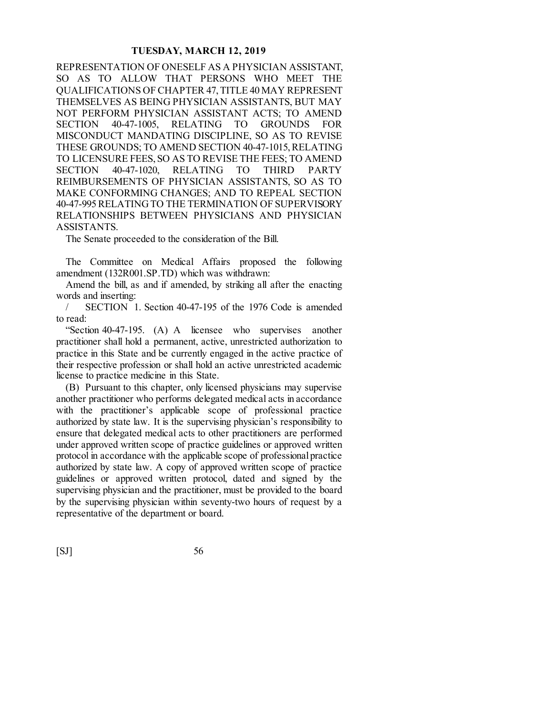REPRESENTATION OF ONESELF AS A PHYSICIAN ASSISTANT, SO AS TO ALLOW THAT PERSONS WHO MEET THE QUALIFICATIONS OF CHAPTER 47, TITLE 40 MAY REPRESENT THEMSELVES AS BEING PHYSICIAN ASSISTANTS, BUT MAY NOT PERFORM PHYSICIAN ASSISTANT ACTS; TO AMEND SECTION 40-47-1005, RELATING TO GROUNDS FOR MISCONDUCT MANDATING DISCIPLINE, SO AS TO REVISE THESE GROUNDS; TO AMEND SECTION 40-47-1015, RELATING TO LICENSURE FEES, SO AS TO REVISE THE FEES; TO AMEND SECTION 40-47-1020, RELATING TO THIRD PARTY REIMBURSEMENTS OF PHYSICIAN ASSISTANTS, SO AS TO MAKE CONFORMING CHANGES; AND TO REPEAL SECTION 40-47-995 RELATING TO THE TERMINATION OF SUPERVISORY RELATIONSHIPS BETWEEN PHYSICIANS AND PHYSICIAN ASSISTANTS.

The Senate proceeded to the consideration of the Bill.

The Committee on Medical Affairs proposed the following amendment (132R001.SP.TD) which was withdrawn:

Amend the bill, as and if amended, by striking all after the enacting words and inserting:

SECTION 1. Section 40-47-195 of the 1976 Code is amended to read:

"Section 40-47-195. (A) A licensee who supervises another practitioner shall hold a permanent, active, unrestricted authorization to practice in this State and be currently engaged in the active practice of their respective profession or shall hold an active unrestricted academic license to practice medicine in this State.

(B) Pursuant to this chapter, only licensed physicians may supervise another practitioner who performs delegated medical acts in accordance with the practitioner's applicable scope of professional practice authorized by state law. It is the supervising physician's responsibility to ensure that delegated medical acts to other practitioners are performed under approved written scope of practice guidelines or approved written protocol in accordance with the applicable scope of professional practice authorized by state law. A copy of approved written scope of practice guidelines or approved written protocol, dated and signed by the supervising physician and the practitioner, must be provided to the board by the supervising physician within seventy-two hours of request by a representative of the department or board.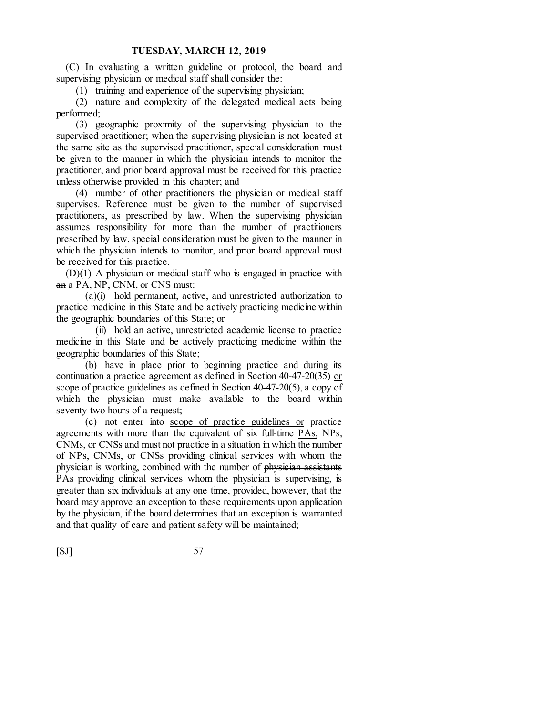(C) In evaluating a written guideline or protocol, the board and supervising physician or medical staff shall consider the:

(1) training and experience of the supervising physician;

(2) nature and complexity of the delegated medical acts being performed;

(3) geographic proximity of the supervising physician to the supervised practitioner; when the supervising physician is not located at the same site as the supervised practitioner, special consideration must be given to the manner in which the physician intends to monitor the practitioner, and prior board approval must be received for this practice unless otherwise provided in this chapter; and

(4) number of other practitioners the physician or medical staff supervises. Reference must be given to the number of supervised practitioners, as prescribed by law. When the supervising physician assumes responsibility for more than the number of practitioners prescribed by law, special consideration must be given to the manner in which the physician intends to monitor, and prior board approval must be received for this practice.

(D)(1) A physician or medical staff who is engaged in practice with an a PA, NP, CNM, or CNS must:

(a)(i) hold permanent, active, and unrestricted authorization to practice medicine in this State and be actively practicing medicine within the geographic boundaries of this State; or

(ii) hold an active, unrestricted academic license to practice medicine in this State and be actively practicing medicine within the geographic boundaries of this State;

(b) have in place prior to beginning practice and during its continuation a practice agreement as defined in Section 40-47-20(35) or scope of practice guidelines as defined in Section 40-47-20(5), a copy of which the physician must make available to the board within seventy-two hours of a request;

(c) not enter into scope of practice guidelines or practice agreements with more than the equivalent of six full-time PAs, NPs, CNMs, or CNSs and must not practice in a situation in which the number of NPs, CNMs, or CNSs providing clinical services with whom the physician is working, combined with the number of physician assistants PAs providing clinical services whom the physician is supervising, is greater than six individuals at any one time, provided, however, that the board may approve an exception to these requirements upon application by the physician, if the board determines that an exception is warranted and that quality of care and patient safety will be maintained;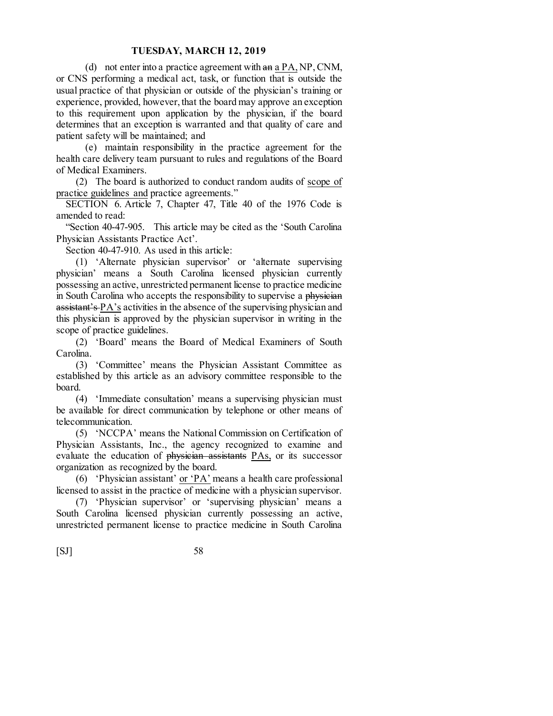(d) not enter into a practice agreement with  $an \frac{\alpha}{2} P A$ , NP, CNM, or CNS performing a medical act, task, or function that is outside the usual practice of that physician or outside of the physician's training or experience, provided, however, that the board may approve an exception to this requirement upon application by the physician, if the board determines that an exception is warranted and that quality of care and patient safety will be maintained; and

(e) maintain responsibility in the practice agreement for the health care delivery team pursuant to rules and regulations of the Board of Medical Examiners.

(2) The board is authorized to conduct random audits of scope of practice guidelines and practice agreements."

SECTION 6. Article 7, Chapter 47, Title 40 of the 1976 Code is amended to read:

"Section 40-47-905. This article may be cited as the 'South Carolina Physician Assistants Practice Act'.

Section 40-47-910. As used in this article:

(1) 'Alternate physician supervisor' or 'alternate supervising physician' means a South Carolina licensed physician currently possessing an active, unrestricted permanent license to practice medicine in South Carolina who accepts the responsibility to supervise a physician  $\overline{assistant's \ P A's}$  activities in the absence of the supervising physician and this physician is approved by the physician supervisor in writing in the scope of practice guidelines.

(2) 'Board' means the Board of Medical Examiners of South Carolina.

(3) 'Committee' means the Physician Assistant Committee as established by this article as an advisory committee responsible to the board.

(4) 'Immediate consultation' means a supervising physician must be available for direct communication by telephone or other means of telecommunication.

(5) 'NCCPA' means the National Commission on Certification of Physician Assistants, Inc., the agency recognized to examine and evaluate the education of physician assistants PAs, or its successor organization as recognized by the board.

(6) 'Physician assistant' or 'PA' means a health care professional licensed to assist in the practice of medicine with a physician supervisor.

(7) 'Physician supervisor' or 'supervising physician' means a South Carolina licensed physician currently possessing an active, unrestricted permanent license to practice medicine in South Carolina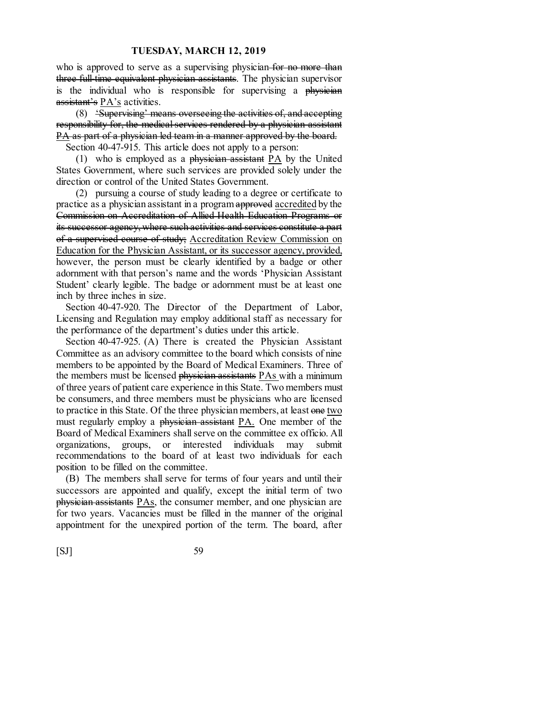who is approved to serve as a supervising physician for no more than three full-time equivalent physician assistants. The physician supervisor is the individual who is responsible for supervising a physician assistant's PA's activities.

(8) 'Supervising' means overseeing the activities of, and accepting responsibility for, the medical services rendered by a physician assistant PA as part of a physician led team in a manner approved by the board.

Section 40-47-915. This article does not apply to a person:

(1) who is employed as a physician assistant  $PA$  by the United States Government, where such services are provided solely under the direction or control of the United States Government.

(2) pursuing a course of study leading to a degree or certificate to practice as a physician assistant in a program approved accredited by the Commission on Accreditation of Allied Health Education Programs or its successor agency, where such activities and services constitute a part of a supervised course of study; Accreditation Review Commission on Education for the Physician Assistant, or its successor agency, provided, however, the person must be clearly identified by a badge or other adornment with that person's name and the words 'Physician Assistant Student' clearly legible. The badge or adornment must be at least one inch by three inches in size.

Section 40-47-920. The Director of the Department of Labor, Licensing and Regulation may employ additional staff as necessary for the performance of the department's duties under this article.

Section 40-47-925. (A) There is created the Physician Assistant Committee as an advisory committee to the board which consists of nine members to be appointed by the Board of Medical Examiners. Three of the members must be licensed physician assistants PAs with a minimum of three years of patient care experience in this State. Two members must be consumers, and three members must be physicians who are licensed to practice in this State. Of the three physician members, at least one two must regularly employ a physician assistant PA. One member of the Board of Medical Examiners shall serve on the committee ex officio. All organizations, groups, or interested individuals may submit recommendations to the board of at least two individuals for each position to be filled on the committee.

(B) The members shall serve for terms of four years and until their successors are appointed and qualify, except the initial term of two physician assistants PAs, the consumer member, and one physician are for two years. Vacancies must be filled in the manner of the original appointment for the unexpired portion of the term. The board, after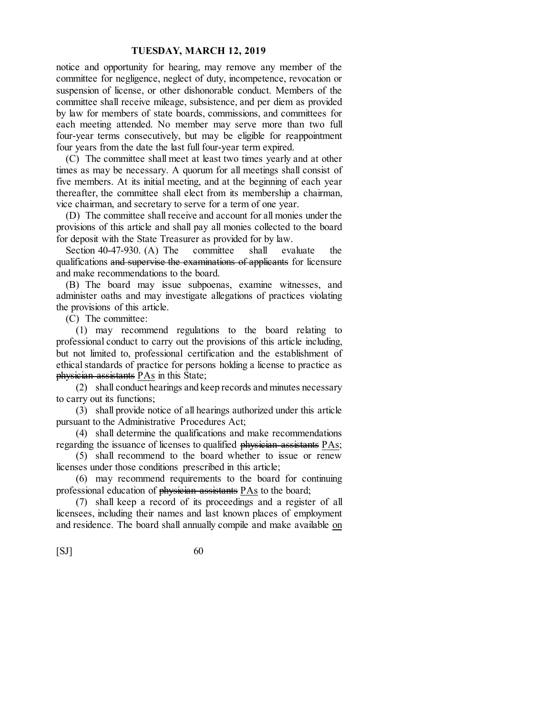notice and opportunity for hearing, may remove any member of the committee for negligence, neglect of duty, incompetence, revocation or suspension of license, or other dishonorable conduct. Members of the committee shall receive mileage, subsistence, and per diem as provided by law for members of state boards, commissions, and committees for each meeting attended. No member may serve more than two full four-year terms consecutively, but may be eligible for reappointment four years from the date the last full four-year term expired.

(C) The committee shall meet at least two times yearly and at other times as may be necessary. A quorum for all meetings shall consist of five members. At its initial meeting, and at the beginning of each year thereafter, the committee shall elect from its membership a chairman, vice chairman, and secretary to serve for a term of one year.

(D) The committee shall receive and account for all monies under the provisions of this article and shall pay all monies collected to the board for deposit with the State Treasurer as provided for by law.

Section 40-47-930. (A) The committee shall evaluate the qualifications and supervise the examinations of applicants for licensure and make recommendations to the board.

(B) The board may issue subpoenas, examine witnesses, and administer oaths and may investigate allegations of practices violating the provisions of this article.

(C) The committee:

(1) may recommend regulations to the board relating to professional conduct to carry out the provisions of this article including, but not limited to, professional certification and the establishment of ethical standards of practice for persons holding a license to practice as physician assistants PAs in this State;

(2) shall conduct hearings and keep records and minutes necessary to carry out its functions;

(3) shall provide notice of all hearings authorized under this article pursuant to the Administrative Procedures Act;

(4) shall determine the qualifications and make recommendations regarding the issuance of licenses to qualified physician assistants PAs;

(5) shall recommend to the board whether to issue or renew licenses under those conditions prescribed in this article;

(6) may recommend requirements to the board for continuing professional education of  $phy\ddot{\text{s}}$  assistants  $P\text{As}$  to the board;

(7) shall keep a record of its proceedings and a register of all licensees, including their names and last known places of employment and residence. The board shall annually compile and make available on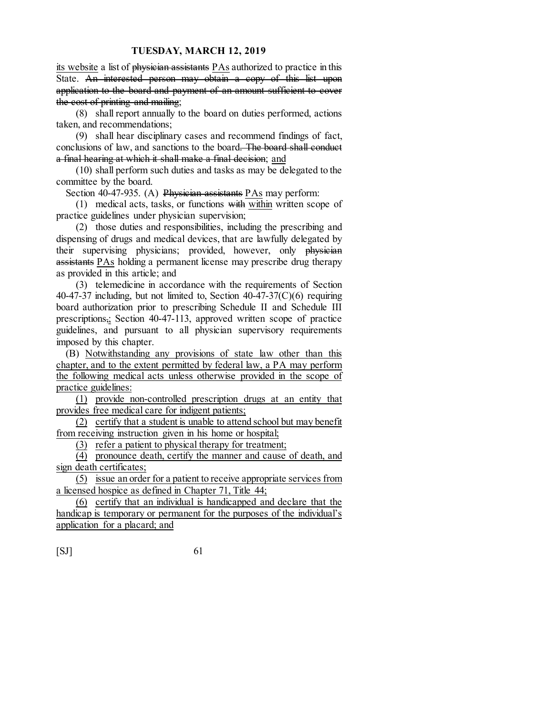its website a list of physician assistants PAs authorized to practice in this State. An interested person may obtain a copy of this list upon application to the board and payment of an amount sufficient to cover the cost of printing and mailing;

(8) shall report annually to the board on duties performed, actions taken, and recommendations;

(9) shall hear disciplinary cases and recommend findings of fact, conclusions of law, and sanctions to the board. The board shall conduct a final hearing at which it shall make a final decision; and

(10) shall perform such duties and tasks as may be delegated to the committee by the board.

Section 40-47-935. (A) Physician assistants PAs may perform:

(1) medical acts, tasks, or functions with within written scope of practice guidelines under physician supervision;

(2) those duties and responsibilities, including the prescribing and dispensing of drugs and medical devices, that are lawfully delegated by their supervising physicians; provided, however, only physician assistants PAs holding a permanent license may prescribe drug therapy as provided in this article; and

(3) telemedicine in accordance with the requirements of Section 40-47-37 including, but not limited to, Section  $40-47-37(C)(6)$  requiring board authorization prior to prescribing Schedule II and Schedule III prescriptions,; Section 40-47-113, approved written scope of practice guidelines, and pursuant to all physician supervisory requirements imposed by this chapter.

(B) Notwithstanding any provisions of state law other than this chapter, and to the extent permitted by federal law, a PA may perform the following medical acts unless otherwise provided in the scope of practice guidelines:

(1) provide non-controlled prescription drugs at an entity that provides free medical care for indigent patients;

(2) certify that a student is unable to attend school but may benefit from receiving instruction given in his home or hospital;

(3) refer a patient to physical therapy for treatment;

(4) pronounce death, certify the manner and cause of death, and sign death certificates;

(5) issue an order for a patient to receive appropriate services from a licensed hospice as defined in Chapter 71, Title 44;

(6) certify that an individual is handicapped and declare that the handicap is temporary or permanent for the purposes of the individual's application for a placard; and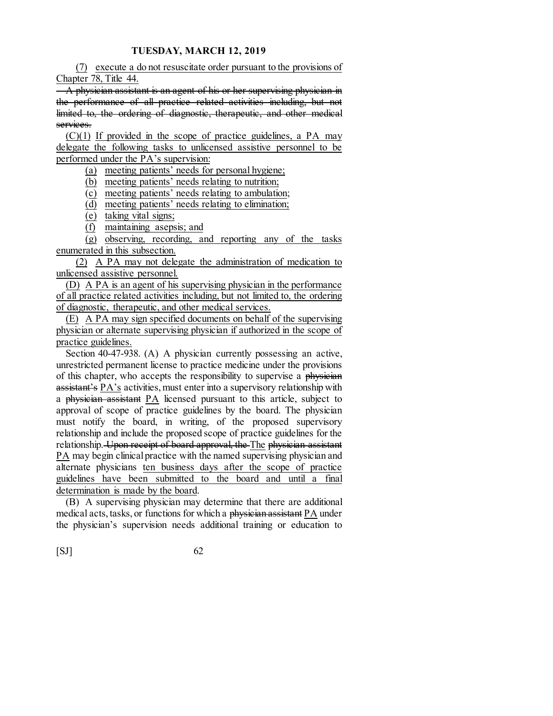(7) execute a do not resuscitate order pursuant to the provisions of Chapter 78, Title 44.

A physician assistant is an agent of his or her supervising physician in the performance of all practice related activities including, but not limited to, the ordering of diagnostic, therapeutic, and other medical services.

 $(C)(1)$  If provided in the scope of practice guidelines, a PA may delegate the following tasks to unlicensed assistive personnel to be performed under the PA's supervision:

(a) meeting patients' needs for personal hygiene;

(b) meeting patients' needs relating to nutrition;

(c) meeting patients' needs relating to ambulation;

(d) meeting patients' needs relating to elimination;

(e) taking vital signs;

(f) maintaining asepsis; and

(g) observing, recording, and reporting any of the tasks enumerated in this subsection.

(2) A PA may not delegate the administration of medication to unlicensed assistive personnel.

(D) A PA is an agent of his supervising physician in the performance of all practice related activities including, but not limited to, the ordering of diagnostic, therapeutic, and other medical services.

(E) A PA may sign specified documents on behalf of the supervising physician or alternate supervising physician if authorized in the scope of practice guidelines.

Section 40-47-938. (A) A physician currently possessing an active, unrestricted permanent license to practice medicine under the provisions of this chapter, who accepts the responsibility to supervise a physician assistant's PA's activities, must enter into a supervisory relationship with a physician assistant PA licensed pursuant to this article, subject to approval of scope of practice guidelines by the board. The physician must notify the board, in writing, of the proposed supervisory relationship and include the proposed scope of practice guidelines for the relationship. Upon receipt of board approval, the The physician assistant PA may begin clinical practice with the named supervising physician and alternate physicians ten business days after the scope of practice guidelines have been submitted to the board and until a final determination is made by the board.

(B) A supervising physician may determine that there are additional medical acts, tasks, or functions for which a physician assistant PA under the physician's supervision needs additional training or education to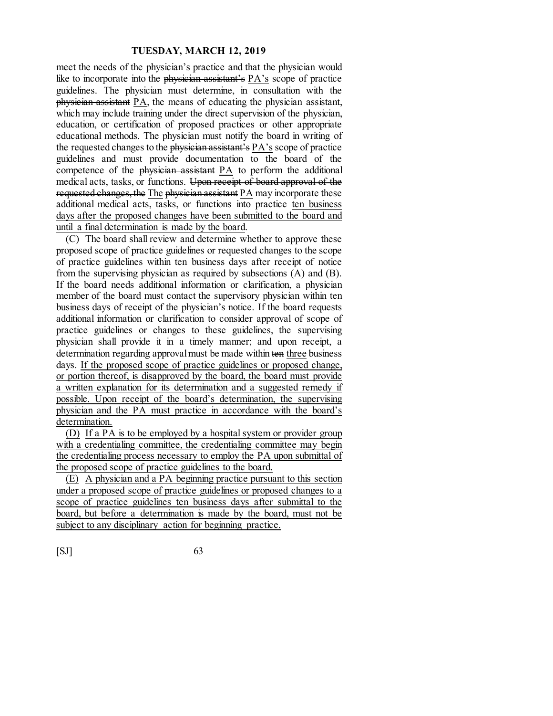meet the needs of the physician's practice and that the physician would like to incorporate into the physician assistant's  $\overline{PA}$ 's scope of practice guidelines. The physician must determine, in consultation with the physician assistant PA, the means of educating the physician assistant, which may include training under the direct supervision of the physician, education, or certification of proposed practices or other appropriate educational methods. The physician must notify the board in writing of the requested changes to the physician assistant's PA's scope of practice guidelines and must provide documentation to the board of the competence of the physician assistant PA to perform the additional medical acts, tasks, or functions. Upon receipt of board approval of the requested changes, the The physician assistant PA may incorporate these additional medical acts, tasks, or functions into practice ten business days after the proposed changes have been submitted to the board and until a final determination is made by the board.

(C) The board shall review and determine whether to approve these proposed scope of practice guidelines or requested changes to the scope of practice guidelines within ten business days after receipt of notice from the supervising physician as required by subsections (A) and (B). If the board needs additional information or clarification, a physician member of the board must contact the supervisory physician within ten business days of receipt of the physician's notice. If the board requests additional information or clarification to consider approval of scope of practice guidelines or changes to these guidelines, the supervising physician shall provide it in a timely manner; and upon receipt, a determination regarding approvalmust be made within ten three business days. If the proposed scope of practice guidelines or proposed change, or portion thereof, is disapproved by the board, the board must provide a written explanation for its determination and a suggested remedy if possible. Upon receipt of the board's determination, the supervising physician and the PA must practice in accordance with the board's determination.

(D) If a PA is to be employed by a hospital system or provider group with a credentialing committee, the credentialing committee may begin the credentialing process necessary to employ the PA upon submittal of the proposed scope of practice guidelines to the board.

(E) A physician and a PA beginning practice pursuant to this section under a proposed scope of practice guidelines or proposed changes to a scope of practice guidelines ten business days after submittal to the board, but before a determination is made by the board, must not be subject to any disciplinary action for beginning practice.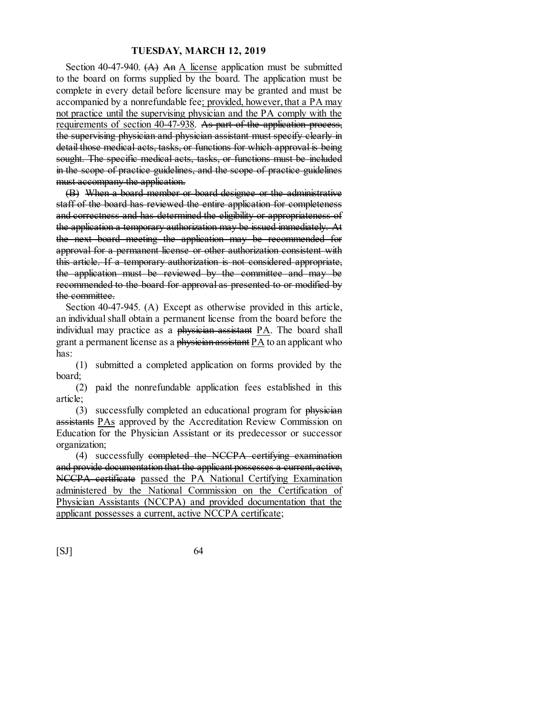Section 40-47-940.  $(A)$  An A license application must be submitted to the board on forms supplied by the board. The application must be complete in every detail before licensure may be granted and must be accompanied by a nonrefundable fee; provided, however, that a PA may not practice until the supervising physician and the PA comply with the requirements of section 40-47-938. As part of the application process, the supervising physician and physician assistant must specify clearly in detail those medical acts, tasks, or functions for which approval is being sought. The specific medical acts, tasks, or functions must be included in the scope of practice guidelines, and the scope of practice guidelines must accompany the application.

(B) When a board member or board designee or the administrative staff of the board has reviewed the entire application for completeness and correctness and has determined the eligibility or appropriateness of the application a temporary authorization may be issued immediately. At the next board meeting the application may be recommended for approval for a permanent license or other authorization consistent with this article. If a temporary authorization is not considered appropriate, the application must be reviewed by the committee and may be recommended to the board for approval as presented to or modified by the committee.

Section 40-47-945. (A) Except as otherwise provided in this article, an individualshall obtain a permanent license from the board before the individual may practice as a physician assistant PA. The board shall grant a permanent license as a physician assistant  $PA$  to an applicant who has:

(1) submitted a completed application on forms provided by the board;

(2) paid the nonrefundable application fees established in this article;

(3) successfully completed an educational program for physician assistants PAs approved by the Accreditation Review Commission on Education for the Physician Assistant or its predecessor or successor organization;

(4) successfully completed the NCCPA certifying examination and provide documentation that the applicant possesses a current, active, NCCPA certificate passed the PA National Certifying Examination administered by the National Commission on the Certification of Physician Assistants (NCCPA) and provided documentation that the applicant possesses a current, active NCCPA certificate;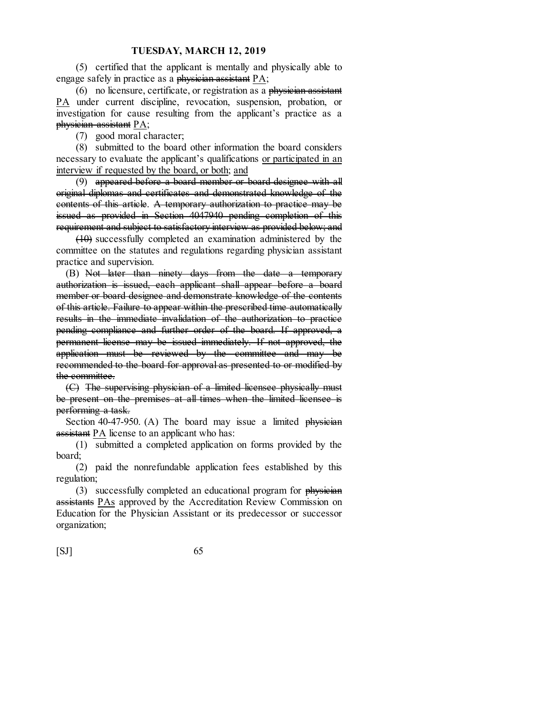(5) certified that the applicant is mentally and physically able to engage safely in practice as a physician assistant  $PA$ ;

(6) no licensure, certificate, or registration as a physician assistant PA under current discipline, revocation, suspension, probation, or investigation for cause resulting from the applicant's practice as a physician assistant PA;

(7) good moral character;

(8) submitted to the board other information the board considers necessary to evaluate the applicant's qualifications or participated in an interview if requested by the board, or both; and

(9) appeared before a board member or board designee with all original diplomas and certificates and demonstrated knowledge of the contents of this article. A temporary authorization to practice may be issued as provided in Section 4047940 pending completion of this requirement and subject to satisfactory interview as provided below; and

(10) successfully completed an examination administered by the committee on the statutes and regulations regarding physician assistant practice and supervision.

(B) Not later than ninety days from the date a temporary authorization is issued, each applicant shall appear before a board member or board designee and demonstrate knowledge of the contents of this article. Failure to appear within the prescribed time automatically results in the immediate invalidation of the authorization to practice pending compliance and further order of the board. If approved, a permanent license may be issued immediately. If not approved, the application must be reviewed by the committee and may be recommended to the board for approval as presented to or modified by the committee.

(C) The supervising physician of a limited licensee physically must be present on the premises at all times when the limited licensee is performing a task.

Section 40-47-950. (A) The board may issue a limited physician assistant PA license to an applicant who has:

(1) submitted a completed application on forms provided by the board;

(2) paid the nonrefundable application fees established by this regulation;

(3) successfully completed an educational program for  $\frac{1}{2}$  physician assistants PAs approved by the Accreditation Review Commission on Education for the Physician Assistant or its predecessor or successor organization;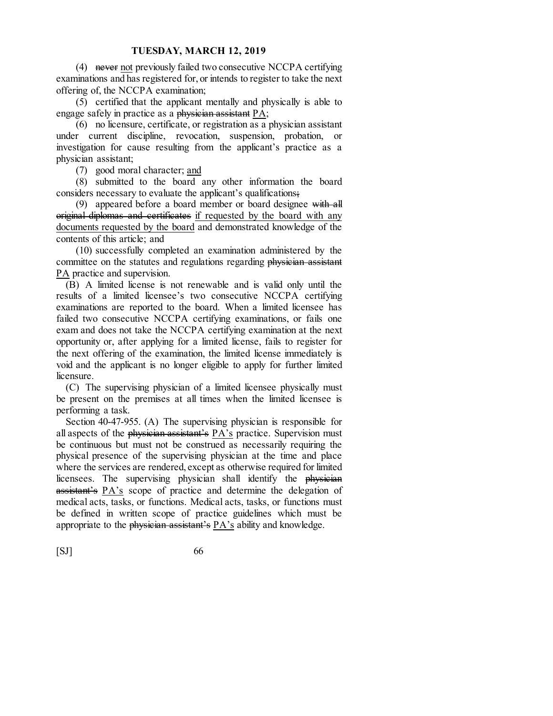(4) never not previously failed two consecutive NCCPA certifying examinations and has registered for, or intends to register to take the next offering of, the NCCPA examination;

(5) certified that the applicant mentally and physically is able to engage safely in practice as a physician assistant PA;

(6) no licensure, certificate, or registration as a physician assistant under current discipline, revocation, suspension, probation, or investigation for cause resulting from the applicant's practice as a physician assistant;

(7) good moral character; and

(8) submitted to the board any other information the board considers necessary to evaluate the applicant's qualifications;

(9) appeared before a board member or board designee with all original diplomas and certificates if requested by the board with any documents requested by the board and demonstrated knowledge of the contents of this article; and

(10) successfully completed an examination administered by the committee on the statutes and regulations regarding physician assistant PA practice and supervision.

(B) A limited license is not renewable and is valid only until the results of a limited licensee's two consecutive NCCPA certifying examinations are reported to the board. When a limited licensee has failed two consecutive NCCPA certifying examinations, or fails one exam and does not take the NCCPA certifying examination at the next opportunity or, after applying for a limited license, fails to register for the next offering of the examination, the limited license immediately is void and the applicant is no longer eligible to apply for further limited licensure.

(C) The supervising physician of a limited licensee physically must be present on the premises at all times when the limited licensee is performing a task.

Section 40-47-955. (A) The supervising physician is responsible for all aspects of the physician assistant's PA's practice. Supervision must be continuous but must not be construed as necessarily requiring the physical presence of the supervising physician at the time and place where the services are rendered, except as otherwise required for limited licensees. The supervising physician shall identify the physician assistant's PA's scope of practice and determine the delegation of medical acts, tasks, or functions. Medical acts, tasks, or functions must be defined in written scope of practice guidelines which must be appropriate to the physician assistant's PA's ability and knowledge.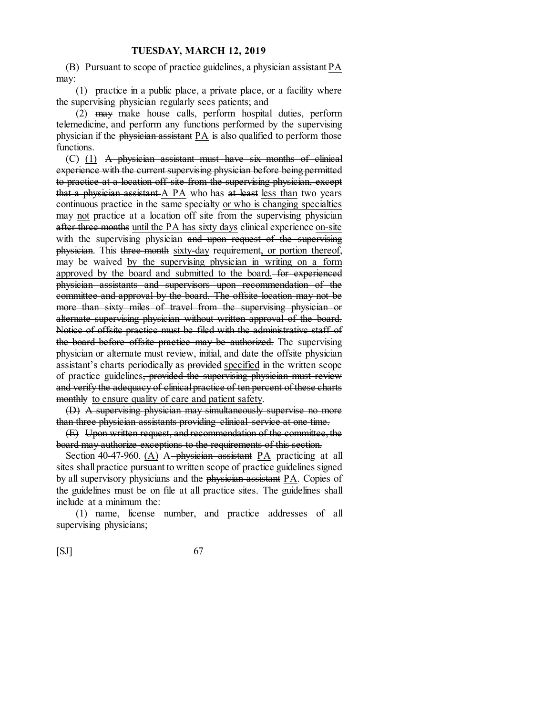(B) Pursuant to scope of practice guidelines, a physician assistant  $PA$ may:

(1) practice in a public place, a private place, or a facility where the supervising physician regularly sees patients; and

(2) may make house calls, perform hospital duties, perform telemedicine, and perform any functions performed by the supervising physician if the physician assistant PA is also qualified to perform those functions.

(C) (1) A physician assistant must have six months of clinical experience with the current supervising physician before being permitted to practice at a location off site from the supervising physician, except that a physician assistant A PA who has at least less than two years continuous practice in the same specialty or who is changing specialties may <u>not</u> practice at a location off site from the supervising physician after three months until the PA has sixty days clinical experience on-site with the supervising physician and upon request of the supervising physician. This three-month sixty-day requirement, or portion thereof, may be waived by the supervising physician in writing on a form approved by the board and submitted to the board. for experienced physician assistants and supervisors upon recommendation of the committee and approval by the board. The offsite location may not be more than sixty miles of travel from the supervising physician or alternate supervising physician without written approval of the board. Notice of offsite practice must be filed with the administrative staff of the board before offsite practice may be authorized. The supervising physician or alternate must review, initial, and date the offsite physician assistant's charts periodically as provided specified in the written scope of practice guidelines, provided the supervising physician must review and verify the adequacy of clinical practice of ten percent of these charts monthly to ensure quality of care and patient safety.

(D) A supervising physician may simultaneously supervise no more than three physician assistants providing clinical service at one time.

(E) Upon written request, and recommendation of the committee, the board may authorize exceptions to the requirements of this section.

Section 40-47-960.  $(A)$  A-physician assistant PA practicing at all sites shall practice pursuant to written scope of practice guidelines signed by all supervisory physicians and the physician assistant PA. Copies of the guidelines must be on file at all practice sites. The guidelines shall include at a minimum the:

(1) name, license number, and practice addresses of all supervising physicians;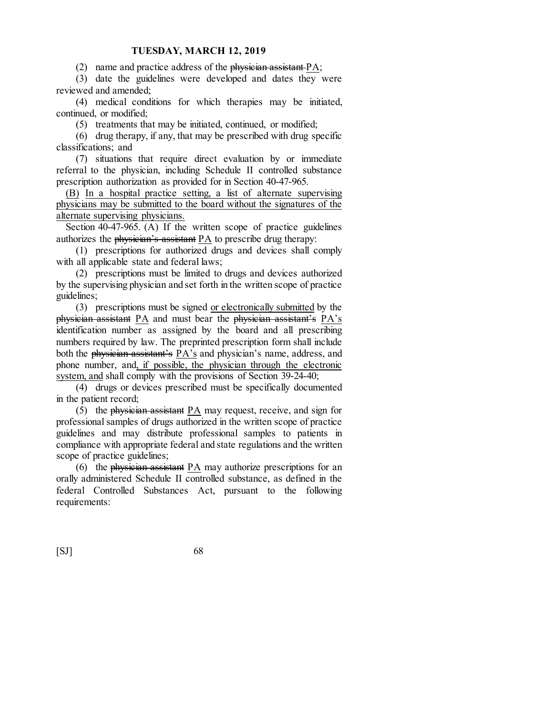(2) name and practice address of the physician assistant  $PA$ ;

(3) date the guidelines were developed and dates they were reviewed and amended;

(4) medical conditions for which therapies may be initiated, continued, or modified;

(5) treatments that may be initiated, continued, or modified;

(6) drug therapy, if any, that may be prescribed with drug specific classifications; and

(7) situations that require direct evaluation by or immediate referral to the physician, including Schedule II controlled substance prescription authorization as provided for in Section 40-47-965.

(B) In a hospital practice setting, a list of alternate supervising physicians may be submitted to the board without the signatures of the alternate supervising physicians.

Section 40-47-965. (A) If the written scope of practice guidelines authorizes the physician's assistant PA to prescribe drug therapy:

(1) prescriptions for authorized drugs and devices shall comply with all applicable state and federal laws;

(2) prescriptions must be limited to drugs and devices authorized by the supervising physician and set forth in the written scope of practice guidelines;

(3) prescriptions must be signed or electronically submitted by the physician assistant PA and must bear the physician assistant's PA's identification number as assigned by the board and all prescribing numbers required by law. The preprinted prescription form shall include both the physician assistant's PA's and physician's name, address, and phone number, and, if possible, the physician through the electronic system, and shall comply with the provisions of Section 39-24-40;

(4) drugs or devices prescribed must be specifically documented in the patient record;

(5) the physician assistant  $PA$  may request, receive, and sign for professional samples of drugs authorized in the written scope of practice guidelines and may distribute professional samples to patients in compliance with appropriate federal and state regulations and the written scope of practice guidelines;

(6) the physician assistant PA may authorize prescriptions for an orally administered Schedule II controlled substance, as defined in the federal Controlled Substances Act, pursuant to the following requirements: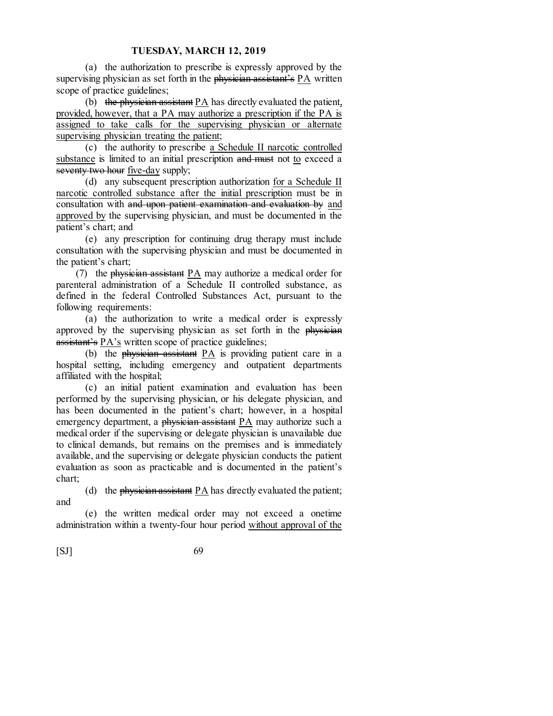(a) the authorization to prescribe is expressly approved by the supervising physician as set forth in the physician assistant's PA written scope of practice guidelines;

(b) the physician assistant PA has directly evaluated the patient, provided, however, that a PA may authorize a prescription if the PA is assigned to take calls for the supervising physician or alternate supervising physician treating the patient;

(c) the authority to prescribe a Schedule II narcotic controlled substance is limited to an initial prescription and must not to exceed a seventy two hour five-day supply;

(d) any subsequent prescription authorization for a Schedule II narcotic controlled substance after the initial prescription must be in consultation with and upon patient examination and evaluation by and approved by the supervising physician, and must be documented in the patient's chart; and

(e) any prescription for continuing drug therapy must include consultation with the supervising physician and must be documented in the patient's chart;

(7) the physician assistant PA may authorize a medical order for parenteral administration of a Schedule II controlled substance, as defined in the federal Controlled Substances Act, pursuant to the following requirements:

(a) the authorization to write a medical order is expressly approved by the supervising physician as set forth in the physician assistant's PA's written scope of practice guidelines;

(b) the physician assistant PA is providing patient care in a hospital setting, including emergency and outpatient departments affiliated with the hospital;

(c) an initial patient examination and evaluation has been performed by the supervising physician, or his delegate physician, and has been documented in the patient's chart; however, in a hospital emergency department, a physician assistant PA may authorize such a medical order if the supervising or delegate physician is unavailable due to clinical demands, but remains on the premises and is immediately available, and the supervising or delegate physician conducts the patient evaluation as soon as practicable and is documented in the patient's chart;

(d) the physician assistant  $PA$  has directly evaluated the patient; and

(e) the written medical order may not exceed a onetime administration within a twenty-four hour period without approval of the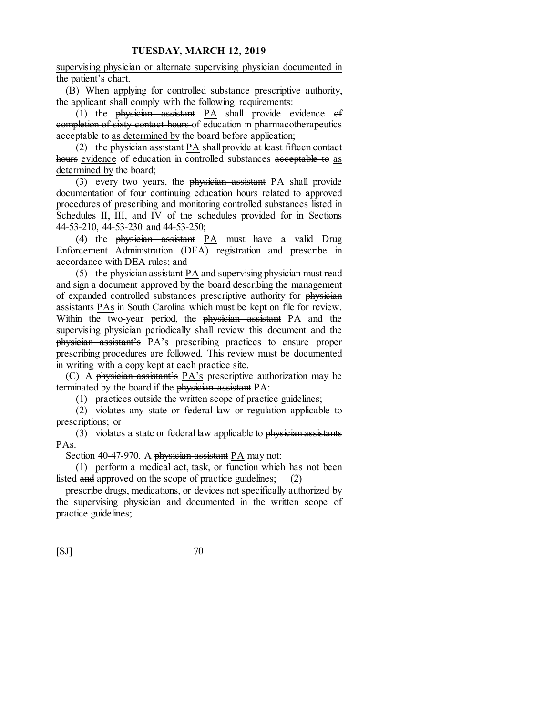supervising physician or alternate supervising physician documented in the patient's chart.

(B) When applying for controlled substance prescriptive authority, the applicant shall comply with the following requirements:

(1) the physician assistant PA shall provide evidence of completion of sixty contact hours of education in pharmacotherapeutics acceptable to as determined by the board before application;

(2) the physician assistant PA shall provide at least fifteen contact hours evidence of education in controlled substances acceptable to as determined by the board;

(3) every two years, the physician assistant PA shall provide documentation of four continuing education hours related to approved procedures of prescribing and monitoring controlled substances listed in Schedules II, III, and IV of the schedules provided for in Sections 44-53-210, 44-53-230 and 44-53-250;

(4) the physician assistant PA must have a valid Drug Enforcement Administration (DEA) registration and prescribe in accordance with DEA rules; and

(5) the physician assistant PA and supervising physician must read and sign a document approved by the board describing the management of expanded controlled substances prescriptive authority for physician assistants PAs in South Carolina which must be kept on file for review. Within the two-year period, the physician assistant PA and the supervising physician periodically shall review this document and the physician assistant's PA's prescribing practices to ensure proper prescribing procedures are followed. This review must be documented in writing with a copy kept at each practice site.

(C) A physician assistant's PA's prescriptive authorization may be terminated by the board if the physician assistant PA:

(1) practices outside the written scope of practice guidelines;

(2) violates any state or federal law or regulation applicable to prescriptions; or

(3) violates a state or federal law applicable to  $\frac{1}{2}$  physician assistants PAs.

Section 40-47-970. A physician assistant  $PA$  may not:

(1) perform a medical act, task, or function which has not been listed and approved on the scope of practice guidelines; (2)

prescribe drugs, medications, or devices not specifically authorized by the supervising physician and documented in the written scope of practice guidelines;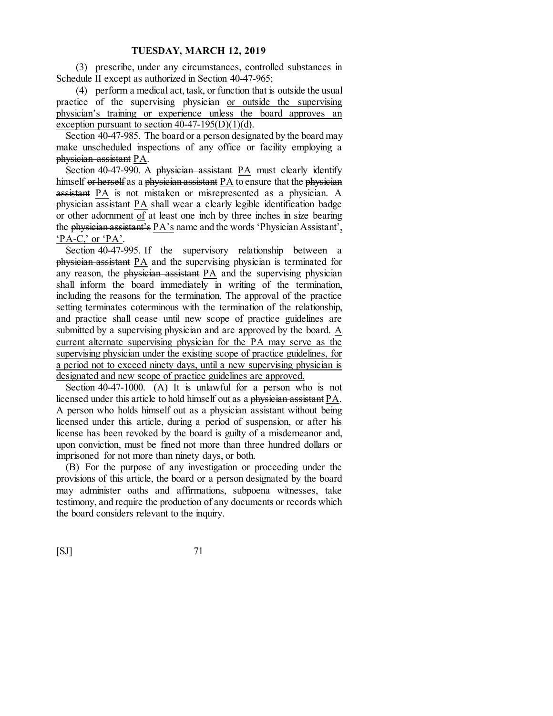(3) prescribe, under any circumstances, controlled substances in Schedule II except as authorized in Section 40-47-965;

(4) perform a medical act, task, or function that is outside the usual practice of the supervising physician or outside the supervising physician's training or experience unless the board approves an exception pursuant to section  $40-47-195(D)(1)(d)$ .

Section 40-47-985. The board or a person designated by the board may make unscheduled inspections of any office or facility employing a physician assistant PA.

Section 40-47-990. A physician assistant PA must clearly identify himself or herself as a physician assistant PA to ensure that the physician assistant PA is not mistaken or misrepresented as a physician. A physician assistant PA shall wear a clearly legible identification badge or other adornment of at least one inch by three inches in size bearing the physician assistant's PA's name and the words 'Physician Assistant', 'PA-C,' or 'PA'.

Section 40-47-995. If the supervisory relationship between a physician assistant PA and the supervising physician is terminated for any reason, the physician assistant PA and the supervising physician shall inform the board immediately in writing of the termination, including the reasons for the termination. The approval of the practice setting terminates coterminous with the termination of the relationship, and practice shall cease until new scope of practice guidelines are submitted by a supervising physician and are approved by the board. A current alternate supervising physician for the PA may serve as the supervising physician under the existing scope of practice guidelines, for a period not to exceed ninety days, until a new supervising physician is designated and new scope of practice guidelines are approved.

Section 40-47-1000. (A) It is unlawful for a person who is not licensed under this article to hold himself out as a physician assistant PA. A person who holds himself out as a physician assistant without being licensed under this article, during a period of suspension, or after his license has been revoked by the board is guilty of a misdemeanor and, upon conviction, must be fined not more than three hundred dollars or imprisoned for not more than ninety days, or both.

(B) For the purpose of any investigation or proceeding under the provisions of this article, the board or a person designated by the board may administer oaths and affirmations, subpoena witnesses, take testimony, and require the production of any documents or records which the board considers relevant to the inquiry.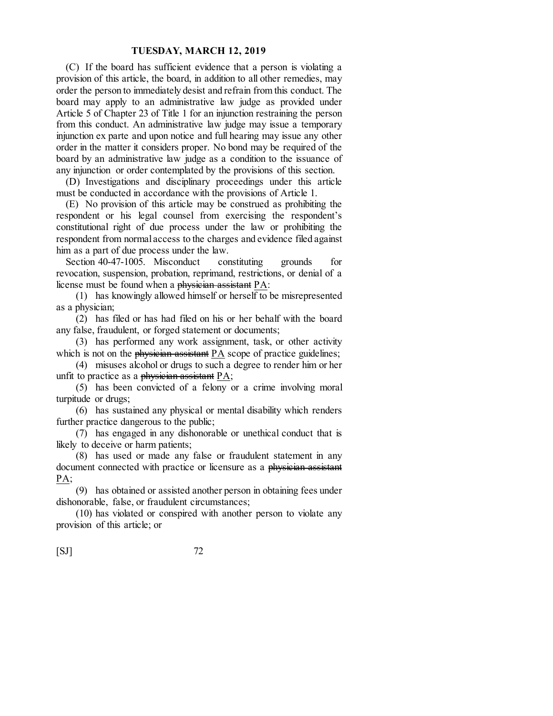(C) If the board has sufficient evidence that a person is violating a provision of this article, the board, in addition to all other remedies, may order the person to immediately desist and refrain from this conduct. The board may apply to an administrative law judge as provided under Article 5 of Chapter 23 of Title 1 for an injunction restraining the person from this conduct. An administrative law judge may issue a temporary injunction ex parte and upon notice and full hearing may issue any other order in the matter it considers proper. No bond may be required of the board by an administrative law judge as a condition to the issuance of any injunction or order contemplated by the provisions of this section.

(D) Investigations and disciplinary proceedings under this article must be conducted in accordance with the provisions of Article 1.

(E) No provision of this article may be construed as prohibiting the respondent or his legal counsel from exercising the respondent's constitutional right of due process under the law or prohibiting the respondent from normal access to the charges and evidence filed against him as a part of due process under the law.

Section 40-47-1005. Misconduct constituting grounds for revocation, suspension, probation, reprimand, restrictions, or denial of a license must be found when a physician assistant PA:

(1) has knowingly allowed himself or herself to be misrepresented as a physician;

(2) has filed or has had filed on his or her behalf with the board any false, fraudulent, or forged statement or documents;

(3) has performed any work assignment, task, or other activity which is not on the physician assistant PA scope of practice guidelines;

(4) misuses alcohol or drugs to such a degree to render him or her unfit to practice as a physician assistant PA;

(5) has been convicted of a felony or a crime involving moral turpitude or drugs;

(6) has sustained any physical or mental disability which renders further practice dangerous to the public;

(7) has engaged in any dishonorable or unethical conduct that is likely to deceive or harm patients;

(8) has used or made any false or fraudulent statement in any document connected with practice or licensure as a physician assistant PA;

(9) has obtained or assisted another person in obtaining fees under dishonorable, false, or fraudulent circumstances;

(10) has violated or conspired with another person to violate any provision of this article; or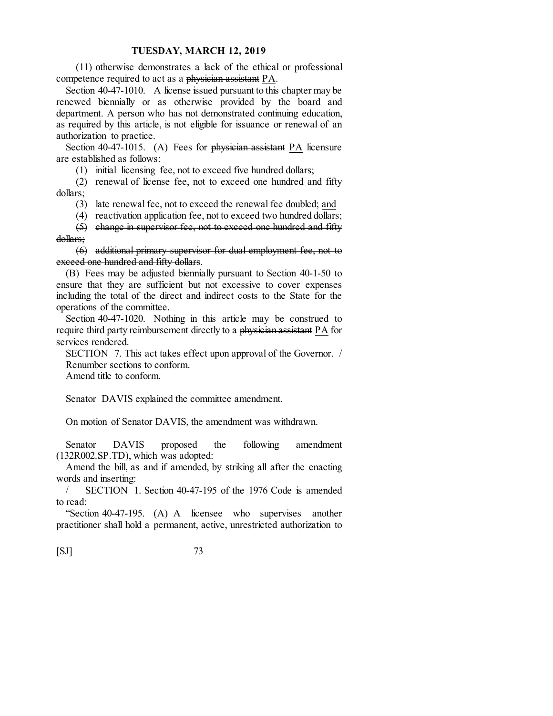(11) otherwise demonstrates a lack of the ethical or professional competence required to act as a physician assistant PA.

Section 40-47-1010. A license issued pursuant to this chapter may be renewed biennially or as otherwise provided by the board and department. A person who has not demonstrated continuing education, as required by this article, is not eligible for issuance or renewal of an authorization to practice.

Section 40-47-1015. (A) Fees for physician assistant PA licensure are established as follows:

(1) initial licensing fee, not to exceed five hundred dollars;

(2) renewal of license fee, not to exceed one hundred and fifty dollars;

(3) late renewal fee, not to exceed the renewal fee doubled; and

(4) reactivation application fee, not to exceed two hundred dollars;

(5) change in supervisor fee, not to exceed one hundred and fifty dollars;

(6) additional primary supervisor for dual employment fee, not to exceed one hundred and fifty dollars.

(B) Fees may be adjusted biennially pursuant to Section 40-1-50 to ensure that they are sufficient but not excessive to cover expenses including the total of the direct and indirect costs to the State for the operations of the committee.

Section 40-47-1020. Nothing in this article may be construed to require third party reimbursement directly to a physician assistant PA for services rendered.

SECTION 7. This act takes effect upon approval of the Governor. / Renumber sections to conform.

Amend title to conform.

Senator DAVIS explained the committee amendment.

On motion of Senator DAVIS, the amendment was withdrawn.

Senator DAVIS proposed the following amendment (132R002.SP.TD), which was adopted:

Amend the bill, as and if amended, by striking all after the enacting words and inserting:

/ SECTION 1. Section 40-47-195 of the 1976 Code is amended to read:

"Section 40-47-195. (A) A licensee who supervises another practitioner shall hold a permanent, active, unrestricted authorization to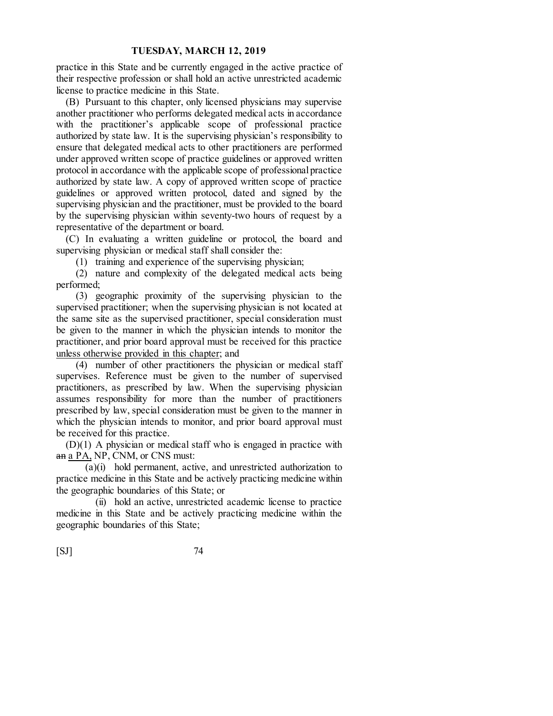practice in this State and be currently engaged in the active practice of their respective profession or shall hold an active unrestricted academic license to practice medicine in this State.

(B) Pursuant to this chapter, only licensed physicians may supervise another practitioner who performs delegated medical acts in accordance with the practitioner's applicable scope of professional practice authorized by state law. It is the supervising physician's responsibility to ensure that delegated medical acts to other practitioners are performed under approved written scope of practice guidelines or approved written protocol in accordance with the applicable scope of professional practice authorized by state law. A copy of approved written scope of practice guidelines or approved written protocol, dated and signed by the supervising physician and the practitioner, must be provided to the board by the supervising physician within seventy-two hours of request by a representative of the department or board.

(C) In evaluating a written guideline or protocol, the board and supervising physician or medical staff shall consider the:

(1) training and experience of the supervising physician;

(2) nature and complexity of the delegated medical acts being performed;

(3) geographic proximity of the supervising physician to the supervised practitioner; when the supervising physician is not located at the same site as the supervised practitioner, special consideration must be given to the manner in which the physician intends to monitor the practitioner, and prior board approval must be received for this practice unless otherwise provided in this chapter; and

(4) number of other practitioners the physician or medical staff supervises. Reference must be given to the number of supervised practitioners, as prescribed by law. When the supervising physician assumes responsibility for more than the number of practitioners prescribed by law, special consideration must be given to the manner in which the physician intends to monitor, and prior board approval must be received for this practice.

(D)(1) A physician or medical staff who is engaged in practice with an a PA, NP, CNM, or CNS must:

(a)(i) hold permanent, active, and unrestricted authorization to practice medicine in this State and be actively practicing medicine within the geographic boundaries of this State; or

(ii) hold an active, unrestricted academic license to practice medicine in this State and be actively practicing medicine within the geographic boundaries of this State;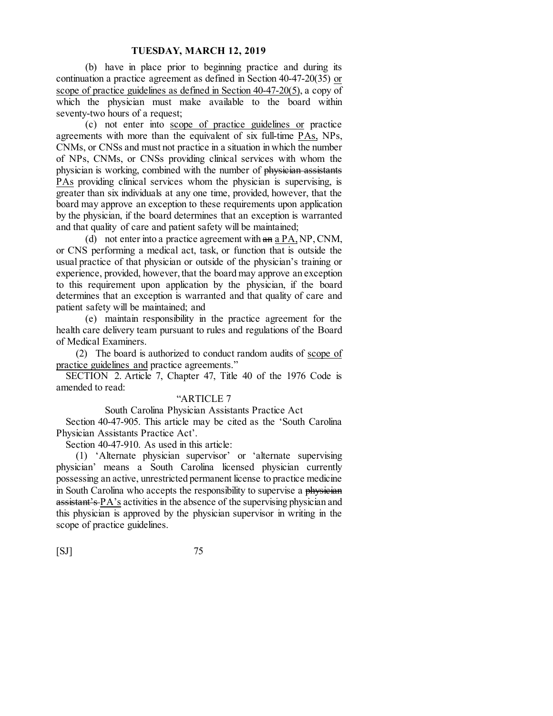(b) have in place prior to beginning practice and during its continuation a practice agreement as defined in Section 40-47-20(35) or scope of practice guidelines as defined in Section 40-47-20(5), a copy of which the physician must make available to the board within seventy-two hours of a request;

(c) not enter into scope of practice guidelines or practice agreements with more than the equivalent of six full-time PAs, NPs, CNMs, or CNSs and must not practice in a situation in which the number of NPs, CNMs, or CNSs providing clinical services with whom the physician is working, combined with the number of physician assistants PAs providing clinical services whom the physician is supervising, is greater than six individuals at any one time, provided, however, that the board may approve an exception to these requirements upon application by the physician, if the board determines that an exception is warranted and that quality of care and patient safety will be maintained;

(d) not enter into a practice agreement with an a PA, NP, CNM, or CNS performing a medical act, task, or function that is outside the usual practice of that physician or outside of the physician's training or experience, provided, however, that the board may approve an exception to this requirement upon application by the physician, if the board determines that an exception is warranted and that quality of care and patient safety will be maintained; and

(e) maintain responsibility in the practice agreement for the health care delivery team pursuant to rules and regulations of the Board of Medical Examiners.

(2) The board is authorized to conduct random audits of scope of practice guidelines and practice agreements."

SECTION 2. Article 7, Chapter 47, Title 40 of the 1976 Code is amended to read:

# "ARTICLE 7

South Carolina Physician Assistants Practice Act

Section 40-47-905. This article may be cited as the 'South Carolina Physician Assistants Practice Act'.

Section 40-47-910. As used in this article:

(1) 'Alternate physician supervisor' or 'alternate supervising physician' means a South Carolina licensed physician currently possessing an active, unrestricted permanent license to practice medicine in South Carolina who accepts the responsibility to supervise a physician assistant's PA's activities in the absence of the supervising physician and this physician is approved by the physician supervisor in writing in the scope of practice guidelines.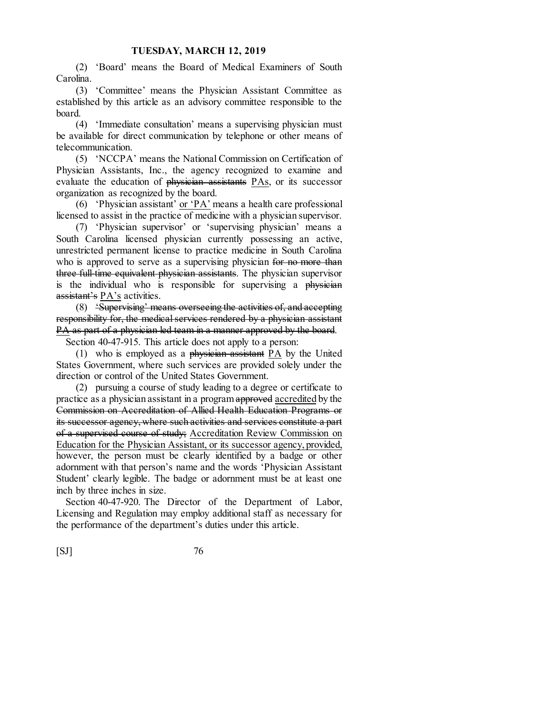(2) 'Board' means the Board of Medical Examiners of South Carolina.

(3) 'Committee' means the Physician Assistant Committee as established by this article as an advisory committee responsible to the board.

(4) 'Immediate consultation' means a supervising physician must be available for direct communication by telephone or other means of telecommunication.

(5) 'NCCPA' means the National Commission on Certification of Physician Assistants, Inc., the agency recognized to examine and evaluate the education of physician assistants PAs, or its successor organization as recognized by the board.

(6) 'Physician assistant' or 'PA' means a health care professional licensed to assist in the practice of medicine with a physician supervisor.

(7) 'Physician supervisor' or 'supervising physician' means a South Carolina licensed physician currently possessing an active, unrestricted permanent license to practice medicine in South Carolina who is approved to serve as a supervising physician for no more than three full-time equivalent physician assistants. The physician supervisor is the individual who is responsible for supervising a physician assistant's PA's activities.

(8) 'Supervising' means overseeing the activities of, and accepting responsibility for, the medical services rendered by a physician assistant PA as part of a physician led team in a manner approved by the board.

Section 40-47-915. This article does not apply to a person:

(1) who is employed as a physician assistant PA by the United States Government, where such services are provided solely under the direction or control of the United States Government.

(2) pursuing a course of study leading to a degree or certificate to practice as a physician assistant in a program approved accredited by the Commission on Accreditation of Allied Health Education Programs or its successor agency, where such activities and services constitute a part of a supervised course of study; Accreditation Review Commission on Education for the Physician Assistant, or its successor agency, provided, however, the person must be clearly identified by a badge or other adornment with that person's name and the words 'Physician Assistant Student' clearly legible. The badge or adornment must be at least one inch by three inches in size.

Section 40-47-920. The Director of the Department of Labor, Licensing and Regulation may employ additional staff as necessary for the performance of the department's duties under this article.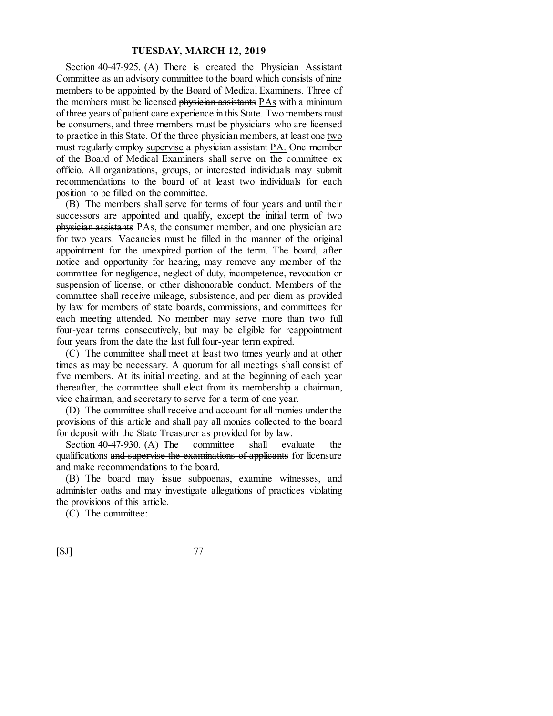Section 40-47-925. (A) There is created the Physician Assistant Committee as an advisory committee to the board which consists of nine members to be appointed by the Board of Medical Examiners. Three of the members must be licensed **physician assistants** PAs with a minimum of three years of patient care experience in this State. Two members must be consumers, and three members must be physicians who are licensed to practice in this State. Of the three physician members, at least one two must regularly employ supervise a physician assistant PA. One member of the Board of Medical Examiners shall serve on the committee ex officio. All organizations, groups, or interested individuals may submit recommendations to the board of at least two individuals for each position to be filled on the committee.

(B) The members shall serve for terms of four years and until their successors are appointed and qualify, except the initial term of two physician assistants PAs, the consumer member, and one physician are for two years. Vacancies must be filled in the manner of the original appointment for the unexpired portion of the term. The board, after notice and opportunity for hearing, may remove any member of the committee for negligence, neglect of duty, incompetence, revocation or suspension of license, or other dishonorable conduct. Members of the committee shall receive mileage, subsistence, and per diem as provided by law for members of state boards, commissions, and committees for each meeting attended. No member may serve more than two full four-year terms consecutively, but may be eligible for reappointment four years from the date the last full four-year term expired.

(C) The committee shall meet at least two times yearly and at other times as may be necessary. A quorum for all meetings shall consist of five members. At its initial meeting, and at the beginning of each year thereafter, the committee shall elect from its membership a chairman, vice chairman, and secretary to serve for a term of one year.

(D) The committee shall receive and account for all monies under the provisions of this article and shall pay all monies collected to the board for deposit with the State Treasurer as provided for by law.

Section 40-47-930. (A) The committee shall evaluate the qualifications and supervise the examinations of applicants for licensure and make recommendations to the board.

(B) The board may issue subpoenas, examine witnesses, and administer oaths and may investigate allegations of practices violating the provisions of this article.

(C) The committee:

| [SJ] | 77 |
|------|----|
|      |    |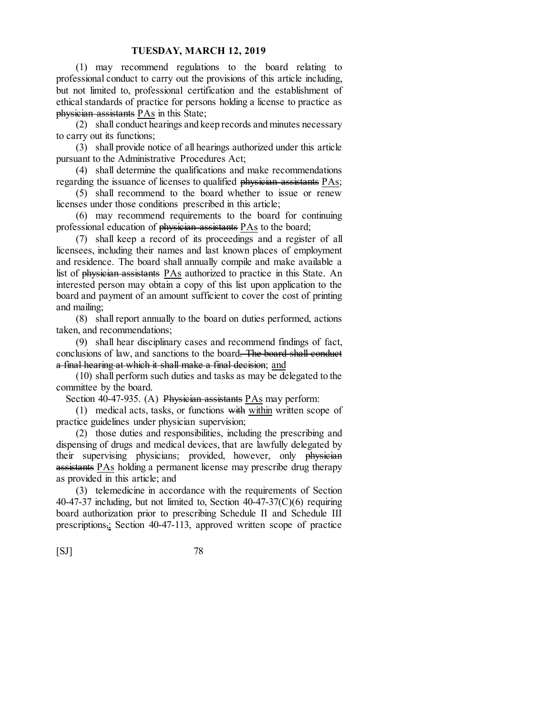(1) may recommend regulations to the board relating to professional conduct to carry out the provisions of this article including, but not limited to, professional certification and the establishment of ethical standards of practice for persons holding a license to practice as physician assistants PAs in this State;

(2) shall conduct hearings and keep records and minutes necessary to carry out its functions;

(3) shall provide notice of all hearings authorized under this article pursuant to the Administrative Procedures Act;

(4) shall determine the qualifications and make recommendations regarding the issuance of licenses to qualified physician assistants PAs;

(5) shall recommend to the board whether to issue or renew licenses under those conditions prescribed in this article;

(6) may recommend requirements to the board for continuing professional education of physician assistants PAs to the board;

(7) shall keep a record of its proceedings and a register of all licensees, including their names and last known places of employment and residence. The board shall annually compile and make available a list of physician assistants PAs authorized to practice in this State. An interested person may obtain a copy of this list upon application to the board and payment of an amount sufficient to cover the cost of printing and mailing;

(8) shall report annually to the board on duties performed, actions taken, and recommendations;

(9) shall hear disciplinary cases and recommend findings of fact, conclusions of law, and sanctions to the board. The board shall conduct a final hearing at which it shall make a final decision; and

(10) shall perform such duties and tasks as may be delegated to the committee by the board.

Section 40-47-935. (A) Physician assistants  $PAs$  may perform:

 $(1)$  medical acts, tasks, or functions with within written scope of practice guidelines under physician supervision;

(2) those duties and responsibilities, including the prescribing and dispensing of drugs and medical devices, that are lawfully delegated by their supervising physicians; provided, however, only physician assistants PAs holding a permanent license may prescribe drug therapy as provided in this article; and

(3) telemedicine in accordance with the requirements of Section 40-47-37 including, but not limited to, Section  $40-47-37(C)(6)$  requiring board authorization prior to prescribing Schedule II and Schedule III prescriptions,; Section 40-47-113, approved written scope of practice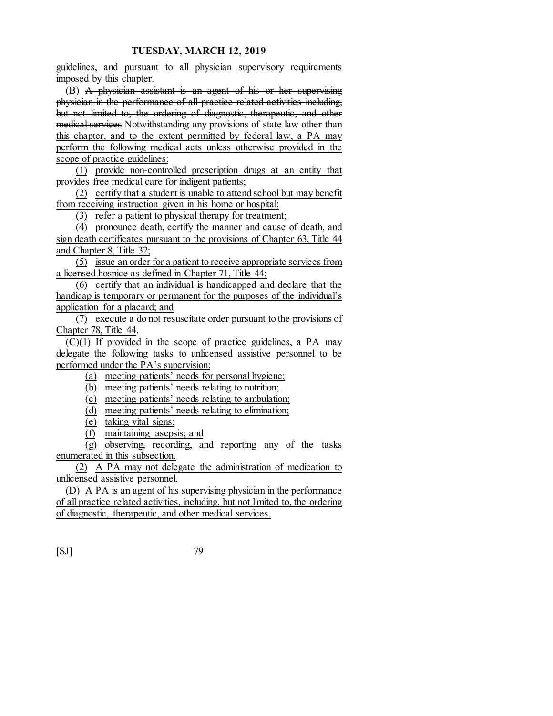guidelines, and pursuant to all physician supervisory requirements imposed by this chapter.

(B) A physician assistant is an agent of his or her supervising physician in the performance of all practice related activities including, but not limited to, the ordering of diagnostic, therapeutic, and other medical services Notwithstanding any provisions of state law other than this chapter, and to the extent permitted by federal law, a PA may perform the following medical acts unless otherwise provided in the scope of practice guidelines:

(1) provide non-controlled prescription drugs at an entity that provides free medical care for indigent patients;

(2) certify that a student is unable to attend school but may benefit from receiving instruction given in his home or hospital;

(3) refer a patient to physical therapy for treatment;

(4) pronounce death, certify the manner and cause of death, and sign death certificates pursuant to the provisions of Chapter 63, Title 44 and Chapter 8, Title 32;

(5) issue an order for a patient to receive appropriate services from a licensed hospice as defined in Chapter 71, Title 44;

(6) certify that an individual is handicapped and declare that the handicap is temporary or permanent for the purposes of the individual's application for a placard; and

(7) execute a do not resuscitate order pursuant to the provisions of Chapter 78, Title 44.

 $(C)(1)$  If provided in the scope of practice guidelines, a PA may delegate the following tasks to unlicensed assistive personnel to be performed under the PA's supervision:

(a) meeting patients' needs for personal hygiene;

- (b) meeting patients' needs relating to nutrition;
- (c) meeting patients' needs relating to ambulation;
- (d) meeting patients' needs relating to elimination;
- (e) taking vital signs;
- (f) maintaining asepsis; and

(g) observing, recording, and reporting any of the tasks enumerated in this subsection.

(2) A PA may not delegate the administration of medication to unlicensed assistive personnel.

(D) A PA is an agent of his supervising physician in the performance of all practice related activities, including, but not limited to, the ordering of diagnostic, therapeutic, and other medical services.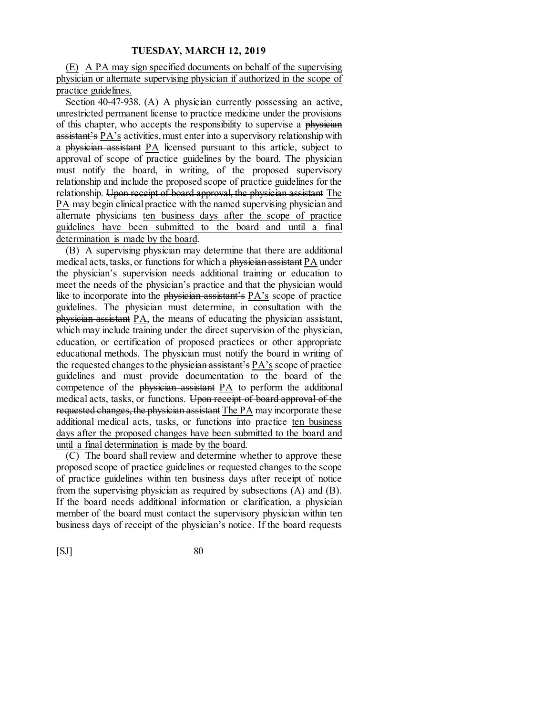(E) A PA may sign specified documents on behalf of the supervising physician or alternate supervising physician if authorized in the scope of practice guidelines.

Section 40-47-938. (A) A physician currently possessing an active, unrestricted permanent license to practice medicine under the provisions of this chapter, who accepts the responsibility to supervise a physician assistant's PA's activities, must enter into a supervisory relationship with a physician assistant PA licensed pursuant to this article, subject to approval of scope of practice guidelines by the board. The physician must notify the board, in writing, of the proposed supervisory relationship and include the proposed scope of practice guidelines for the relationship. Upon receipt of board approval, the physician assistant The PA may begin clinical practice with the named supervising physician and alternate physicians ten business days after the scope of practice guidelines have been submitted to the board and until a final determination is made by the board.

(B) A supervising physician may determine that there are additional medical acts, tasks, or functions for which a physician assistant PA under the physician's supervision needs additional training or education to meet the needs of the physician's practice and that the physician would like to incorporate into the physician assistant's PA's scope of practice guidelines. The physician must determine, in consultation with the physician assistant PA, the means of educating the physician assistant, which may include training under the direct supervision of the physician, education, or certification of proposed practices or other appropriate educational methods. The physician must notify the board in writing of the requested changes to the physician assistant's PA's scope of practice guidelines and must provide documentation to the board of the competence of the physician assistant  $PA$  to perform the additional medical acts, tasks, or functions. Upon receipt of board approval of the requested changes, the physician assistant The PA may incorporate these additional medical acts, tasks, or functions into practice ten business days after the proposed changes have been submitted to the board and until a final determination is made by the board.

(C) The board shall review and determine whether to approve these proposed scope of practice guidelines or requested changes to the scope of practice guidelines within ten business days after receipt of notice from the supervising physician as required by subsections (A) and (B). If the board needs additional information or clarification, a physician member of the board must contact the supervisory physician within ten business days of receipt of the physician's notice. If the board requests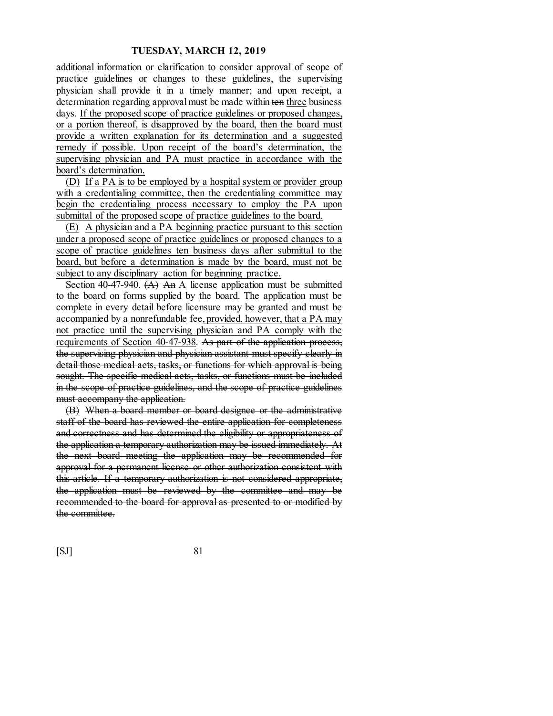additional information or clarification to consider approval of scope of practice guidelines or changes to these guidelines, the supervising physician shall provide it in a timely manner; and upon receipt, a determination regarding approval must be made within ten three business days. If the proposed scope of practice guidelines or proposed changes, or a portion thereof, is disapproved by the board, then the board must provide a written explanation for its determination and a suggested remedy if possible. Upon receipt of the board's determination, the supervising physician and PA must practice in accordance with the board's determination.

(D) If a PA is to be employed by a hospital system or provider group with a credentialing committee, then the credentialing committee may begin the credentialing process necessary to employ the PA upon submittal of the proposed scope of practice guidelines to the board.

(E) A physician and a PA beginning practice pursuant to this section under a proposed scope of practice guidelines or proposed changes to a scope of practice guidelines ten business days after submittal to the board, but before a determination is made by the board, must not be subject to any disciplinary action for beginning practice.

Section 40-47-940.  $(A)$  An A license application must be submitted to the board on forms supplied by the board. The application must be complete in every detail before licensure may be granted and must be accompanied by a nonrefundable fee, provided, however, that a PA may not practice until the supervising physician and PA comply with the requirements of Section 40-47-938. As part of the application process, the supervising physician and physician assistant must specify clearly in detail those medical acts, tasks, or functions for which approval is being sought. The specific medical acts, tasks, or functions must be included in the scope of practice guidelines, and the scope of practice guidelines must accompany the application.

(B) When a board member or board designee or the administrative staff of the board has reviewed the entire application for completeness and correctness and has determined the eligibility or appropriateness of the application a temporary authorization may be issued immediately. At the next board meeting the application may be recommended for approval for a permanent license or other authorization consistent with this article. If a temporary authorization is not considered appropriate, the application must be reviewed by the committee and may be recommended to the board for approval as presented to or modified by the committee.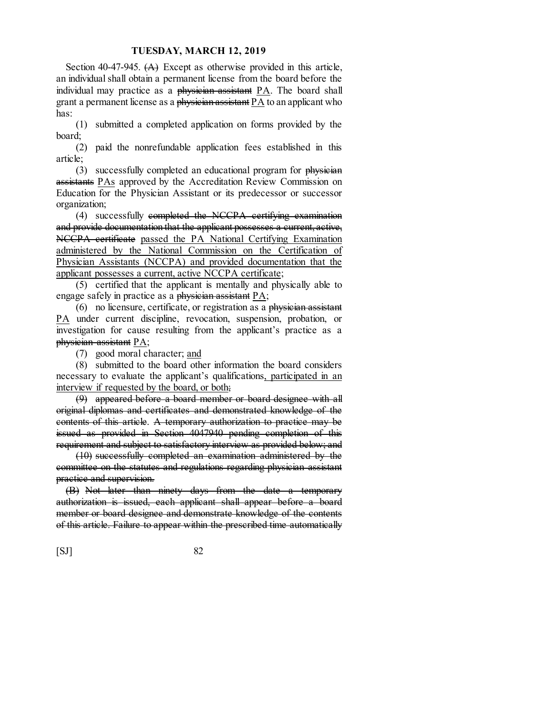Section 40-47-945.  $(A)$  Except as otherwise provided in this article, an individual shall obtain a permanent license from the board before the individual may practice as a physician assistant PA. The board shall grant a permanent license as a physician assistant PA to an applicant who has:

(1) submitted a completed application on forms provided by the board;

(2) paid the nonrefundable application fees established in this article;

(3) successfully completed an educational program for physician assistants PAs approved by the Accreditation Review Commission on Education for the Physician Assistant or its predecessor or successor organization;

(4) successfully completed the NCCPA certifying examination and provide documentation that the applicant possesses a current, active, NCCPA certificate passed the PA National Certifying Examination administered by the National Commission on the Certification of Physician Assistants (NCCPA) and provided documentation that the applicant possesses a current, active NCCPA certificate;

(5) certified that the applicant is mentally and physically able to engage safely in practice as a physician assistant PA;

 $(6)$  no licensure, certificate, or registration as a physician assistant PA under current discipline, revocation, suspension, probation, or investigation for cause resulting from the applicant's practice as a physician assistant PA;

(7) good moral character; and

(8) submitted to the board other information the board considers necessary to evaluate the applicant's qualifications, participated in an interview if requested by the board, or both;

(9) appeared before a board member or board designee with all original diplomas and certificates and demonstrated knowledge of the contents of this article. A temporary authorization to practice may be issued as provided in Section 4047940 pending completion of this requirement and subject to satisfactory interview as provided below; and

(10) successfully completed an examination administered by the committee on the statutes and regulations regarding physician assistant practice and supervision.

(B) Not later than ninety days from the date a temporary authorization is issued, each applicant shall appear before a board member or board designee and demonstrate knowledge of the contents of this article. Failure to appear within the prescribed time automatically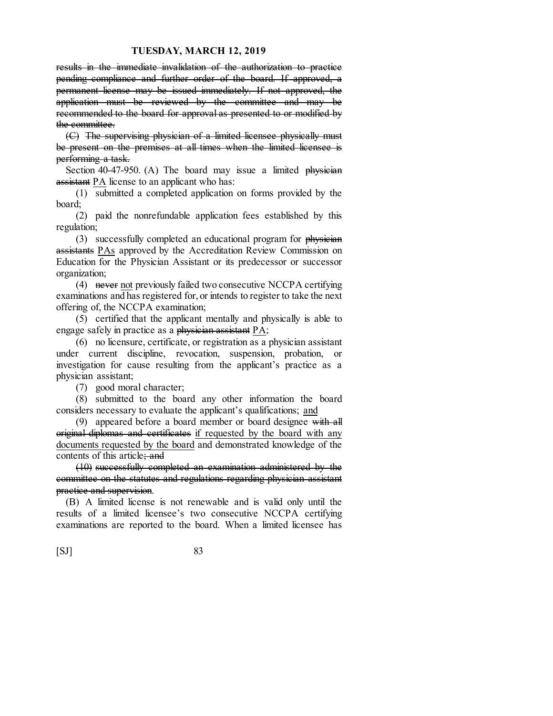results in the immediate invalidation of the authorization to practice pending compliance and further order of the board. If approved, a permanent license may be issued immediately. If not approved, the application must be reviewed by the committee and may be recommended to the board for approval as presented to or modified by the committee.

(C) The supervising physician of a limited licensee physically must be present on the premises at all times when the limited licensee is performing a task.

Section 40-47-950. (A) The board may issue a limited  $physieian$ assistant PA license to an applicant who has:

(1) submitted a completed application on forms provided by the board;

(2) paid the nonrefundable application fees established by this regulation;

(3) successfully completed an educational program for physician assistants PAs approved by the Accreditation Review Commission on Education for the Physician Assistant or its predecessor or successor organization;

(4) never not previously failed two consecutive NCCPA certifying examinations and has registered for, or intends to register to take the next offering of, the NCCPA examination;

(5) certified that the applicant mentally and physically is able to engage safely in practice as a physician assistant PA;

(6) no licensure, certificate, or registration as a physician assistant under current discipline, revocation, suspension, probation, or investigation for cause resulting from the applicant's practice as a physician assistant;

(7) good moral character;

(8) submitted to the board any other information the board considers necessary to evaluate the applicant's qualifications; and

(9) appeared before a board member or board designee with all original diplomas and certificates if requested by the board with any documents requested by the board and demonstrated knowledge of the contents of this article; and

(10) successfully completed an examination administered by the committee on the statutes and regulations regarding physician assistant practice and supervision.

(B) A limited license is not renewable and is valid only until the results of a limited licensee's two consecutive NCCPA certifying examinations are reported to the board. When a limited licensee has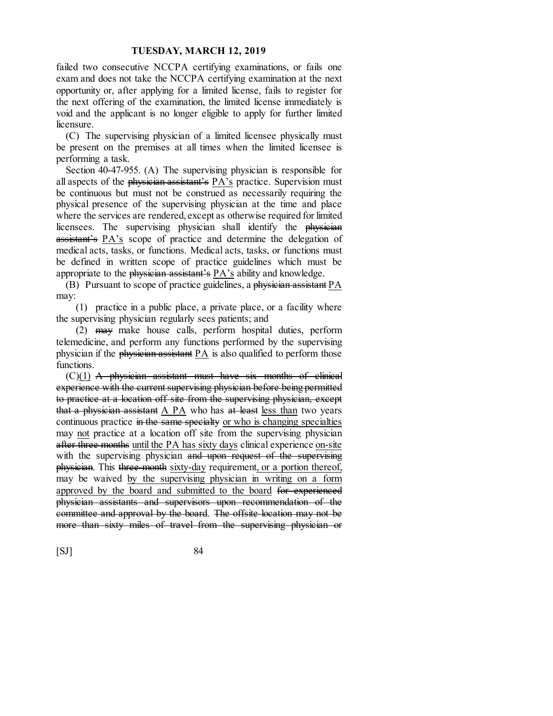failed two consecutive NCCPA certifying examinations, or fails one exam and does not take the NCCPA certifying examination at the next opportunity or, after applying for a limited license, fails to register for the next offering of the examination, the limited license immediately is void and the applicant is no longer eligible to apply for further limited licensure.

(C) The supervising physician of a limited licensee physically must be present on the premises at all times when the limited licensee is performing a task.

Section 40-47-955. (A) The supervising physician is responsible for all aspects of the physician assistant's PA's practice. Supervision must be continuous but must not be construed as necessarily requiring the physical presence of the supervising physician at the time and place where the services are rendered, except as otherwise required for limited licensees. The supervising physician shall identify the physician assistant's PA's scope of practice and determine the delegation of medical acts, tasks, or functions. Medical acts, tasks, or functions must be defined in written scope of practice guidelines which must be appropriate to the physician assistant's PA's ability and knowledge.

(B) Pursuant to scope of practice guidelines, a physician assistant PA may:

(1) practice in a public place, a private place, or a facility where the supervising physician regularly sees patients; and

(2) may make house calls, perform hospital duties, perform telemedicine, and perform any functions performed by the supervising physician if the physician assistant PA is also qualified to perform those functions.

 $(C)(1)$  A physician assistant must have six months of clinical experience with the current supervising physician before being permitted to practice at a location off site from the supervising physician, except that a physician assistant A PA who has at least less than two years continuous practice in the same specialty or who is changing specialties may not practice at a location off site from the supervising physician after three months until the PA has sixty days clinical experience on-site with the supervising physician and upon request of the supervising physician. This three-month sixty-day requirement, or a portion thereof, may be waived by the supervising physician in writing on a form approved by the board and submitted to the board for experienced physician assistants and supervisors upon recommendation of the committee and approval by the board. The offsite location may not be more than sixty miles of travel from the supervising physician or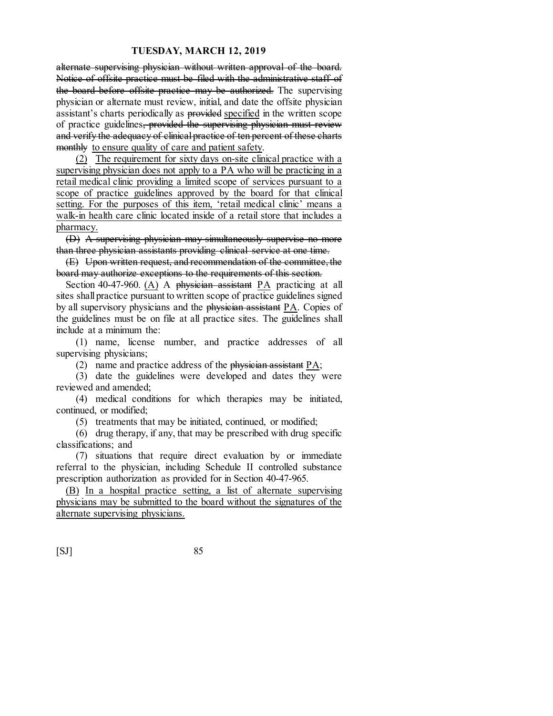alternate supervising physician without written approval of the board. Notice of offsite practice must be filed with the administrative staff of the board before offsite practice may be authorized. The supervising physician or alternate must review, initial, and date the offsite physician assistant's charts periodically as provided specified in the written scope of practice guidelines, provided the supervising physician must review and verify the adequacy of clinical practice of ten percent of these charts monthly to ensure quality of care and patient safety.

(2) The requirement for sixty days on-site clinical practice with a supervising physician does not apply to a PA who will be practicing in a retail medical clinic providing a limited scope of services pursuant to a scope of practice guidelines approved by the board for that clinical setting. For the purposes of this item, 'retail medical clinic' means a walk-in health care clinic located inside of a retail store that includes a pharmacy.

(D) A supervising physician may simultaneously supervise no more than three physician assistants providing clinical service at one time.

(E) Upon written request, and recommendation of the committee, the board may authorize exceptions to the requirements of this section.

Section 40-47-960. (A) A physician assistant  $PA$  practicing at all sites shall practice pursuant to written scope of practice guidelines signed by all supervisory physicians and the  $phy\ddot{\text{s}}$  assistant  $PA$ . Copies of the guidelines must be on file at all practice sites. The guidelines shall include at a minimum the:

(1) name, license number, and practice addresses of all supervising physicians;

(2) name and practice address of the physician assistant PA;

(3) date the guidelines were developed and dates they were reviewed and amended;

(4) medical conditions for which therapies may be initiated, continued, or modified;

(5) treatments that may be initiated, continued, or modified;

(6) drug therapy, if any, that may be prescribed with drug specific classifications; and

(7) situations that require direct evaluation by or immediate referral to the physician, including Schedule II controlled substance prescription authorization as provided for in Section 40-47-965.

(B) In a hospital practice setting, a list of alternate supervising physicians may be submitted to the board without the signatures of the alternate supervising physicians.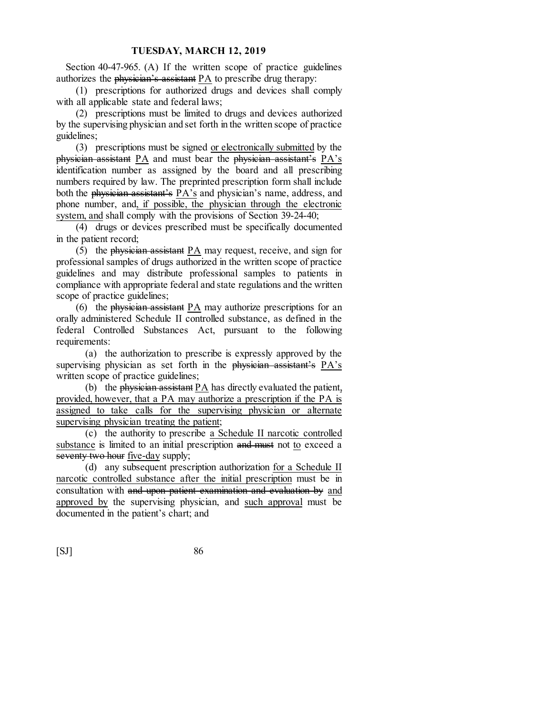Section 40-47-965. (A) If the written scope of practice guidelines authorizes the physician's assistant PA to prescribe drug therapy:

(1) prescriptions for authorized drugs and devices shall comply with all applicable state and federal laws;

(2) prescriptions must be limited to drugs and devices authorized by the supervising physician and set forth in the written scope of practice guidelines;

(3) prescriptions must be signed or electronically submitted by the physician assistant  $PA$  and must bear the physician assistant's  $PA's$ identification number as assigned by the board and all prescribing numbers required by law. The preprinted prescription form shall include both the physician assistant's PA's and physician's name, address, and phone number, and, if possible, the physician through the electronic system, and shall comply with the provisions of Section 39-24-40;

(4) drugs or devices prescribed must be specifically documented in the patient record;

(5) the physician assistant PA may request, receive, and sign for professional samples of drugs authorized in the written scope of practice guidelines and may distribute professional samples to patients in compliance with appropriate federal and state regulations and the written scope of practice guidelines;

(6) the physician assistant  $PA$  may authorize prescriptions for an orally administered Schedule II controlled substance, as defined in the federal Controlled Substances Act, pursuant to the following requirements:

(a) the authorization to prescribe is expressly approved by the supervising physician as set forth in the physician assistant's PA's written scope of practice guidelines;

(b) the physician assistant PA has directly evaluated the patient, provided, however, that a PA may authorize a prescription if the PA is assigned to take calls for the supervising physician or alternate supervising physician treating the patient;

(c) the authority to prescribe a Schedule II narcotic controlled substance is limited to an initial prescription and must not to exceed a seventy two hour <u>five-day</u> supply;

(d) any subsequent prescription authorization for a Schedule II narcotic controlled substance after the initial prescription must be in consultation with and upon patient examination and evaluation by and approved by the supervising physician, and such approval must be documented in the patient's chart; and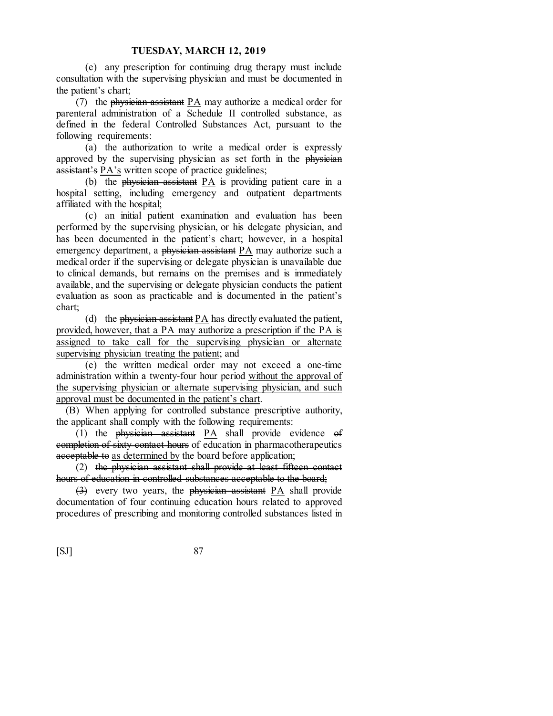(e) any prescription for continuing drug therapy must include consultation with the supervising physician and must be documented in the patient's chart;

(7) the physician assistant PA may authorize a medical order for parenteral administration of a Schedule II controlled substance, as defined in the federal Controlled Substances Act, pursuant to the following requirements:

(a) the authorization to write a medical order is expressly approved by the supervising physician as set forth in the physician assistant's PA's written scope of practice guidelines;

(b) the physician assistant PA is providing patient care in a hospital setting, including emergency and outpatient departments affiliated with the hospital;

(c) an initial patient examination and evaluation has been performed by the supervising physician, or his delegate physician, and has been documented in the patient's chart; however, in a hospital emergency department, a physician assistant PA may authorize such a medical order if the supervising or delegate physician is unavailable due to clinical demands, but remains on the premises and is immediately available, and the supervising or delegate physician conducts the patient evaluation as soon as practicable and is documented in the patient's chart;

(d) the physician assistant PA has directly evaluated the patient, provided, however, that a PA may authorize a prescription if the PA is assigned to take call for the supervising physician or alternate supervising physician treating the patient; and

(e) the written medical order may not exceed a one-time administration within a twenty-four hour period without the approval of the supervising physician or alternate supervising physician, and such approval must be documented in the patient's chart.

(B) When applying for controlled substance prescriptive authority, the applicant shall comply with the following requirements:

(1) the physician assistant PA shall provide evidence of completion of sixty contact hours of education in pharmacotherapeutics acceptable to as determined by the board before application;

(2) the physician assistant shall provide at least fifteen contact hours of education in controlled substances acceptable to the board;

 $\left(\frac{3}{2}\right)$  every two years, the physician assistant PA shall provide documentation of four continuing education hours related to approved procedures of prescribing and monitoring controlled substances listed in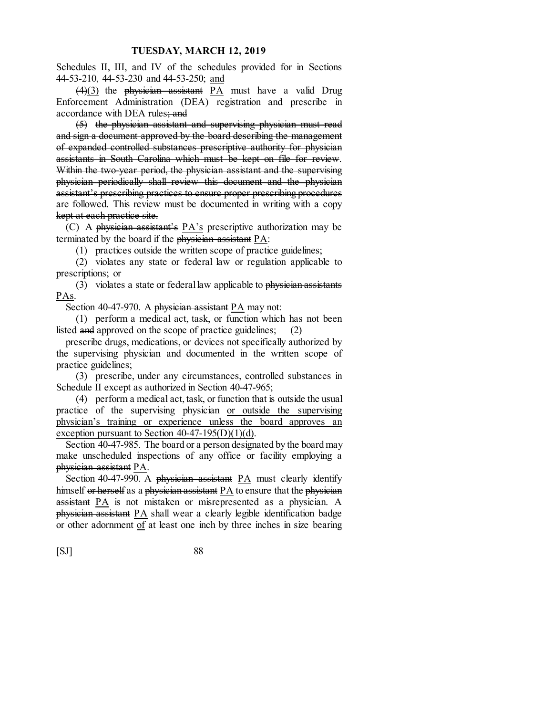Schedules II, III, and IV of the schedules provided for in Sections 44-53-210, 44-53-230 and 44-53-250; and

 $(4)(3)$  the physician assistant PA must have a valid Drug Enforcement Administration (DEA) registration and prescribe in accordance with DEA rules; and

(5) the physician assistant and supervising physician must read and sign a document approved by the board describing the management of expanded controlled substances prescriptive authority for physician assistants in South Carolina which must be kept on file for review. Within the two-year period, the physician assistant and the supervising physician periodically shall review this document and the physician assistant's prescribing practices to ensure proper prescribing procedures are followed. This review must be documented in writing with a copy kept at each practice site.

(C) A physician assistant's  $PA$ 's prescriptive authorization may be terminated by the board if the physician assistant  $PA$ :

(1) practices outside the written scope of practice guidelines;

(2) violates any state or federal law or regulation applicable to prescriptions; or

(3) violates a state or federal law applicable to  $phy$  signals assistants PAs.

Section 40-47-970. A physician assistant  $PA$  may not:

(1) perform a medical act, task, or function which has not been listed and approved on the scope of practice guidelines; (2)

prescribe drugs, medications, or devices not specifically authorized by the supervising physician and documented in the written scope of practice guidelines;

(3) prescribe, under any circumstances, controlled substances in Schedule II except as authorized in Section 40-47-965;

(4) perform a medical act, task, or function that is outside the usual practice of the supervising physician or outside the supervising physician's training or experience unless the board approves an exception pursuant to Section  $40-47-195(D)(1)(d)$ .

Section 40-47-985. The board or a person designated by the board may make unscheduled inspections of any office or facility employing a physician assistant PA.

Section 40-47-990. A physician assistant PA must clearly identify himself or herself as a physician assistant  $PA$  to ensure that the physician assistant PA is not mistaken or misrepresented as a physician. A physician assistant PA shall wear a clearly legible identification badge or other adornment of at least one inch by three inches in size bearing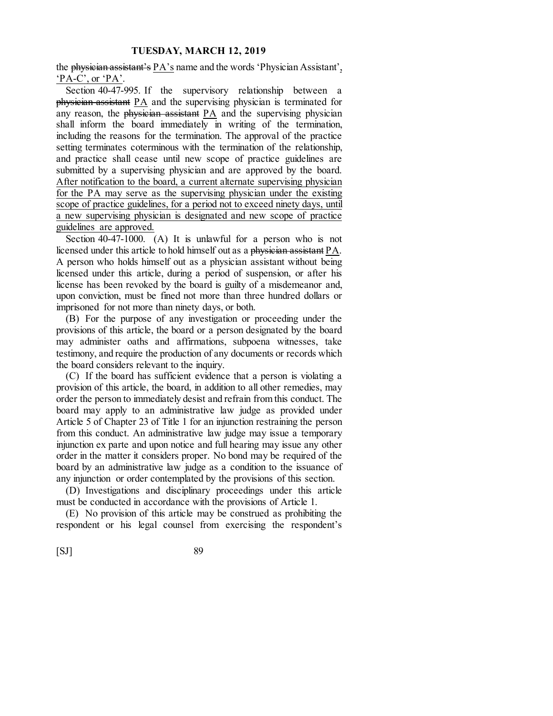the physician assistant's  $PA$ 's name and the words 'Physician Assistant', 'PA-C', or 'PA'.

Section 40-47-995. If the supervisory relationship between a physician assistant PA and the supervising physician is terminated for any reason, the physician assistant PA and the supervising physician shall inform the board immediately in writing of the termination, including the reasons for the termination. The approval of the practice setting terminates coterminous with the termination of the relationship, and practice shall cease until new scope of practice guidelines are submitted by a supervising physician and are approved by the board. After notification to the board, a current alternate supervising physician for the PA may serve as the supervising physician under the existing scope of practice guidelines, for a period not to exceed ninety days, until a new supervising physician is designated and new scope of practice guidelines are approved.

Section 40-47-1000. (A) It is unlawful for a person who is not licensed under this article to hold himself out as a physician assistant PA. A person who holds himself out as a physician assistant without being licensed under this article, during a period of suspension, or after his license has been revoked by the board is guilty of a misdemeanor and, upon conviction, must be fined not more than three hundred dollars or imprisoned for not more than ninety days, or both.

(B) For the purpose of any investigation or proceeding under the provisions of this article, the board or a person designated by the board may administer oaths and affirmations, subpoena witnesses, take testimony, and require the production of any documents or records which the board considers relevant to the inquiry.

(C) If the board has sufficient evidence that a person is violating a provision of this article, the board, in addition to all other remedies, may order the person to immediately desist and refrain from this conduct. The board may apply to an administrative law judge as provided under Article 5 of Chapter 23 of Title 1 for an injunction restraining the person from this conduct. An administrative law judge may issue a temporary injunction ex parte and upon notice and full hearing may issue any other order in the matter it considers proper. No bond may be required of the board by an administrative law judge as a condition to the issuance of any injunction or order contemplated by the provisions of this section.

(D) Investigations and disciplinary proceedings under this article must be conducted in accordance with the provisions of Article 1.

(E) No provision of this article may be construed as prohibiting the respondent or his legal counsel from exercising the respondent's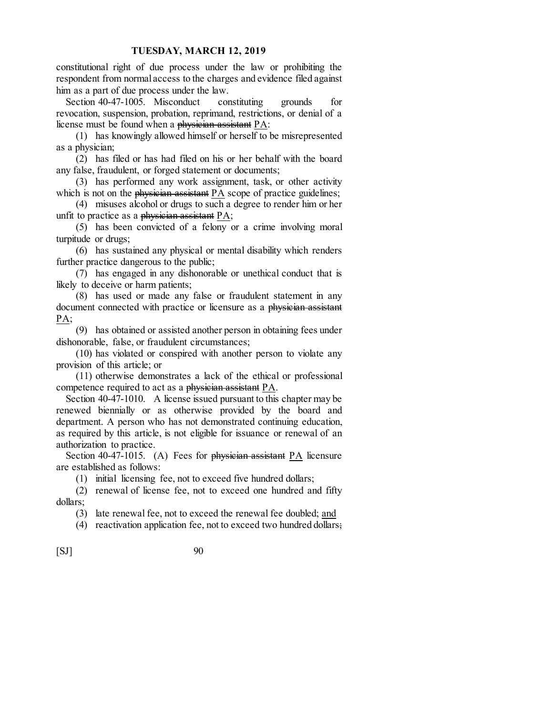constitutional right of due process under the law or prohibiting the respondent from normal access to the charges and evidence filed against him as a part of due process under the law.

Section 40-47-1005. Misconduct constituting grounds for revocation, suspension, probation, reprimand, restrictions, or denial of a license must be found when a physician assistant  $PA$ :

(1) has knowingly allowed himself or herself to be misrepresented as a physician;

(2) has filed or has had filed on his or her behalf with the board any false, fraudulent, or forged statement or documents;

(3) has performed any work assignment, task, or other activity which is not on the *physician assistant*  $PA$  scope of practice guidelines;

(4) misuses alcohol or drugs to such a degree to render him or her unfit to practice as a physician assistant  $PA$ ;

(5) has been convicted of a felony or a crime involving moral turpitude or drugs;

(6) has sustained any physical or mental disability which renders further practice dangerous to the public;

(7) has engaged in any dishonorable or unethical conduct that is likely to deceive or harm patients;

(8) has used or made any false or fraudulent statement in any document connected with practice or licensure as a physician assistant PA;

(9) has obtained or assisted another person in obtaining fees under dishonorable, false, or fraudulent circumstances;

(10) has violated or conspired with another person to violate any provision of this article; or

(11) otherwise demonstrates a lack of the ethical or professional competence required to act as a physician assistant PA.

Section 40-47-1010. A license issued pursuant to this chapter may be renewed biennially or as otherwise provided by the board and department. A person who has not demonstrated continuing education, as required by this article, is not eligible for issuance or renewal of an authorization to practice.

Section 40-47-1015. (A) Fees for  $\frac{1}{2}$  physician assistant PA licensure are established as follows:

(1) initial licensing fee, not to exceed five hundred dollars;

(2) renewal of license fee, not to exceed one hundred and fifty dollars;

(3) late renewal fee, not to exceed the renewal fee doubled; and

(4) reactivation application fee, not to exceed two hundred dollars;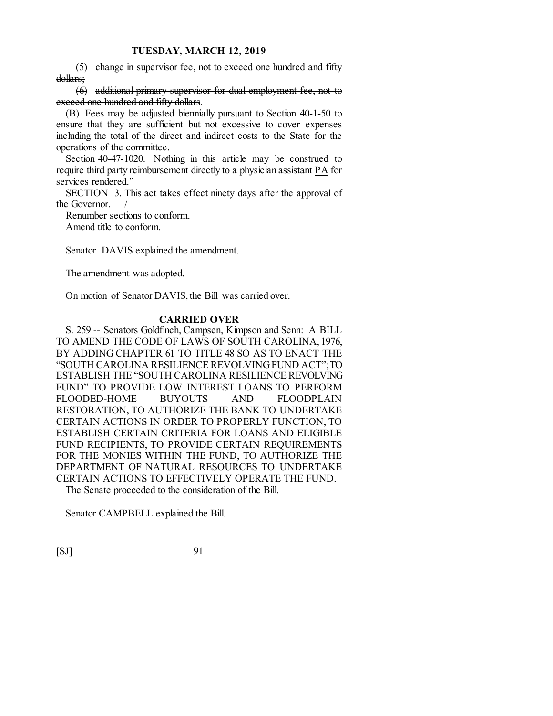(5) change in supervisor fee, not to exceed one hundred and fifty dollars;

(6) additional primary supervisor for dual employment fee, not to exceed one hundred and fifty dollars.

(B) Fees may be adjusted biennially pursuant to Section 40-1-50 to ensure that they are sufficient but not excessive to cover expenses including the total of the direct and indirect costs to the State for the operations of the committee.

Section 40-47-1020. Nothing in this article may be construed to require third party reimbursement directly to a physician assistant PA for services rendered."

SECTION 3. This act takes effect ninety days after the approval of the Governor. /

Renumber sections to conform.

Amend title to conform.

Senator DAVIS explained the amendment.

The amendment was adopted.

On motion of Senator DAVIS, the Bill was carried over.

#### **CARRIED OVER**

S. 259 -- Senators Goldfinch, Campsen, Kimpson and Senn: A BILL TO AMEND THE CODE OF LAWS OF SOUTH CAROLINA, 1976, BY ADDING CHAPTER 61 TO TITLE 48 SO AS TO ENACT THE "SOUTH CAROLINA RESILIENCE REVOLVING FUND ACT"; TO ESTABLISH THE "SOUTH CAROLINA RESILIENCE REVOLVING FUND" TO PROVIDE LOW INTEREST LOANS TO PERFORM FLOODED-HOME BUYOUTS AND FLOODPLAIN RESTORATION, TO AUTHORIZE THE BANK TO UNDERTAKE CERTAIN ACTIONS IN ORDER TO PROPERLY FUNCTION, TO ESTABLISH CERTAIN CRITERIA FOR LOANS AND ELIGIBLE FUND RECIPIENTS, TO PROVIDE CERTAIN REQUIREMENTS FOR THE MONIES WITHIN THE FUND, TO AUTHORIZE THE DEPARTMENT OF NATURAL RESOURCES TO UNDERTAKE CERTAIN ACTIONS TO EFFECTIVELY OPERATE THE FUND. The Senate proceeded to the consideration of the Bill.

Senator CAMPBELL explained the Bill.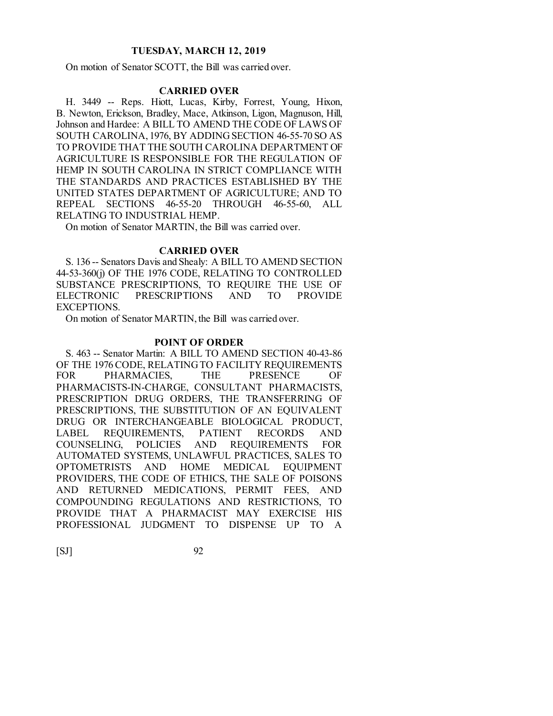On motion of Senator SCOTT, the Bill was carried over.

# **CARRIED OVER**

H. 3449 -- Reps. Hiott, Lucas, Kirby, Forrest, Young, Hixon, B. Newton, Erickson, Bradley, Mace, Atkinson, Ligon, Magnuson, Hill, Johnson and Hardee: A BILL TO AMEND THE CODE OF LAWS OF SOUTH CAROLINA, 1976, BY ADDING SECTION 46-55-70 SO AS TO PROVIDE THAT THE SOUTH CAROLINA DEPARTMENT OF AGRICULTURE IS RESPONSIBLE FOR THE REGULATION OF HEMP IN SOUTH CAROLINA IN STRICT COMPLIANCE WITH THE STANDARDS AND PRACTICES ESTABLISHED BY THE UNITED STATES DEPARTMENT OF AGRICULTURE; AND TO REPEAL SECTIONS 46-55-20 THROUGH 46-55-60, ALL RELATING TO INDUSTRIAL HEMP.

On motion of Senator MARTIN, the Bill was carried over.

#### **CARRIED OVER**

S. 136 -- Senators Davis and Shealy: A BILL TO AMEND SECTION 44-53-360(j) OF THE 1976 CODE, RELATING TO CONTROLLED SUBSTANCE PRESCRIPTIONS, TO REQUIRE THE USE OF ELECTRONIC PRESCRIPTIONS AND TO PROVIDE EXCEPTIONS.

On motion of Senator MARTIN, the Bill was carried over.

#### **POINT OF ORDER**

S. 463 -- Senator Martin: A BILL TO AMEND SECTION 40-43-86 OF THE 1976 CODE, RELATING TO FACILITY REQUIREMENTS FOR PHARMACIES, THE PRESENCE OF PHARMACISTS-IN-CHARGE, CONSULTANT PHARMACISTS, PRESCRIPTION DRUG ORDERS, THE TRANSFERRING OF PRESCRIPTIONS, THE SUBSTITUTION OF AN EQUIVALENT DRUG OR INTERCHANGEABLE BIOLOGICAL PRODUCT, LABEL REQUIREMENTS, PATIENT RECORDS AND COUNSELING, POLICIES AND REQUIREMENTS FOR AUTOMATED SYSTEMS, UNLAWFUL PRACTICES, SALES TO OPTOMETRISTS AND HOME MEDICAL EQUIPMENT PROVIDERS, THE CODE OF ETHICS, THE SALE OF POISONS AND RETURNED MEDICATIONS, PERMIT FEES, AND COMPOUNDING REGULATIONS AND RESTRICTIONS, TO PROVIDE THAT A PHARMACIST MAY EXERCISE HIS PROFESSIONAL JUDGMENT TO DISPENSE UP TO A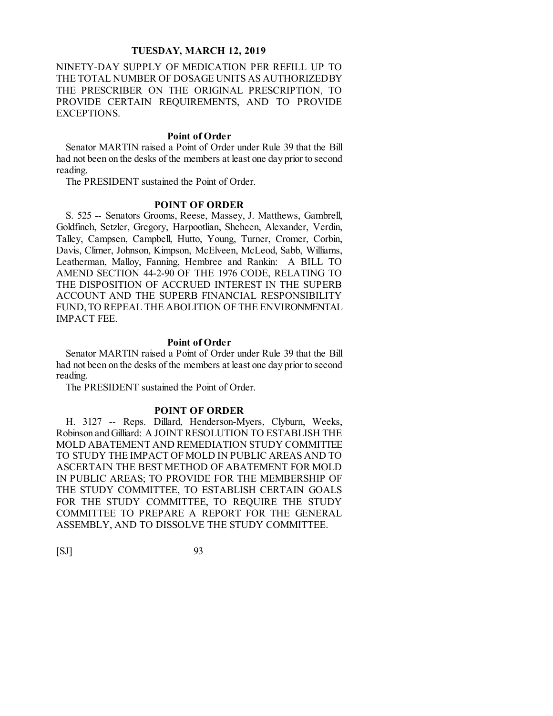NINETY-DAY SUPPLY OF MEDICATION PER REFILL UP TO THE TOTAL NUMBER OF DOSAGE UNITS AS AUTHORIZED BY THE PRESCRIBER ON THE ORIGINAL PRESCRIPTION, TO PROVIDE CERTAIN REQUIREMENTS, AND TO PROVIDE EXCEPTIONS.

#### **Point of Order**

Senator MARTIN raised a Point of Order under Rule 39 that the Bill had not been on the desks of the members at least one day prior to second reading.

The PRESIDENT sustained the Point of Order.

# **POINT OF ORDER**

S. 525 -- Senators Grooms, Reese, Massey, J. Matthews, Gambrell, Goldfinch, Setzler, Gregory, Harpootlian, Sheheen, Alexander, Verdin, Talley, Campsen, Campbell, Hutto, Young, Turner, Cromer, Corbin, Davis, Climer, Johnson, Kimpson, McElveen, McLeod, Sabb, Williams, Leatherman, Malloy, Fanning, Hembree and Rankin: A BILL TO AMEND SECTION 44-2-90 OF THE 1976 CODE, RELATING TO THE DISPOSITION OF ACCRUED INTEREST IN THE SUPERB ACCOUNT AND THE SUPERB FINANCIAL RESPONSIBILITY FUND, TO REPEAL THE ABOLITION OF THE ENVIRONMENTAL IMPACT FEE.

#### **Point of Order**

Senator MARTIN raised a Point of Order under Rule 39 that the Bill had not been on the desks of the members at least one day prior to second reading.

The PRESIDENT sustained the Point of Order.

#### **POINT OF ORDER**

H. 3127 -- Reps. Dillard, Henderson-Myers, Clyburn, Weeks, Robinson and Gilliard: A JOINT RESOLUTION TO ESTABLISH THE MOLD ABATEMENT AND REMEDIATION STUDY COMMITTEE TO STUDY THE IMPACT OF MOLD IN PUBLIC AREAS AND TO ASCERTAIN THE BEST METHOD OF ABATEMENT FOR MOLD IN PUBLIC AREAS; TO PROVIDE FOR THE MEMBERSHIP OF THE STUDY COMMITTEE, TO ESTABLISH CERTAIN GOALS FOR THE STUDY COMMITTEE, TO REQUIRE THE STUDY COMMITTEE TO PREPARE A REPORT FOR THE GENERAL ASSEMBLY, AND TO DISSOLVE THE STUDY COMMITTEE.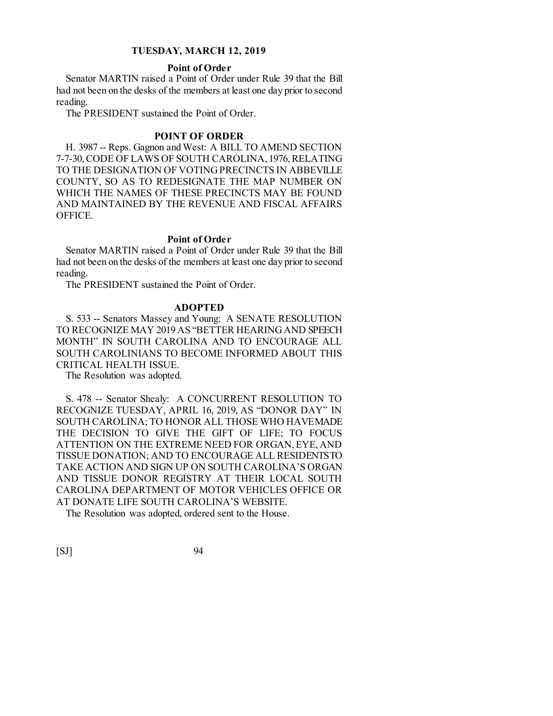### **Point of Order**

Senator MARTIN raised a Point of Order under Rule 39 that the Bill had not been on the desks of the members at least one day prior to second reading.

The PRESIDENT sustained the Point of Order.

# **POINT OF ORDER**

H. 3987 -- Reps. Gagnon and West: A BILL TO AMEND SECTION 7-7-30, CODE OF LAWS OF SOUTH CAROLINA, 1976, RELATING TO THE DESIGNATION OF VOTING PRECINCTS IN ABBEVILLE COUNTY, SO AS TO REDESIGNATE THE MAP NUMBER ON WHICH THE NAMES OF THESE PRECINCTS MAY BE FOUND AND MAINTAINED BY THE REVENUE AND FISCAL AFFAIRS OFFICE.

#### **Point of Order**

Senator MARTIN raised a Point of Order under Rule 39 that the Bill had not been on the desks of the members at least one day prior to second reading.

The PRESIDENT sustained the Point of Order.

# **ADOPTED**

S. 533 -- Senators Massey and Young: A SENATE RESOLUTION TO RECOGNIZE MAY 2019 AS "BETTER HEARING AND SPEECH MONTH" IN SOUTH CAROLINA AND TO ENCOURAGE ALL SOUTH CAROLINIANS TO BECOME INFORMED ABOUT THIS CRITICAL HEALTH ISSUE.

The Resolution was adopted.

S. 478 -- Senator Shealy: A CONCURRENT RESOLUTION TO RECOGNIZE TUESDAY, APRIL 16, 2019, AS "DONOR DAY" IN SOUTH CAROLINA; TO HONOR ALL THOSE WHO HAVE MADE THE DECISION TO GIVE THE GIFT OF LIFE; TO FOCUS ATTENTION ON THE EXTREME NEED FOR ORGAN, EYE, AND TISSUE DONATION; AND TO ENCOURAGE ALL RESIDENTS TO TAKE ACTION AND SIGN UP ON SOUTH CAROLINA'S ORGAN AND TISSUE DONOR REGISTRY AT THEIR LOCAL SOUTH CAROLINA DEPARTMENT OF MOTOR VEHICLES OFFICE OR AT DONATE LIFE SOUTH CAROLINA'S WEBSITE.

The Resolution was adopted, ordered sent to the House.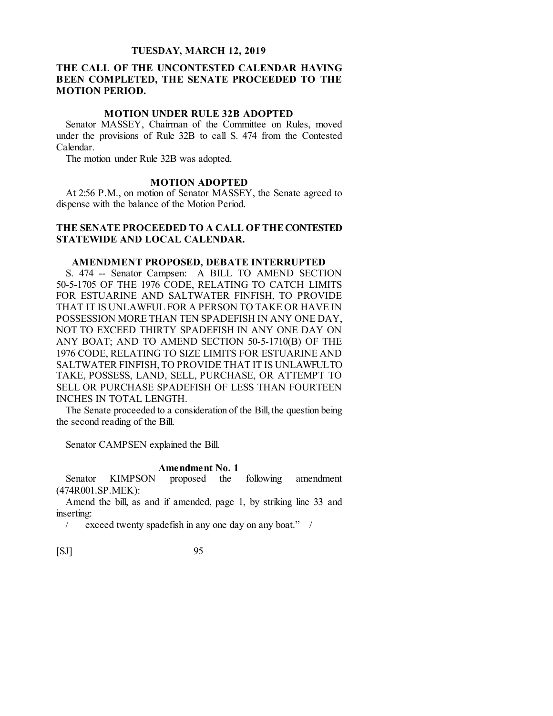# **THE CALL OF THE UNCONTESTED CALENDAR HAVING BEEN COMPLETED, THE SENATE PROCEEDED TO THE MOTION PERIOD.**

# **MOTION UNDER RULE 32B ADOPTED**

Senator MASSEY, Chairman of the Committee on Rules, moved under the provisions of Rule 32B to call S. 474 from the Contested Calendar.

The motion under Rule 32B was adopted.

#### **MOTION ADOPTED**

At 2:56 P.M., on motion of Senator MASSEY, the Senate agreed to dispense with the balance of the Motion Period.

# **THE SENATE PROCEEDED TO A CALL OF THE CONTESTED STATEWIDE AND LOCAL CALENDAR.**

#### **AMENDMENT PROPOSED, DEBATE INTERRUPTED**

S. 474 -- Senator Campsen: A BILL TO AMEND SECTION 50-5-1705 OF THE 1976 CODE, RELATING TO CATCH LIMITS FOR ESTUARINE AND SALTWATER FINFISH, TO PROVIDE THAT IT IS UNLAWFUL FOR A PERSON TO TAKE OR HAVE IN POSSESSION MORE THAN TEN SPADEFISH IN ANY ONE DAY, NOT TO EXCEED THIRTY SPADEFISH IN ANY ONE DAY ON ANY BOAT; AND TO AMEND SECTION 50-5-1710(B) OF THE 1976 CODE, RELATING TO SIZE LIMITS FOR ESTUARINE AND SALTWATER FINFISH, TO PROVIDE THAT IT IS UNLAWFUL TO TAKE, POSSESS, LAND, SELL, PURCHASE, OR ATTEMPT TO SELL OR PURCHASE SPADEFISH OF LESS THAN FOURTEEN INCHES IN TOTAL LENGTH.

The Senate proceeded to a consideration of the Bill, the question being the second reading of the Bill.

Senator CAMPSEN explained the Bill.

#### **Amendment No. 1**

Senator KIMPSON proposed the following amendment (474R001.SP.MEK):

Amend the bill, as and if amended, page 1, by striking line 33 and inserting:

/ exceed twenty spadefish in any one day on any boat." /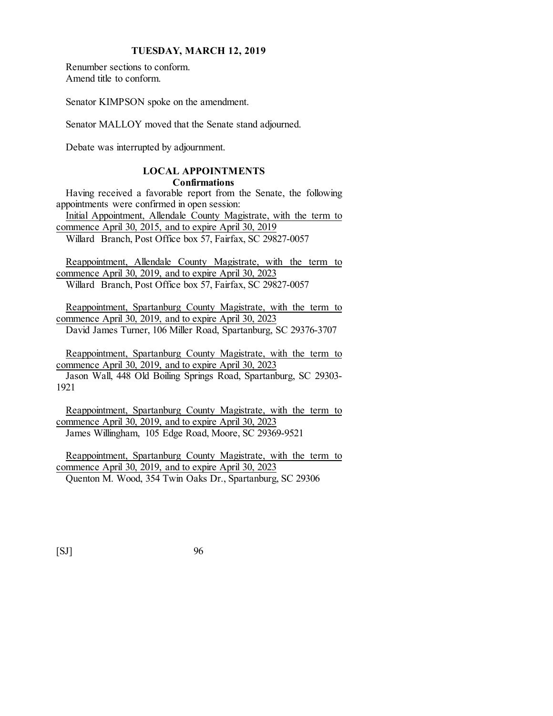Renumber sections to conform. Amend title to conform.

Senator KIMPSON spoke on the amendment.

Senator MALLOY moved that the Senate stand adjourned.

Debate was interrupted by adjournment.

# **LOCAL APPOINTMENTS**

**Confirmations**

Having received a favorable report from the Senate, the following appointments were confirmed in open session: Initial Appointment, Allendale County Magistrate, with the term to

commence April 30, 2015, and to expire April 30, 2019 Willard Branch, Post Office box 57, Fairfax, SC 29827-0057

Reappointment, Allendale County Magistrate, with the term to commence April 30, 2019, and to expire April 30, 2023 Willard Branch, Post Office box 57, Fairfax, SC 29827-0057

Reappointment, Spartanburg County Magistrate, with the term to commence April 30, 2019, and to expire April 30, 2023 David James Turner, 106 Miller Road, Spartanburg, SC 29376-3707

Reappointment, Spartanburg County Magistrate, with the term to commence April 30, 2019, and to expire April 30, 2023

Jason Wall, 448 Old Boiling Springs Road, Spartanburg, SC 29303- 1921

Reappointment, Spartanburg County Magistrate, with the term to commence April 30, 2019, and to expire April 30, 2023 James Willingham, 105 Edge Road, Moore, SC 29369-9521

Reappointment, Spartanburg County Magistrate, with the term to commence April 30, 2019, and to expire April 30, 2023 Quenton M. Wood, 354 Twin Oaks Dr., Spartanburg, SC 29306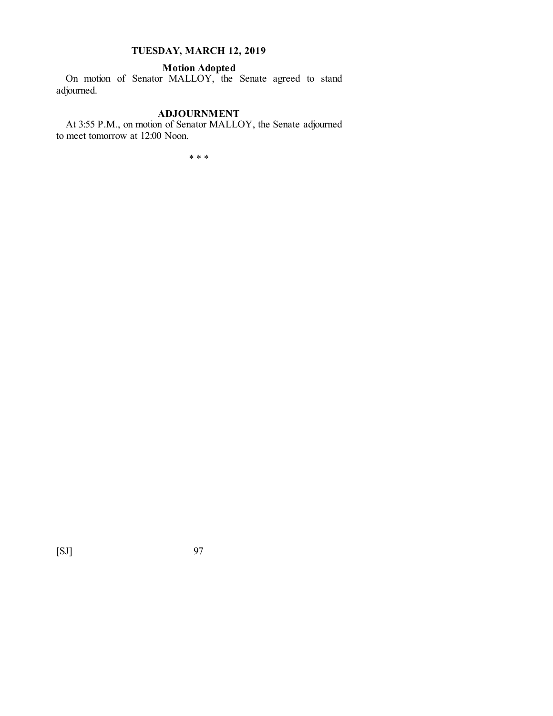# **Motion Adopted**

On motion of Senator MALLOY, the Senate agreed to stand adjourned.

#### **ADJOURNMENT**

At 3:55 P.M., on motion of Senator MALLOY, the Senate adjourned to meet tomorrow at 12:00 Noon.

\* \* \*